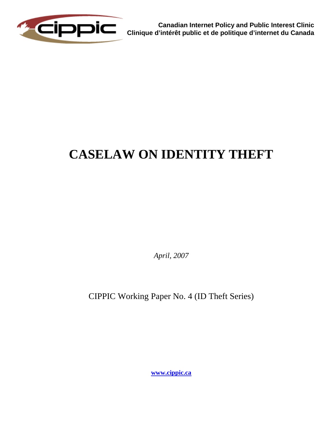

**Canadian Internet Policy and Public Interest Clinic Clinique d'intérêt public et de politique d'internet du Canada**

# **CASELAW ON IDENTITY THEFT**

*April, 2007*

CIPPIC Working Paper No. 4 (ID Theft Series)

**[www.cippic.ca](http://www.cippic.ca/)**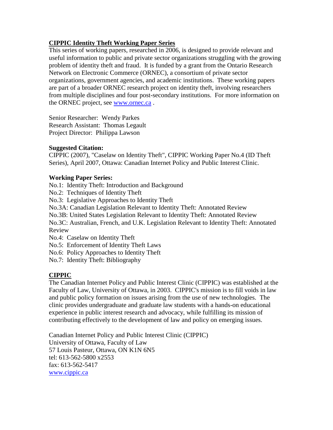## **CIPPIC Identity Theft Working Paper Series**

This series of working papers, researched in 2006, is designed to provide relevant and useful information to public and private sector organizations struggling with the growing problem of identity theft and fraud. It is funded by a grant from the Ontario Research Network on Electronic Commerce (ORNEC), a consortium of private sector organizations, government agencies, and academic institutions. These working papers are part of a broader ORNEC research project on identity theft, involving researchers from multiple disciplines and four post-secondary institutions. For more information on the ORNEC project, see [www.ornec.ca](http://www.ornec.ca/) .

Senior Researcher: Wendy Parkes Research Assistant: Thomas Legault Project Director: Philippa Lawson

## **Suggested Citation:**

CIPPIC (2007), "Caselaw on Identity Theft", CIPPIC Working Paper No.4 (ID Theft Series), April 2007, Ottawa: Canadian Internet Policy and Public Interest Clinic.

## **Working Paper Series:**

No.1: Identity Theft: Introduction and Background

No.2: Techniques of Identity Theft

No.3: Legislative Approaches to Identity Theft

No.3A: Canadian Legislation Relevant to Identity Theft: Annotated Review

No.3B: United States Legislation Relevant to Identity Theft: Annotated Review

No.3C: Australian, French, and U.K. Legislation Relevant to Identity Theft: Annotated Review

No.4: Caselaw on Identity Theft

No.5: Enforcement of Identity Theft Laws

No.6: Policy Approaches to Identity Theft

No.7: Identity Theft: Bibliography

# **CIPPIC**

The Canadian Internet Policy and Public Interest Clinic (CIPPIC) was established at the Faculty of Law, University of Ottawa, in 2003. CIPPIC's mission is to fill voids in law and public policy formation on issues arising from the use of new technologies. The clinic provides undergraduate and graduate law students with a hands-on educational experience in public interest research and advocacy, while fulfilling its mission of contributing effectively to the development of law and policy on emerging issues.

Canadian Internet Policy and Public Interest Clinic (CIPPIC) University of Ottawa, Faculty of Law 57 Louis Pasteur, Ottawa, ON K1N 6N5 tel: 613-562-5800 x2553 fax: 613-562-5417 [www.cippic.ca](http://www.cippic.ca/)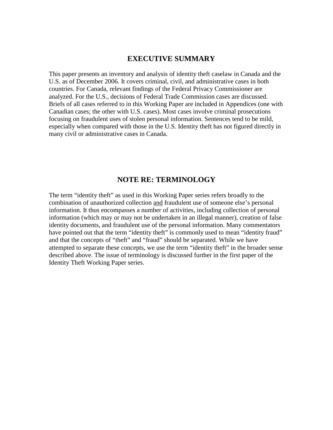## **EXECUTIVE SUMMARY**

This paper presents an inventory and analysis of identity theft caselaw in Canada and the U.S. as of December 2006. It covers criminal, civil, and administrative cases in both countries. For Canada, relevant findings of the Federal Privacy Commissioner are analyzed. For the U.S., decisions of Federal Trade Commission cases are discussed. Briefs of all cases referred to in this Working Paper are included in Appendices (one with Canadian cases; the other with U.S. cases). Most cases involve criminal prosecutions focusing on fraudulent uses of stolen personal information. Sentences tend to be mild, especially when compared with those in the U.S. Identity theft has not figured directly in many civil or administrative cases in Canada.

## **NOTE RE: TERMINOLOGY**

The term "identity theft" as used in this Working Paper series refers broadly to the combination of unauthorized collection and fraudulent use of someone else's personal information. It thus encompasses a number of activities, including collection of personal information (which may or may not be undertaken in an illegal manner), creation of false identity documents, and fraudulent use of the personal information. Many commentators have pointed out that the term "identity theft" is commonly used to mean "identity fraud" and that the concepts of "theft" and "fraud" should be separated. While we have attempted to separate these concepts, we use the term "identity theft" in the broader sense described above. The issue of terminology is discussed further in the first paper of the Identity Theft Working Paper series.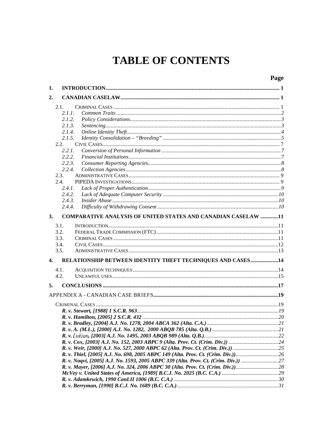# **TABLE OF CONTENTS**

# Page

| 1.           |        |                                                                                 |  |
|--------------|--------|---------------------------------------------------------------------------------|--|
| 2.           |        |                                                                                 |  |
|              | 2.1.   |                                                                                 |  |
|              | 2.1.1. |                                                                                 |  |
|              | 2.1.2. |                                                                                 |  |
|              | 2.1.3. |                                                                                 |  |
|              | 2.1.4. |                                                                                 |  |
|              | 2.1.5. |                                                                                 |  |
|              | 2.2.   |                                                                                 |  |
|              | 2.2.1. |                                                                                 |  |
|              | 2.2.2. |                                                                                 |  |
|              | 2.2.3. |                                                                                 |  |
|              | 2.2.4. |                                                                                 |  |
|              | 2.3.   |                                                                                 |  |
|              | 2.4.   |                                                                                 |  |
|              | 2.4.1. |                                                                                 |  |
|              | 2.4.2. |                                                                                 |  |
|              | 2.4.3. |                                                                                 |  |
|              | 2.4.4. |                                                                                 |  |
|              |        |                                                                                 |  |
| 3.           |        | <b>COMPARATIVE ANALYSIS OF UNITED STATES AND CANADIAN CASELAW 11</b>            |  |
|              | 3.1.   |                                                                                 |  |
|              | 3.2.   |                                                                                 |  |
|              | 3.3.   |                                                                                 |  |
|              | 3.4.   |                                                                                 |  |
|              | 3.5.   |                                                                                 |  |
| $\mathbf{4}$ |        | RELATIONSHIP BETWEEN IDENTITY THEFT TECHNIQUES AND CASES14                      |  |
|              |        |                                                                                 |  |
|              | 4.1.   |                                                                                 |  |
|              | 4.2.   |                                                                                 |  |
| 5.           |        |                                                                                 |  |
|              |        |                                                                                 |  |
|              |        |                                                                                 |  |
|              |        |                                                                                 |  |
|              |        |                                                                                 |  |
|              |        |                                                                                 |  |
|              |        |                                                                                 |  |
|              |        |                                                                                 |  |
|              |        |                                                                                 |  |
|              |        |                                                                                 |  |
|              |        | R. v. Weir, [2000] A.J. No. 527, 2000 ABPC 62 (Alta. Prov. Ct. (Crim. Div.))    |  |
|              |        | R. v. Thiel, [2005] A.J. No. 698, 2005 ABPC 149 (Alta. Prov. Ct. (Crim. Div.))  |  |
|              |        | R. v. Naqvi, [2005] A.J. No. 1593, 2005 ABPC 339 (Alta. Prov. Ct. (Crim. Div.)) |  |
|              |        | R. v. Mayer, [2006] A.J. No. 324, 2006 ABPC 30 (Alta. Prov. Ct. (Crim. Div.))   |  |
|              |        |                                                                                 |  |
|              |        |                                                                                 |  |
|              |        |                                                                                 |  |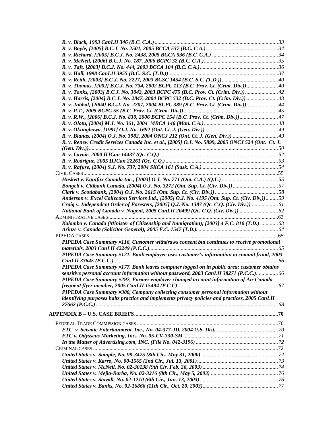| R. v. Tonks, [2003] B.C.J. No. 3042, 2003 BCPC 475 (B.C. Prov. Ct. (Crim. Div.))                 |  |
|--------------------------------------------------------------------------------------------------|--|
|                                                                                                  |  |
| R. v. Jubbal, [2004] B.C.J. No. 2207, 2004 BCPC 389 (B.C. Prov. Ct. (Crim. Div.)) 44             |  |
|                                                                                                  |  |
| R. v. R.W., [2006] B.C.J. No. 830, 2006 BCPC 154 (B.C. Prov. Ct. (Crim. Div.))47                 |  |
|                                                                                                  |  |
|                                                                                                  |  |
|                                                                                                  |  |
| R. v. Renew Credit Services Canada Inc. et al., [2005] O.J. No. 5899, 2005 ONCJ 524 (Ont. Ct. J. |  |
|                                                                                                  |  |
|                                                                                                  |  |
|                                                                                                  |  |
|                                                                                                  |  |
|                                                                                                  |  |
|                                                                                                  |  |
| Bongeli v. Citibank Canada, [2004] O.J. No. 3272 (Ont. Sup. Ct. (Civ. Div.))57                   |  |
|                                                                                                  |  |
| Anderson v. Excel Collection Services Ltd., [2005] O.J. No. 4195 (Ont. Sup. Ct. (Civ. Div,))59   |  |
| Craig v. Independent Order of Foresters, [2005] Q.J. No. 1387 (Qc. C.Q. (Civ. Div.)) 61          |  |
|                                                                                                  |  |
|                                                                                                  |  |
| Kalombo v. Canada (Minister of Citizenship and Immigration), [2003] 4 F.C. 810 (T.D.)  63        |  |
|                                                                                                  |  |
|                                                                                                  |  |
| PIPEDA Case Summary #116, Customer withdraws consent but continues to receive promotional        |  |
|                                                                                                  |  |
| PIPEDA Case Summary #121, Bank employee uses customer's information to commit fraud, 2003        |  |
|                                                                                                  |  |
| PIPEDA Case Summary #177. Bank leaves computer logged on in public area; customer obtains        |  |
| sensitive personal account information without password, 2003 CanLII 38271 (P.C.C.) 66           |  |
| PIPEDA Case Summary #292, Former employer changed account information of Air Canada              |  |
|                                                                                                  |  |
| PIPEDA Case Summary #300, Company collecting consumer personal information without               |  |
| identifying purposes halts practice and implements privacy policies and practices, 2005 CanLII   |  |
|                                                                                                  |  |
|                                                                                                  |  |
|                                                                                                  |  |
|                                                                                                  |  |
|                                                                                                  |  |
|                                                                                                  |  |
|                                                                                                  |  |
|                                                                                                  |  |
|                                                                                                  |  |
|                                                                                                  |  |
|                                                                                                  |  |
|                                                                                                  |  |
|                                                                                                  |  |
|                                                                                                  |  |
|                                                                                                  |  |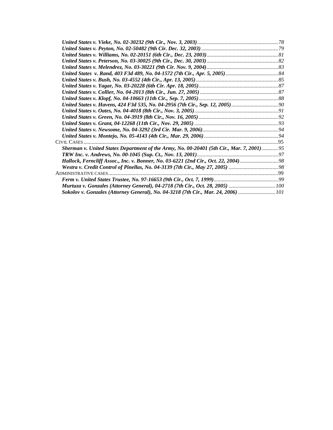| CIVIL CASES                                                                               |  |
|-------------------------------------------------------------------------------------------|--|
| Sherman v. United States Department of the Army, No. 00-20401 (5th Cir., Mar. 7, 2001) 95 |  |
|                                                                                           |  |
| Hallock, Ferncliff Assoc., Inc. v. Bonner, No. 03-6221 (2nd Cir., Oct. 22, 2004) 98       |  |
|                                                                                           |  |
|                                                                                           |  |
|                                                                                           |  |
|                                                                                           |  |
| Sokolov v. Gonzales (Attorney General), No. 04-3218 (7th Cir., Mar. 24, 2006)  101        |  |
|                                                                                           |  |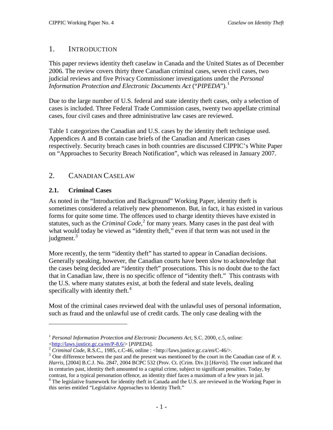# <span id="page-8-0"></span>1. INTRODUCTION

This paper reviews identity theft caselaw in Canada and the United States as of December 2006. The review covers thirty three Canadian criminal cases, seven civil cases, two judicial reviews and five Privacy Commissioner investigations under the *Personal Information Protection and Electronic Documents Act* ("*PIPEDA*").<sup>[1](#page-8-3)</sup>

Due to the large number of U.S. federal and state identity theft cases, only a selection of cases is included. Three Federal Trade Commission cases, twenty two appellate criminal cases, four civil cases and three administrative law cases are reviewed.

Table 1 categorizes the Canadian and U.S. cases by the identity theft technique used. Appendices A and B contain case briefs of the Canadian and American cases respectively. Security breach cases in both countries are discussed CIPPIC's White Paper on "Approaches to Security Breach Notification", which was released in January 2007.

# <span id="page-8-1"></span>2. CANADIAN CASELAW

# <span id="page-8-2"></span>**2.1. Criminal Cases**

 $\overline{a}$ 

As noted in the "Introduction and Background" Working Paper, identity theft is sometimes considered a relatively new phenomenon. But, in fact, it has existed in various forms for quite some time. The offences used to charge identity thieves have existed in statutes, such as the *Criminal Code*, [2](#page-8-4) for many years. Many cases in the past deal with what would today be viewed as "identity theft," even if that term was not used in the judgment. $3$ 

More recently, the term "identity theft" has started to appear in Canadian decisions. Generally speaking, however, the Canadian courts have been slow to acknowledge that the cases being decided are "identity theft" prosecutions. This is no doubt due to the fact that in Canadian law, there is no specific offence of "identity theft." This contrasts with the U.S. where many statutes exist, at both the federal and state levels, dealing specifically with identity theft. $4$ 

Most of the criminal cases reviewed deal with the unlawful uses of personal information, such as fraud and the unlawful use of credit cards. The only case dealing with the

<span id="page-8-3"></span><sup>&</sup>lt;sup>1</sup> *Personal Information Protection and Electronic Documents Act*, S.C. 2000, c.5, online:<br>
<http://laws.justice.gc.ca/en/P-8.6/> [PIPEDA].

<span id="page-8-5"></span><span id="page-8-4"></span><sup>&</sup>lt;sup>2</sup> *Criminal Code*, R.S.C., 1985, c.C-46, online : <http://laws.justice.gc.ca/en/C-46/>.<br><sup>3</sup> One difference between the past and the present was mentioned by the court in the Canadian case of R. v. *Harris*, [2004] B.C.J. No. 2847, 2004 BCPC 532 (Prov. Ct. (Crim. Div.)) [*Harris*]. The court indicated that in centuries past, identity theft amounted to a capital crime, subject to significant penalties. Today, by

<span id="page-8-6"></span>contrast, for a typical personation offence, an identity thief faces a maximum of a few years in jail. <sup>4</sup> The legislative framework for identity theft in Canada and the U.S. are reviewed in the Working Paper in this series entitled "Legislative Approaches to Identity Theft."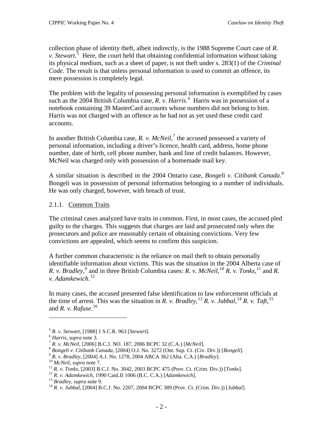collection phase of identity theft, albeit indirectly, is the 1988 Supreme Court case of *R. v. Stewart.*<sup>3</sup> Here, the court held that obtaining confidential information without taking its physical medium, such as a sheet of paper, is not theft under s. 283(1) of the *Criminal Code*. The result is that unless personal information is used to commit an offence, its mere possession is completely legal.

The problem with the legality of possessing personal information is exemplified by cases such as the 2004 British Columbia case, *R. v. Harris. [6](#page-9-2)* Harris was in possession of a notebook containing 39 MasterCard accounts whose numbers did not belong to him. Harris was not charged with an offence as he had not as yet used these credit card accounts.

In another British Columbia case, *R. v. McNeil*, [7](#page-9-3) the accused possessed a variety of personal information, including a driver's licence, health card, address, home phone number, date of birth, cell phone number, bank and line of credit balances. However, McNeil was charged only with possession of a homemade mail key.

A similar situation is described in the 2004 Ontario case, *Bongeli v. Citibank Canada*. [8](#page-9-4) Bongeli was in possession of personal information belonging to a number of individuals. He was only charged, however, with breach of trust.

## <span id="page-9-0"></span>2.1.1. Common Traits

The criminal cases analyzed have traits in common. First, in most cases, the accused pled guilty to the charges. This suggests that charges are laid and prosecuted only when the prosecutors and police are reasonably certain of obtaining convictions. Very few convictions are appealed, which seems to confirm this suspicion.

A further common characteristic is the reliance on mail theft to obtain personally identifiable information about victims. This was the situation in the 2004 Alberta case of *R. v. Bradley*, <sup>[9](#page-9-5)</sup> and in three British Columbia cases: *R. v. McNeil*, <sup>[10](#page-9-6)</sup> *R. v. Tonks*, <sup>[11](#page-9-7)</sup> and *R. v. Adamkewich*. [12](#page-9-8)

In many cases, the accused presented false identification to law enforcement officials at the time of arrest. This was the situation in *R. v. Bradley*, <sup>[13](#page-9-9)</sup> *R. v. Jubbal*, <sup>[14](#page-9-10)</sup> *R. v. Taft*, <sup>[15](#page-9-7)</sup> and *R. v. Rafuse*. [16](#page-9-8)

<span id="page-9-5"></span>

<span id="page-9-4"></span><span id="page-9-3"></span>

<span id="page-9-2"></span><span id="page-9-1"></span><sup>&</sup>lt;sup>5</sup> R. v. Stewart, [1988] 1 S.C.R. 963 [Stewart].<br>
<sup>6</sup> Harris, supra note 3.<br>
<sup>7</sup> R. v. McNeil, [2006] B.C.J. NO. 187, 2006 BCPC 32 (C.A.) [McNeil].<br>
<sup>8</sup> Bongeli v. Citibank Canada, [2004] O.J. No. 3272 (Ont. Sup. Ct. (Ci

<span id="page-9-6"></span>

<span id="page-9-7"></span>

<span id="page-9-8"></span>

<span id="page-9-9"></span>

<span id="page-9-10"></span>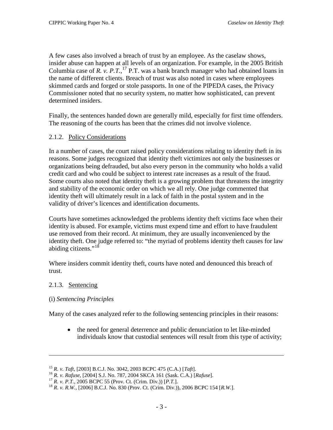A few cases also involved a breach of trust by an employee. As the caselaw shows, insider abuse can happen at all levels of an organization. For example, in the 2005 British Columbia case of  $R$ .  $\nu$ .  $P$ . $T$ ,  $^{17}$  $^{17}$  $^{17}$  P.T. was a bank branch manager who had obtained loans in the name of different clients. Breach of trust was also noted in cases where employees skimmed cards and forged or stole passports. In one of the PIPEDA cases, the Privacy Commissioner noted that no security system, no matter how sophisticated, can prevent determined insiders.

Finally, the sentences handed down are generally mild, especially for first time offenders. The reasoning of the courts has been that the crimes did not involve violence.

# <span id="page-10-0"></span>2.1.2. Policy Considerations

In a number of cases, the court raised policy considerations relating to identity theft in its reasons. Some judges recognized that identity theft victimizes not only the businesses or organizations being defrauded, but also every person in the community who holds a valid credit card and who could be subject to interest rate increases as a result of the fraud. Some courts also noted that identity theft is a growing problem that threatens the integrity and stability of the economic order on which we all rely. One judge commented that identity theft will ultimately result in a lack of faith in the postal system and in the validity of driver's licences and identification documents.

Courts have sometimes acknowledged the problems identity theft victims face when their identity is abused. For example, victims must expend time and effort to have fraudulent use removed from their record. At minimum, they are usually inconvenienced by the identity theft. One judge referred to: "the myriad of problems identity theft causes for law abiding citizens."<sup>[18](#page-10-3)</sup>

Where insiders commit identity theft, courts have noted and denounced this breach of trust.

## <span id="page-10-1"></span>2.1.3. Sentencing

 $\overline{a}$ 

## (i) *Sentencing Principles*

Many of the cases analyzed refer to the following sentencing principles in their reasons:

• the need for general deterrence and public denunciation to let like-minded individuals know that custodial sentences will result from this type of activity;

<span id="page-10-3"></span><span id="page-10-2"></span>

<sup>&</sup>lt;sup>15</sup> R. *v. Taft*, [2003] B.C.J. No. 3042, 2003 BCPC 475 (C.A.) [*Taft*].<br><sup>16</sup> R. *v. Rafuse*, [2004] S.J. No. 787, 2004 SKCA 161 (Sask. C.A.) [*Rafuse*].<br><sup>17</sup> R. *v. P.T.*, 2005 BCPC 55 (Prov. Ct. (Crim. Div.)) [*P.T.*].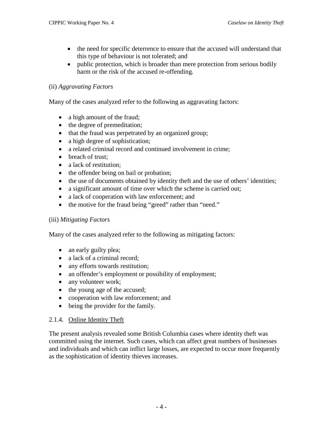- the need for specific deterrence to ensure that the accused will understand that this type of behaviour is not tolerated; and
- public protection, which is broader than mere protection from serious bodily harm or the risk of the accused re-offending.

## (ii) *Aggravating Factors*

Many of the cases analyzed refer to the following as aggravating factors:

- a high amount of the fraud;
- the degree of premeditation;
- that the fraud was perpetrated by an organized group;
- a high degree of sophistication;
- a related criminal record and continued involvement in crime;
- breach of trust:
- a lack of restitution:
- the offender being on bail or probation;
- the use of documents obtained by identity theft and the use of others' identities;
- a significant amount of time over which the scheme is carried out;
- a lack of cooperation with law enforcement; and
- the motive for the fraud being "greed" rather than "need."

## (iii) *Mitigating Factors*

Many of the cases analyzed refer to the following as mitigating factors:

- an early guilty plea;
- a lack of a criminal record;
- any efforts towards restitution;
- an offender's employment or possibility of employment;
- any volunteer work;
- the young age of the accused;
- cooperation with law enforcement; and
- being the provider for the family.

## <span id="page-11-0"></span>2.1.4. Online Identity Theft

The present analysis revealed some British Columbia cases where identity theft was committed using the internet. Such cases, which can affect great numbers of businesses and individuals and which can inflict large losses, are expected to occur more frequently as the sophistication of identity thieves increases.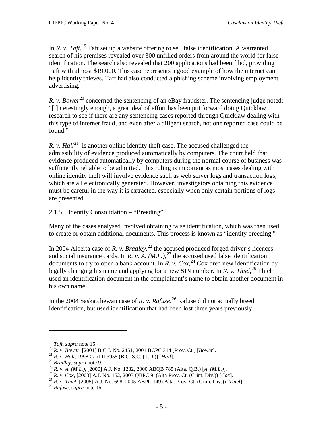In *R. v. Taft*, <sup>[19](#page-12-1)</sup> Taft set up a website offering to sell false identification. A warranted search of his premises revealed over 300 unfilled orders from around the world for false identification. The search also revealed that 200 applications had been filed, providing Taft with almost \$19,000. This case represents a good example of how the internet can help identity thieves. Taft had also conducted a phishing scheme involving employment advertising.

*R. v. Bower*<sup>[20](#page-12-2)</sup> concerned the sentencing of an eBay fraudster. The sentencing judge noted: "[i]nterestingly enough, a great deal of effort has been put forward doing Quicklaw research to see if there are any sentencing cases reported through Quicklaw dealing with this type of internet fraud, and even after a diligent search, not one reported case could be found."

*R. v. Hall*<sup>[21](#page-12-3)</sup> is another online identity theft case. The accused challenged the admissibility of evidence produced automatically by computers. The court held that evidence produced automatically by computers during the normal course of business was sufficiently reliable to be admitted. This ruling is important as most cases dealing with online identity theft will involve evidence such as web server logs and transaction logs, which are all electronically generated. However, investigators obtaining this evidence must be careful in the way it is extracted, especially when only certain portions of logs are presented.

# <span id="page-12-0"></span>2.1.5. Identity Consolidation – "Breeding"

Many of the cases analysed involved obtaining false identification, which was then used to create or obtain additional documents. This process is known as "identity breeding."

In 2004 Alberta case of *R. v. Bradley*,<sup>[22](#page-12-4)</sup> the accused produced forged driver's licences and social insurance cards. In *R. v. A.*  $(M.L.)<sup>23</sup>$  $(M.L.)<sup>23</sup>$  $(M.L.)<sup>23</sup>$  the accused used false identification documents to try to open a bank account. In *R. v. Cox*,  $^{24}$  $^{24}$  $^{24}$  Cox bred new identification by legally changing his name and applying for a new SIN number. In *R. v. Thiel*,<sup>[25](#page-12-7)</sup> Thiel used an identification document in the complainant's name to obtain another document in his own name.

In the 2004 Saskatchewan case of *R. v. Rafuse*, [26](#page-12-8) Rafuse did not actually breed identification, but used identification that had been lost three years previously.

<span id="page-12-2"></span>

<span id="page-12-3"></span>

<span id="page-12-6"></span><span id="page-12-5"></span><span id="page-12-4"></span>

<span id="page-12-1"></span><sup>&</sup>lt;sup>19</sup> Taft, supra note 15.<br>
<sup>20</sup> R. *v. Bower*, [2001] B.C.J. No. 2451, 2001 BCPC 314 (Prov. Ct.) [*Bower*].<br>
<sup>21</sup> R. *v. Hall*, 1998 CanLII 3955 (B.C. S.C. (T.D.)) [*Hall*].<br>
<sup>22</sup> Bradley, supra note 9.<br>
<sup>23</sup> R. *v.* A. (

<span id="page-12-8"></span><span id="page-12-7"></span>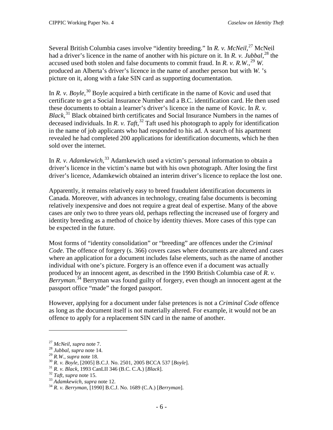Several British Columbia cases involve "identity breeding." In *R. v. McNeil*,<sup>[27](#page-13-0)</sup> McNeil had a driver's licence in the name of another with his picture on it. In *R. v. Jubbal*, [28](#page-13-1) the accused used both stolen and false documents to commit fraud. In *R. v. R.W.*,<sup>[29](#page-13-2)</sup> *W.* produced an Alberta's driver's licence in the name of another person but with *W.* 's picture on it, along with a fake SIN card as supporting documentation.

In *R. v. Boyle*,<sup>[30](#page-13-3)</sup> Boyle acquired a birth certificate in the name of Kovic and used that certificate to get a Social Insurance Number and a B.C. identification card. He then used these documents to obtain a learner's driver's licence in the name of Kovic. In *R. v. Black*, [31](#page-13-4) Black obtained birth certificates and Social Insurance Numbers in the names of deceased individuals. In *R. v. Taft*, [32](#page-13-5) Taft used his photograph to apply for identification in the name of job applicants who had responded to his ad. A search of his apartment revealed he had completed 200 applications for identification documents, which he then sold over the internet.

In *R. v. Adamkewich*,<sup>[33](#page-13-6)</sup> Adamkewich used a victim's personal information to obtain a driver's licence in the victim's name but with his own photograph. After losing the first driver's licence, Adamkewich obtained an interim driver's licence to replace the lost one.

Apparently, it remains relatively easy to breed fraudulent identification documents in Canada. Moreover, with advances in technology, creating false documents is becoming relatively inexpensive and does not require a great deal of expertise. Many of the above cases are only two to three years old, perhaps reflecting the increased use of forgery and identity breeding as a method of choice by identity thieves. More cases of this type can be expected in the future.

Most forms of "identity consolidation" or "breeding" are offences under the *Criminal Code*. The offence of forgery (s. 366) covers cases where documents are altered and cases where an application for a document includes false elements, such as the name of another individual with one's picture. Forgery is an offence even if a document was actually produced by an innocent agent, as described in the 1990 British Columbia case of *R. v.*  Berryman.<sup>[34](#page-13-7)</sup> Berryman was found guilty of forgery, even though an innocent agent at the passport office "made" the forged passport.

However, applying for a document under false pretences is not a *Criminal Code* offence as long as the document itself is not materially altered. For example, it would not be an offence to apply for a replacement SIN card in the name of another.

<span id="page-13-1"></span><span id="page-13-0"></span><sup>27</sup> *McNeil*, *supra* note 7. <sup>28</sup> *Jubbal*, *supra* note 14.

<span id="page-13-3"></span><span id="page-13-2"></span><sup>&</sup>lt;sup>30</sup> R. v. Boyle, [2005] B.C.J. No. 2501, 2005 BCCA 537 [Boyle].<br><sup>31</sup> R. v. Black, 1993 CanLII 346 (B.C. C.A.) [Black].<br><sup>32</sup> Taft, supra note 15.<br><sup>33</sup> Adamkewich, supra note 12.<br><sup>34</sup> R. v. Berryman, [1990] B.C.J. No. 1689

<span id="page-13-5"></span><span id="page-13-4"></span>

<span id="page-13-6"></span>

<span id="page-13-7"></span>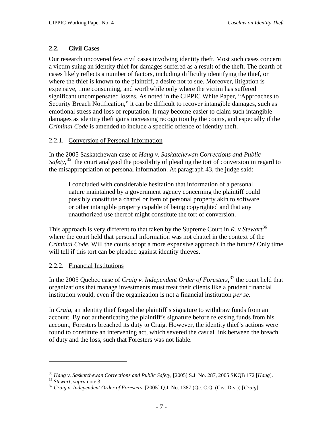# **2.2. Civil Cases**

<span id="page-14-0"></span>Our research uncovered few civil cases involving identity theft. Most such cases concern a victim suing an identity thief for damages suffered as a result of the theft. The dearth of cases likely reflects a number of factors, including difficulty identifying the thief, or where the thief is known to the plaintiff, a desire not to sue. Moreover, litigation is expensive, time consuming, and worthwhile only where the victim has suffered significant uncompensated losses. As noted in the CIPPIC White Paper, "Approaches to Security Breach Notification," it can be difficult to recover intangible damages, such as emotional stress and loss of reputation. It may become easier to claim such intangible damages as identity theft gains increasing recognition by the courts, and especially if the *Criminal Code* is amended to include a specific offence of identity theft.

## <span id="page-14-1"></span>2.2.1. Conversion of Personal Information

In the 2005 Saskatchewan case of *Haug v. Saskatchewan Corrections and Public*  Safety,<sup>[35](#page-14-3)</sup> the court analysed the possibility of pleading the tort of conversion in regard to the misappropriation of personal information. At paragraph 43, the judge said:

I concluded with considerable hesitation that information of a personal nature maintained by a government agency concerning the plaintiff could possibly constitute a chattel or item of personal property akin to software or other intangible property capable of being copyrighted and that any unauthorized use thereof might constitute the tort of conversion.

This approach is very different to that taken by the Supreme Court in *R. v Stewart* [36](#page-14-4) where the court held that personal information was not chattel in the context of the *Criminal Code*. Will the courts adopt a more expansive approach in the future? Only time will tell if this tort can be pleaded against identity thieves.

## <span id="page-14-2"></span>2.2.2. Financial Institutions

In the 2005 Quebec case of *Craig v. Independent Order of Foresters*, [37](#page-14-5) the court held that organizations that manage investments must treat their clients like a prudent financial institution would, even if the organization is not a financial institution *per se*.

In *Craig*, an identity thief forged the plaintiff's signature to withdraw funds from an account. By not authenticating the plaintiff's signature before releasing funds from his account, Foresters breached its duty to Craig. However, the identity thief's actions were found to constitute an intervening act*,* which severed the casual link between the breach of duty and the loss, such that Foresters was not liable.

<span id="page-14-3"></span><sup>&</sup>lt;sup>35</sup> Haug v. Saskatchewan Corrections and Public Safety, [2005] S.J. No. 287, 2005 SKQB 172 [Haug].<br><sup>36</sup> Stewart, supra note 3.<br><sup>37</sup> Craig v. Independent Order of Foresters, [2005] Q.J. No. 1387 (Qc. C.Q. (Civ. Div.)) [Cr

<span id="page-14-4"></span>

<span id="page-14-5"></span>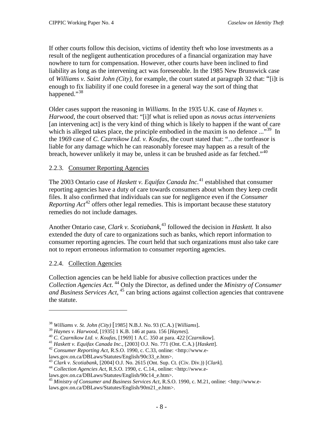If other courts follow this decision, victims of identity theft who lose investments as a result of the negligent authentication procedures of a financial organization may have nowhere to turn for compensation. However, other courts have been inclined to find liability as long as the intervening act was foreseeable. In the 1985 New Brunswick case of *Williams v. Saint John (City)*, for example, the court stated at paragraph 32 that: "[i]t is enough to fix liability if one could foresee in a general way the sort of thing that happened."<sup>[38](#page-15-2)</sup>

Older cases support the reasoning in *Williams.* In the 1935 U.K. case of *Haynes v. Harwood*, the court observed that: "[i]f what is relied upon as *novus actus interveniens* [an intervening act] is the very kind of thing which is likely to happen if the want of care which is alleged takes place, the principle embodied in the maxim is no defence ..."<sup>[39](#page-15-3)</sup> In the 1969 case of *C. Czarnikow Ltd. v. Koufas*, the court stated that: "…the tortfeasor is liable for any damage which he can reasonably foresee may happen as a result of the breach, however unlikely it may be, unless it can be brushed aside as far fetched." $40$ 

## <span id="page-15-0"></span>2.2.3. Consumer Reporting Agencies

The 2003 Ontario case of *Haskett v. Equifax Canada Inc*. [41](#page-15-5) established that consumer reporting agencies have a duty of care towards consumers about whom they keep credit files. It also confirmed that individuals can sue for negligence even if the *Consumer*  Reporting Act<sup>[42](#page-15-6)</sup> offers other legal remedies. This is important because these statutory remedies do not include damages.

Another Ontario case, *Clark v. Scotiabank*, [43](#page-15-7) followed the decision in *Haskett.* It also extended the duty of care to organizations such as banks, which report information to consumer reporting agencies. The court held that such organizations must also take care not to report erroneous information to consumer reporting agencies.

# <span id="page-15-1"></span>2.2.4. Collection Agencies

 $\overline{a}$ 

Collection agencies can be held liable for abusive collection practices under the *Collection Agencies Act*. [44](#page-15-8) Only the Director, as defined under the *Ministry of Consumer*  and Business Services Act, <sup>[45](#page-15-9)</sup> can bring actions against collection agencies that contravene the statute.

<span id="page-15-4"></span>

<span id="page-15-6"></span><span id="page-15-5"></span>

<span id="page-15-3"></span><span id="page-15-2"></span><sup>&</sup>lt;sup>38</sup> Williams v. St. John (City) [1985] N.B.J. No. 93 (C.A.) [Williams].<br><sup>39</sup> Haynes v. Harwood, [1935] 1 K.B. 146 at para. 156 [Haynes].<br><sup>40</sup> C. Czarnikow Ltd. v. Koufas, [1969] 1 A.C. 350 at para. 422 [Czarnikow].<br><sup>41</sup>

<span id="page-15-8"></span><span id="page-15-7"></span><sup>&</sup>lt;sup>43</sup> Clark v. Scotiabank, [2004] O.J. No. 2615 (Ont. Sup. Ct. (Civ. Div.)) [Clark].<br><sup>44</sup> Collection Agencies Act, R.S.O. 1990, c. C.14., online: <http://www.e-laws.gov.on.ca/DBLaws/Statutes/English/90c14\_e.htm>.

<span id="page-15-9"></span><sup>&</sup>lt;sup>45</sup> Ministry of Consumer and Business Services Act, R.S.O. 1990, c. M.21, online: <http://www.e-

laws.gov.on.ca/DBLaws/Statutes/English/90m21\_e.htm>.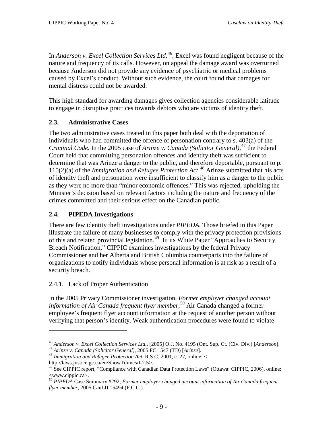In *Anderson v. Excel Collection Services Ltd*. [46](#page-16-3) , Excel was found negligent because of the nature and frequency of its calls. However, on appeal the damage award was overturned because Anderson did not provide any evidence of psychiatric or medical problems caused by Excel's conduct. Without such evidence, the court found that damages for mental distress could not be awarded.

This high standard for awarding damages gives collection agencies considerable latitude to engage in disruptive practices towards debtors who are victims of identity theft.

# <span id="page-16-0"></span>**2.3. Administrative Cases**

The two administrative cases treated in this paper both deal with the deportation of individuals who had committed the offence of personation contrary to s. 403(a) of the *Criminal Code*. In the 2005 case of *Arinze v. Canada (Solicitor General)*, [47](#page-16-4) the Federal Court held that committing personation offences and identity theft was sufficient to determine that was Arinze a danger to the public, and therefore deportable, pursuant to p. 115(2)(a) of the *Immigration and Refugee Protection Act*. [48](#page-16-5) Arinze submitted that his acts of identity theft and personation were insufficient to classify him as a danger to the public as they were no more than "minor economic offences." This was rejected, upholding the Minister's decision based on relevant factors including the nature and frequency of the crimes committed and their serious effect on the Canadian public.

# <span id="page-16-1"></span>**2.4. PIPEDA Investigations**

There are few identity theft investigations under *PIPEDA*. Those briefed in this Paper illustrate the failure of many businesses to comply with the privacy protection provisions of this and related provincial legislation.<sup>[49](#page-16-6)</sup> In its White Paper "Approaches to Security Breach Notification," CIPPIC examines investigations by the federal Privacy Commissioner and her Alberta and British Columbia counterparts into the failure of organizations to notify individuals whose personal information is at risk as a result of a security breach.

# <span id="page-16-2"></span>2.4.1. Lack of Proper Authentication

 $\overline{a}$ 

In the 2005 Privacy Commissioner investigation, *Former employer changed account information of Air Canada frequent flyer member*, [50](#page-16-7) Air Canada changed a former employee's frequent flyer account information at the request of another person without verifying that person's identity. Weak authentication procedures were found to violate

<span id="page-16-3"></span><sup>&</sup>lt;sup>46</sup> Anderson v. Excel Collection Services Ltd., [2005] O.J. No. 4195 (Ont. Sup. Ct. (Civ. Div.) [Anderson].<br><sup>47</sup> Arinze v. Canada (Solicitor General), 2005 FC 1547 (TD) [Arinze].<br><sup>48</sup> Immigration and Refugee Protection A

<span id="page-16-5"></span><span id="page-16-4"></span>

http://laws.justice.gc.ca/en/ShowTdm/cs/I-2.5>.

<span id="page-16-6"></span><sup>&</sup>lt;sup>49</sup> See CIPPIC report, "Compliance with Canadian Data Protection Laws" (Ottawa: CIPPIC, 2006), online: <www.cippic.ca>.

<span id="page-16-7"></span><sup>50</sup> *PIPEDA* Case Summary #292, *Former employer changed account information of Air Canada frequent flyer member*, 2005 CanLII 15494 (P.C.C.).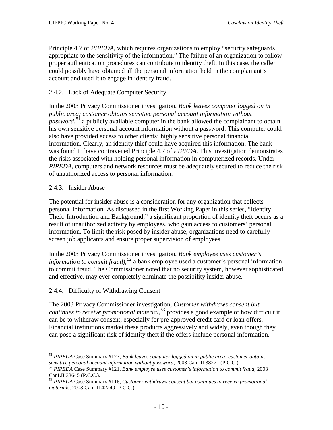Principle 4.7 of *PIPEDA*, which requires organizations to employ "security safeguards appropriate to the sensitivity of the information." The failure of an organization to follow proper authentication procedures can contribute to identity theft. In this case, the caller could possibly have obtained all the personal information held in the complainant's account and used it to engage in identity fraud.

# <span id="page-17-0"></span>2.4.2. Lack of Adequate Computer Security

In the 2003 Privacy Commissioner investigation, *Bank leaves computer logged on in public area; customer obtains sensitive personal account information without password*,<sup>[51](#page-17-3)</sup> a publicly available computer in the bank allowed the complainant to obtain his own sensitive personal account information without a password. This computer could also have provided access to other clients' highly sensitive personal financial information. Clearly, an identity thief could have acquired this information. The bank was found to have contravened Principle 4.7 of *PIPEDA*. This investigation demonstrates the risks associated with holding personal information in computerized records. Under *PIPEDA*, computers and network resources must be adequately secured to reduce the risk of unauthorized access to personal information.

## <span id="page-17-1"></span>2.4.3. Insider Abuse

 $\overline{a}$ 

The potential for insider abuse is a consideration for any organization that collects personal information. As discussed in the first Working Paper in this series, "Identity Theft: Introduction and Background," a significant proportion of identity theft occurs as a result of unauthorized activity by employees, who gain access to customers' personal information. To limit the risk posed by insider abuse, organizations need to carefully screen job applicants and ensure proper supervision of employees.

In the 2003 Privacy Commissioner investigation, *Bank employee uses customer's information to commit fraud)*, [52](#page-17-4) a bank employee used a customer's personal information to commit fraud. The Commissioner noted that no security system, however sophisticated and effective, may ever completely eliminate the possibility insider abuse.

# <span id="page-17-2"></span>2.4.4. Difficulty of Withdrawing Consent

The 2003 Privacy Commissioner investigation, *Customer withdraws consent but continues to receive promotional material*, [53](#page-17-5) provides a good example of how difficult it can be to withdraw consent, especially for pre-approved credit card or loan offers. Financial institutions market these products aggressively and widely, even though they can pose a significant risk of identity theft if the offers include personal information.

<span id="page-17-3"></span><sup>51</sup> *PIPEDA* Case Summary #177, *Bank leaves computer logged on in public area; customer obtains* 

<span id="page-17-4"></span><sup>&</sup>lt;sup>52</sup> PIPEDA Case Summary #121, *Bank employee uses customer's information to commit fraud*, 2003 CanLII 33645 (P.C.C.).

<span id="page-17-5"></span><sup>53</sup> *PIPEDA* Case Summary #116, *Customer withdraws consent but continues to receive promotional materials*, 2003 CanLII 42249 (P.C.C.).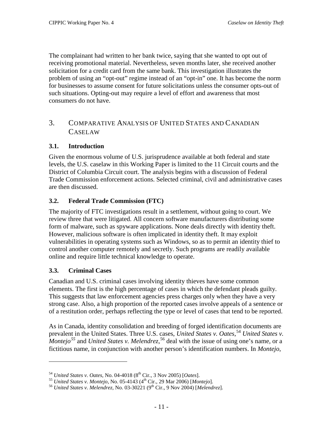The complainant had written to her bank twice, saying that she wanted to opt out of receiving promotional material. Nevertheless, seven months later, she received another solicitation for a credit card from the same bank. This investigation illustrates the problem of using an "opt-out" regime instead of an "opt-in" one. It has become the norm for businesses to assume consent for future solicitations unless the consumer opts-out of such situations. Opting-out may require a level of effort and awareness that most consumers do not have.

# <span id="page-18-0"></span>3. COMPARATIVE ANALYSIS OF UNITED STATES AND CANADIAN CASELAW

# <span id="page-18-1"></span>**3.1. Introduction**

Given the enormous volume of U.S. jurisprudence available at both federal and state levels, the U.S. caselaw in this Working Paper is limited to the 11 Circuit courts and the District of Columbia Circuit court. The analysis begins with a discussion of Federal Trade Commission enforcement actions. Selected criminal, civil and administrative cases are then discussed.

# <span id="page-18-2"></span>**3.2. Federal Trade Commission (FTC)**

The majority of FTC investigations result in a settlement, without going to court. We review three that were litigated. All concern software manufacturers distributing some form of malware, such as spyware applications. None deals directly with identity theft. However, malicious software is often implicated in identity theft. It may exploit vulnerabilities in operating systems such as Windows, so as to permit an identity thief to control another computer remotely and secretly. Such programs are readily available online and require little technical knowledge to operate.

# <span id="page-18-3"></span>**3.3. Criminal Cases**

 $\overline{a}$ 

Canadian and U.S. criminal cases involving identity thieves have some common elements. The first is the high percentage of cases in which the defendant pleads guilty. This suggests that law enforcement agencies press charges only when they have a very strong case. Also, a high proportion of the reported cases involve appeals of a sentence or of a restitution order, perhaps reflecting the type or level of cases that tend to be reported.

As in Canada, identity consolidation and breeding of forged identification documents are prevalent in the United States. Three U.S. cases, *United States v. Oates*,<sup>[54](#page-18-4)</sup> *United States v. Montejo[55](#page-18-5)* and *United States v. Melendrez*, [56](#page-18-6) deal with the issue of using one's name, or a fictitious name, in conjunction with another person's identification numbers. In *Montejo*,

<span id="page-18-5"></span><span id="page-18-4"></span><sup>&</sup>lt;sup>54</sup> United States v. Oates, No. 04-4018 (8<sup>th</sup> Cir., 3 Nov 2005) [Oates].<br><sup>55</sup> United States v. Montejo, No. 05-4143 (4<sup>th</sup> Cir., 29 Mar 2006) [Montejo].<br><sup>56</sup> United States v. Melendrez, No. 03-30221 (9<sup>th</sup> Cir., 9 Nov 2

<span id="page-18-6"></span>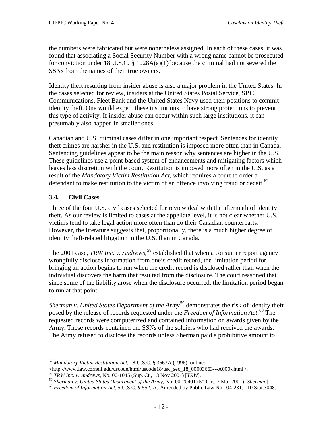the numbers were fabricated but were nonetheless assigned. In each of these cases, it was found that associating a Social Security Number with a wrong name cannot be prosecuted for conviction under 18 U.S.C.  $\S$  1028A(a)(1) because the criminal had not severed the SSNs from the names of their true owners.

Identity theft resulting from insider abuse is also a major problem in the United States. In the cases selected for review, insiders at the United States Postal Service, SBC Communications, Fleet Bank and the United States Navy used their positions to commit identity theft. One would expect these institutions to have strong protections to prevent this type of activity. If insider abuse can occur within such large institutions, it can presumably also happen in smaller ones.

Canadian and U.S. criminal cases differ in one important respect. Sentences for identity theft crimes are harsher in the U.S. and restitution is imposed more often than in Canada. Sentencing guidelines appear to be the main reason why sentences are higher in the U.S. These guidelines use a point-based system of enhancements and mitigating factors which leaves less discretion with the court. Restitution is imposed more often in the U.S. as a result of the *Mandatory Victim Restitution Act*, which requires a court to order a defendant to make restitution to the victim of an offence involving fraud or deceit.<sup>[57](#page-19-1)</sup>

# <span id="page-19-0"></span>**3.4. Civil Cases**

 $\overline{a}$ 

Three of the four U.S. civil cases selected for review deal with the aftermath of identity theft. As our review is limited to cases at the appellate level, it is not clear whether U.S. victims tend to take legal action more often than do their Canadian counterparts. However, the literature suggests that, proportionally, there is a much higher degree of identity theft-related litigation in the U.S. than in Canada.

The 2001 case, *TRW Inc. v. Andrews*, [58](#page-19-2) established that when a consumer report agency wrongfully discloses information from one's credit record, the limitation period for bringing an action begins to run when the credit record is disclosed rather than when the individual discovers the harm that resulted from the disclosure. The court reasoned that since some of the liability arose when the disclosure occurred, the limitation period began to run at that point.

*Sherman v. United States Department of the Army* [59](#page-19-3) demonstrates the risk of identity theft posed by the release of records requested under the *Freedom of Information Act*. [60](#page-19-4) The requested records were computerized and contained information on awards given by the Army. These records contained the SSNs of the soldiers who had received the awards. The Army refused to disclose the records unless Sherman paid a prohibitive amount to

<span id="page-19-1"></span><sup>57</sup> *Mandatory Victim Restitution Act*, 18 U.S.C. § 3663A (1996), online:

<sup>&</sup>lt;http://www.law.cornell.edu/uscode/html/uscode18/usc\_sec\_18\_00003663---A000-.html>. <sup>58</sup> *TRW Inc. v. Andrews*, No. 00-1045 (Sup. Ct., 13 Nov 2001) [*TRW*].

<span id="page-19-2"></span>

<span id="page-19-3"></span><sup>&</sup>lt;sup>59</sup> Sherman v. United States Department of the Army, No. 00-20401 (5<sup>th</sup> Cir., 7 Mar 2001) [Sherman].<br><sup>60</sup> Freedom of Information Act, 5 U.S.C. § 552, As Amended by Public Law No 104-231, 110 Stat.3048.

<span id="page-19-4"></span>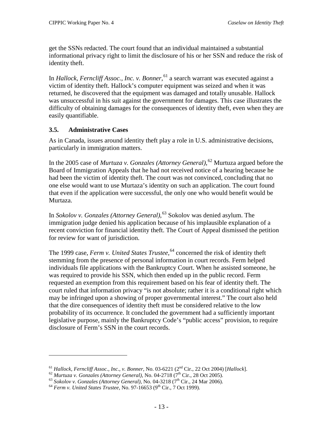get the SSNs redacted. The court found that an individual maintained a substantial informational privacy right to limit the disclosure of his or her SSN and reduce the risk of identity theft.

In *Hallock, Ferncliff Assoc., Inc. v. Bonner*, [61](#page-20-1) a search warrant was executed against a victim of identity theft. Hallock's computer equipment was seized and when it was returned, he discovered that the equipment was damaged and totally unusable. Hallock was unsuccessful in his suit against the government for damages. This case illustrates the difficulty of obtaining damages for the consequences of identity theft, even when they are easily quantifiable.

# <span id="page-20-0"></span>**3.5. Administrative Cases**

As in Canada, issues around identity theft play a role in U.S. administrative decisions, particularly in immigration matters.

In the 2005 case of *Murtuza v. Gonzales (Attorney General)*, [62](#page-20-2) Murtuza argued before the Board of Immigration Appeals that he had not received notice of a hearing because he had been the victim of identity theft. The court was not convinced, concluding that no one else would want to use Murtaza's identity on such an application. The court found that even if the application were successful, the only one who would benefit would be Murtaza.

In *Sokolov v. Gonzales (Attorney General)*, [63](#page-20-3) Sokolov was denied asylum. The immigration judge denied his application because of his implausible explanation of a recent conviction for financial identity theft. The Court of Appeal dismissed the petition for review for want of jurisdiction.

The 1999 case, *Ferm v. United States Trustee*, [64](#page-20-4) concerned the risk of identity theft stemming from the presence of personal information in court records. Ferm helped individuals file applications with the Bankruptcy Court. When he assisted someone, he was required to provide his SSN, which then ended up in the public record. Ferm requested an exemption from this requirement based on his fear of identity theft. The court ruled that information privacy "is not absolute; rather it is a conditional right which may be infringed upon a showing of proper governmental interest." The court also held that the dire consequences of identity theft must be considered relative to the low probability of its occurrence. It concluded the government had a sufficiently important legislative purpose, mainly the Bankruptcy Code's "public access" provision, to require disclosure of Ferm's SSN in the court records.

<span id="page-20-1"></span><sup>&</sup>lt;sup>61</sup> Hallock, Ferncliff Assoc., Inc., v. Bonner, No. 03-6221 (2<sup>nd</sup> Cir., 22 Oct 2004) [Hallock].<br><sup>62</sup> Murtuza v. Gonzales (Attorney General), No. 04-2718 (7<sup>th</sup> Cir., 28 Oct 2005).<br><sup>63</sup> Sokolov v. Gonzales (Attorney Gene

<span id="page-20-2"></span>

<span id="page-20-3"></span>

<span id="page-20-4"></span>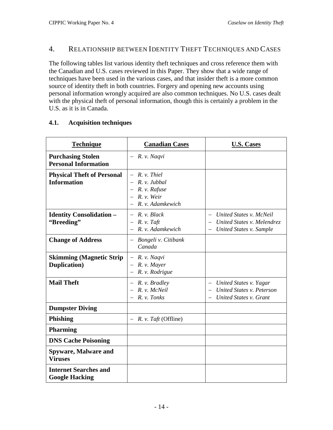# <span id="page-21-0"></span>4. RELATIONSHIP BETWEEN IDENTITY THEFT TECHNIQUES AND CASES

The following tables list various identity theft techniques and cross reference them with the Canadian and U.S. cases reviewed in this Paper. They show that a wide range of techniques have been used in the various cases, and that insider theft is a more common source of identity theft in both countries. Forgery and opening new accounts using personal information wrongly acquired are also common techniques. No U.S. cases dealt with the physical theft of personal information, though this is certainly a problem in the U.S. as it is in Canada.

| <b>Technique</b>                                        | <b>Canadian Cases</b>                                                                     | <b>U.S. Cases</b>                                                                |
|---------------------------------------------------------|-------------------------------------------------------------------------------------------|----------------------------------------------------------------------------------|
| <b>Purchasing Stolen</b><br><b>Personal Information</b> | $-$ R. v. Naqvi                                                                           |                                                                                  |
| <b>Physical Theft of Personal</b><br><b>Information</b> | $-$ R. v. Thiel<br>$-$ R. v. Jubbal<br>R. v. Rafuse<br>$- R. v. Weir$<br>R. v. Adamkewich |                                                                                  |
| <b>Identity Consolidation -</b><br>"Breeding"           | $-$ R. v. Black<br>R. v. Taft<br>R. v. Adamkewich                                         | United States v. McNeil<br>United States v. Melendrez<br>United States v. Sample |
| <b>Change of Address</b>                                | - Bongeli v. Citibank<br>Canada                                                           |                                                                                  |
| <b>Skimming (Magnetic Strip)</b><br>Duplication)        | $-$ R. v. Naqvi<br>R. v. Mayer<br>R. v. Rodrigue                                          |                                                                                  |
| <b>Mail Theft</b>                                       | $- R. v. Bradley$<br>R. v. McNeil<br>R. v. Tonks                                          | United States v. Yagar<br>United States v. Peterson<br>United States v. Grant    |
| <b>Dumpster Diving</b>                                  |                                                                                           |                                                                                  |
| <b>Phishing</b>                                         | R. v. Taft (Offline)                                                                      |                                                                                  |
| <b>Pharming</b>                                         |                                                                                           |                                                                                  |
| <b>DNS Cache Poisoning</b>                              |                                                                                           |                                                                                  |
| <b>Spyware, Malware and</b><br><b>Viruses</b>           |                                                                                           |                                                                                  |
| <b>Internet Searches and</b><br><b>Google Hacking</b>   |                                                                                           |                                                                                  |

## <span id="page-21-1"></span>**4.1. Acquisition techniques**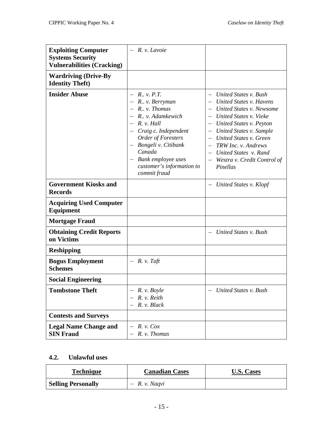| <b>Exploiting Computer</b><br><b>Systems Security</b><br><b>Vulnerabilities (Cracking)</b> | $-$ R. v. Lavoie                                                                                                                                                                                                                                                                               |                                                                                                                                                                                                                                                                                       |
|--------------------------------------------------------------------------------------------|------------------------------------------------------------------------------------------------------------------------------------------------------------------------------------------------------------------------------------------------------------------------------------------------|---------------------------------------------------------------------------------------------------------------------------------------------------------------------------------------------------------------------------------------------------------------------------------------|
| <b>Wardriving (Drive-By</b><br><b>Identity Theft</b> )                                     |                                                                                                                                                                                                                                                                                                |                                                                                                                                                                                                                                                                                       |
| <b>Insider Abuse</b>                                                                       | $- R_{\cdots} v_{\cdots} P_{\cdots} T_{\cdots}$<br>$-$ R., v. Berryman<br>$-$ R., v. Thomas<br>$-$ R., v. Adamkewich<br>$-$ R. v. Hall<br>- Craig c. Independent<br>Order of Foresters<br>- Bongeli v. Citibank<br>Canada<br>- Bank employee uses<br>customer's information to<br>commit fraud | United States v. Bush<br>United States v. Havens<br>United States v. Newsome<br>- United States v. Vieke<br>United States v. Peyton<br>United States v. Sample<br>United States v. Green<br>TRW Inc. v. Andrews<br>United States v. Rand<br>- Westra v. Credit Control of<br>Pinellas |
| <b>Government Kiosks and</b><br><b>Records</b>                                             |                                                                                                                                                                                                                                                                                                | United States v. Klopf                                                                                                                                                                                                                                                                |
| <b>Acquiring Used Computer</b><br>Equipment                                                |                                                                                                                                                                                                                                                                                                |                                                                                                                                                                                                                                                                                       |
| <b>Mortgage Fraud</b>                                                                      |                                                                                                                                                                                                                                                                                                |                                                                                                                                                                                                                                                                                       |
| <b>Obtaining Credit Reports</b><br>on Victims                                              |                                                                                                                                                                                                                                                                                                | United States v. Bush                                                                                                                                                                                                                                                                 |
| <b>Reshipping</b>                                                                          |                                                                                                                                                                                                                                                                                                |                                                                                                                                                                                                                                                                                       |
| <b>Bogus Employment</b><br><b>Schemes</b>                                                  | $-$ R. v. Taft                                                                                                                                                                                                                                                                                 |                                                                                                                                                                                                                                                                                       |
| <b>Social Engineering</b>                                                                  |                                                                                                                                                                                                                                                                                                |                                                                                                                                                                                                                                                                                       |
| <b>Tombstone Theft</b>                                                                     | R. v. Boyle<br>R. v. Reith<br>R. v. Black                                                                                                                                                                                                                                                      | United States v. Bush                                                                                                                                                                                                                                                                 |
| <b>Contests and Surveys</b>                                                                |                                                                                                                                                                                                                                                                                                |                                                                                                                                                                                                                                                                                       |
| <b>Legal Name Change and</b><br><b>SIN Fraud</b>                                           | $R. v.$ Cox<br>R. v. Thomas                                                                                                                                                                                                                                                                    |                                                                                                                                                                                                                                                                                       |

# <span id="page-22-0"></span>**4.2. Unlawful uses**

| <b>Technique</b>          | <b>Canadian Cases</b> | <b>U.S. Cases</b> |
|---------------------------|-----------------------|-------------------|
| <b>Selling Personally</b> | $-$ R. v. Naqvi       |                   |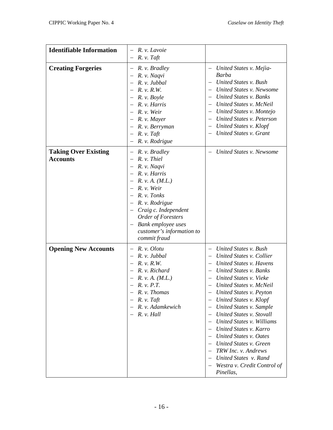| <b>Identifiable Information</b>                | R. v. Lavoie<br>$R. v. T$ aft                                                                                                                                                                                                                        |                                                                                                                                                                                                                                                                                                                                                                                                                                                                                                                                        |
|------------------------------------------------|------------------------------------------------------------------------------------------------------------------------------------------------------------------------------------------------------------------------------------------------------|----------------------------------------------------------------------------------------------------------------------------------------------------------------------------------------------------------------------------------------------------------------------------------------------------------------------------------------------------------------------------------------------------------------------------------------------------------------------------------------------------------------------------------------|
| <b>Creating Forgeries</b>                      | $-$ R. v. Bradley<br>R. v. Naqvi<br>R. v. Jubbal<br>$R. \nu. R.W.$<br>R. v. Boyle<br>R. v. Harris<br>R. v. Weir<br>R. v. Mayer<br>$-$ R. v. Berryman<br>$R. v. T$ aft<br>R. v. Rodrigue                                                              | United States v. Mejìa-<br>Barba<br>United States v. Bush<br>United States v. Newsome<br>United States v. Banks<br>United States v. McNeil<br>United States v. Montejo<br>United States v. Peterson<br>United States v. Klopf<br>United States v. Grant                                                                                                                                                                                                                                                                                |
| <b>Taking Over Existing</b><br><b>Accounts</b> | R. v. Bradley<br>$- R. v.$ Thiel<br>R. v. Naqvi<br>R. v. Harris<br>R. v. A. (M.L.)<br>$R.$ v. Weir<br>R. v. Tonks<br>R. v. Rodrigue<br>Craig c. Independent<br>Order of Foresters<br>Bank employee uses<br>customer's information to<br>commit fraud | United States v. Newsome                                                                                                                                                                                                                                                                                                                                                                                                                                                                                                               |
| <b>Opening New Accounts</b>                    | R. v. Olotu<br>R. v. Jubbal<br>R. v. R.W.<br>R. v. Richard<br>R. v. A. (M.L.)<br>R. v. P.T.<br>R. v. Thomas<br>$R. v. T$ aft<br>R. v. Adamkewich<br>R. v. Hall                                                                                       | United States v. Bush<br>United States v. Collier<br>United States v. Havens<br><b>United States v. Banks</b><br>United States v. Vieke<br>United States v. McNeil<br>United States v. Peyton<br>United States v. Klopf<br>United States v. Sample<br>United States v. Stovall<br>$\overline{\phantom{0}}$<br>United States v. Williams<br>United States v. Karro<br>United States v. Oates<br>United States v. Green<br>TRW Inc. v. Andrews<br>United States v. Rand<br>$\qquad \qquad -$<br>Westra v. Credit Control of<br>Pinellas, |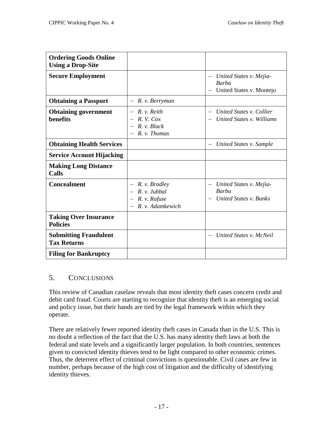| <b>Ordering Goods Online</b><br><b>Using a Drop-Site</b> |                                                                                                   |                                                                                                               |
|----------------------------------------------------------|---------------------------------------------------------------------------------------------------|---------------------------------------------------------------------------------------------------------------|
| <b>Secure Employment</b>                                 |                                                                                                   | United States v. Mejia-<br>$\qquad \qquad -$<br>Barba<br>United States v. Montejo<br>$\overline{\phantom{0}}$ |
| <b>Obtaining a Passport</b>                              | R. v. Berryman                                                                                    |                                                                                                               |
| <b>Obtaining government</b><br>benefits                  | R. v. Reith<br>$R. V.$ Cox<br>R. v. Black<br>R. v. Thomas                                         | United States v. Collier<br>United States v. Williams                                                         |
| <b>Obtaining Health Services</b>                         |                                                                                                   | United States v. Sample<br>$\overline{\phantom{m}}$                                                           |
| <b>Service Account Hijacking</b>                         |                                                                                                   |                                                                                                               |
| <b>Making Long Distance</b><br>Calls                     |                                                                                                   |                                                                                                               |
| <b>Concealment</b>                                       | R. v. Bradley<br>$-$ R. v. Jubbal<br>R. v. Rafuse<br>$\overline{\phantom{m}}$<br>R. v. Adamkewich | United States v. Mejìa-<br><b>Barba</b><br>United States v. Banks                                             |
| <b>Taking Over Insurance</b><br><b>Policies</b>          |                                                                                                   |                                                                                                               |
| <b>Submitting Fraudulent</b><br><b>Tax Returns</b>       |                                                                                                   | United States v. McNeil                                                                                       |
| <b>Filing for Bankruptcy</b>                             |                                                                                                   |                                                                                                               |

# <span id="page-24-0"></span>5. CONCLUSIONS

This review of Canadian caselaw reveals that most identity theft cases concern credit and debit card fraud. Courts are starting to recognize that identity theft is an emerging social and policy issue, but their hands are tied by the legal framework within which they operate.

There are relatively fewer reported identity theft cases in Canada than in the U.S. This is no doubt a reflection of the fact that the U.S. has many identity theft laws at both the federal and state levels and a significantly larger population. In both countries, sentences given to convicted identity thieves tend to be light compared to other economic crimes. Thus, the deterrent effect of criminal convictions is questionable. Civil cases are few in number, perhaps because of the high cost of litigation and the difficulty of identifying identity thieves.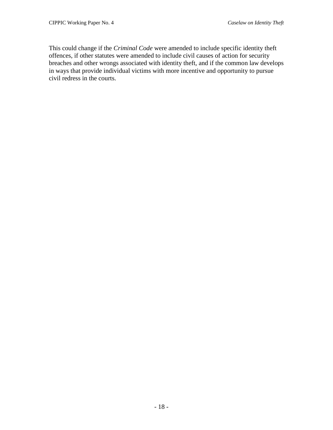This could change if the *Criminal Code* were amended to include specific identity theft offences, if other statutes were amended to include civil causes of action for security breaches and other wrongs associated with identity theft, and if the common law develops in ways that provide individual victims with more incentive and opportunity to pursue civil redress in the courts.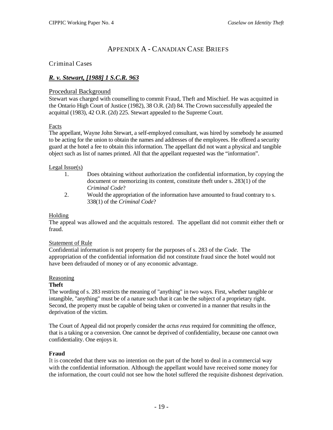# APPENDIX A - CANADIAN CASE BRIEFS

#### <span id="page-26-1"></span><span id="page-26-0"></span>Criminal Cases

## <span id="page-26-2"></span>*R. v. Stewart, [1988] 1 S.C.R. 963*

#### Procedural Background

Stewart was charged with counselling to commit Fraud, Theft and Mischief. He was acquitted in the Ontario High Court of Justice (1982), 38 O.R. (2d) 84. The Crown successfully appealed the acquittal (1983), 42 O.R. (2d) 225. Stewart appealed to the Supreme Court.

#### Facts

The appellant, Wayne John Stewart, a self-employed consultant, was hired by somebody he assumed to be acting for the union to obtain the names and addresses of the employees. He offered a security guard at the hotel a fee to obtain this information. The appellant did not want a physical and tangible object such as list of names printed. All that the appellant requested was the "information".

#### Legal Issue(s)

- 1. Does obtaining without authorization the confidential information, by copying the document or memorizing its content, constitute theft under s. 283(1) of the *Criminal Code*?
- 2. Would the appropriation of the information have amounted to fraud contrary to s. 338(1) of the *Criminal Code*?

#### Holding

The appeal was allowed and the acquittals restored. The appellant did not commit either theft or fraud.

#### Statement of Rule

Confidential information is not property for the purposes of s. 283 of the *Code*. The appropriation of the confidential information did not constitute fraud since the hotel would not have been defrauded of money or of any economic advantage.

#### Reasoning

#### **Theft**

The wording of s. 283 restricts the meaning of "anything" in two ways. First, whether tangible or intangible, "anything" must be of a nature such that it can be the subject of a proprietary right. Second, the property must be capable of being taken or converted in a manner that results in the deprivation of the victim.

The Court of Appeal did not properly consider the *actus reus* required for committing the offence, that is a taking or a conversion. One cannot be deprived of confidentiality, because one cannot own confidentiality. One enjoys it.

#### **Fraud**

It is conceded that there was no intention on the part of the hotel to deal in a commercial way with the confidential information. Although the appellant would have received some money for the information, the court could not see how the hotel suffered the requisite dishonest deprivation.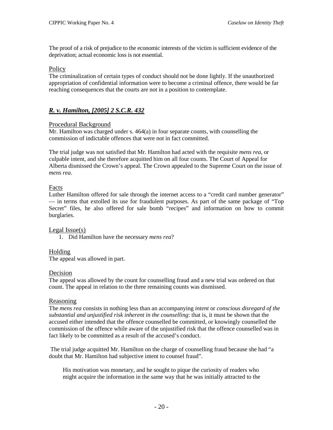The proof of a risk of prejudice to the economic interests of the victim is sufficient evidence of the deprivation; actual economic loss is not essential.

#### **Policy**

The criminalization of certain types of conduct should not be done lightly. If the unauthorized appropriation of confidential information were to become a criminal offence, there would be far reaching consequences that the courts are not in a position to contemplate.

# <span id="page-27-0"></span>*R. v. Hamilton, [2005] 2 S.C.R. 432*

#### Procedural Background

Mr. Hamilton was charged under s. 464(a) in four separate counts, with counselling the commission of indictable offences that were not in fact committed.

The trial judge was not satisfied that Mr. Hamilton had acted with the requisite *mens rea*, or culpable intent, and she therefore acquitted him on all four counts. The Court of Appeal for Alberta dismissed the Crown's appeal. The Crown appealed to the Supreme Court on the issue of *mens rea*.

## Facts

Luther Hamilton offered for sale through the internet access to a "credit card number generator" — in terms that extolled its use for fraudulent purposes. As part of the same package of "Top Secret" files, he also offered for sale bomb "recipes" and information on how to commit burglaries.

#### Legal Issue(s)

1. Did Hamilton have the necessary *mens rea*?

## Holding

The appeal was allowed in part.

#### Decision

The appeal was allowed by the count for counselling fraud and a new trial was ordered on that count. The appeal in relation to the three remaining counts was dismissed.

#### Reasoning

The *mens rea* consists in nothing less than an accompanying *intent* or *conscious disregard of the substantial and unjustified risk inherent in the counselling*: that is, it must be shown that the accused either intended that the offence counselled be committed, or knowingly counselled the commission of the offence while aware of the unjustified risk that the offence counselled was in fact likely to be committed as a result of the accused's conduct.

The trial judge acquitted Mr. Hamilton on the charge of counselling fraud because she had "a doubt that Mr. Hamilton had subjective intent to counsel fraud".

His motivation was monetary, and he sought to pique the curiosity of readers who might acquire the information in the same way that he was initially attracted to the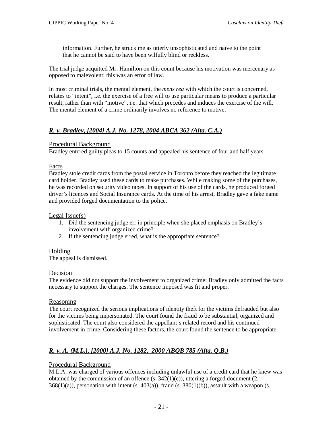information. Further, he struck me as utterly unsophisticated and naïve to the point that he cannot be said to have been wilfully blind or reckless.

The trial judge acquitted Mr. Hamilton on this count because his motivation was mercenary as opposed to malevolent; this was an error of law.

In most criminal trials, the mental element, the *mens rea* with which the court is concerned, relates to "intent", i.e. the exercise of a free will to use particular means to produce a particular result, rather than with "motive", i.e. that which precedes and induces the exercise of the will. The mental element of a crime ordinarily involves no reference to motive.

# <span id="page-28-0"></span>*R. v. Bradley, [2004] A.J. No. 1278, 2004 ABCA 362 (Alta. C.A.)*

#### Procedural Background

Bradley entered guilty pleas to 15 counts and appealed his sentence of four and half years.

#### Facts

Bradley stole credit cards from the postal service in Toronto before they reached the legitimate card holder. Bradley used these cards to make purchases. While making some of the purchases, he was recorded on security video tapes. In support of his use of the cards, he produced forged driver's licences and Social Insurance cards. At the time of his arrest, Bradley gave a fake name and provided forged documentation to the police.

#### Legal Issue(s)

- 1. Did the sentencing judge err in principle when she placed emphasis on Bradley's involvement with organized crime?
- 2. If the sentencing judge erred, what is the appropriate sentence?

#### Holding

The appeal is dismissed.

#### Decision

The evidence did not support the involvement to organized crime; Bradley only admitted the facts necessary to support the charges. The sentence imposed was fit and proper.

#### Reasoning

The court recognized the serious implications of identity theft for the victims defrauded but also for the victims being impersonated. The court found the fraud to be substantial, organized and sophisticated. The court also considered the appellant's related record and his continued involvement in crime. Considering these factors, the court found the sentence to be appropriate.

# <span id="page-28-1"></span>*R. v. A. (M.L.), [2000] A.J. No. 1282, 2000 ABQB 785 (Alta. Q.B.)*

#### Procedural Background

M.L.A. was charged of various offences including unlawful use of a credit card that he knew was obtained by the commission of an offence  $(s. 342(1)(c))$ , uttering a forged document  $(2.$  $368(1)(a)$ ), personation with intent (s. 403(a)), fraud (s. 380(1)(b)), assault with a weapon (s.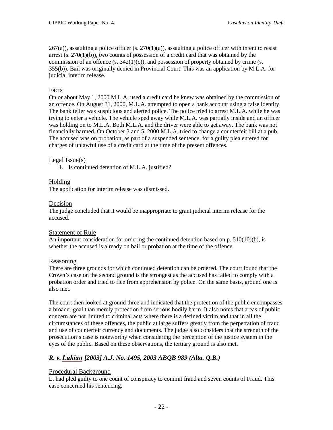$267(a)$ ), assaulting a police officer (s.  $270(1)(a)$ ), assaulting a police officer with intent to resist arrest  $(s. 270(1)(b))$ , two counts of possession of a credit card that was obtained by the commission of an offence (s.  $342(1)(c)$ ), and possession of property obtained by crime (s. 355(b)). Bail was originally denied in Provincial Court. This was an application by M.L.A. for judicial interim release.

## Facts

On or about May 1, 2000 M.L.A. used a credit card he knew was obtained by the commission of an offence. On August 31, 2000, M.L.A. attempted to open a bank account using a false identity. The bank teller was suspicious and alerted police. The police tried to arrest M.L.A. while he was trying to enter a vehicle. The vehicle sped away while M.L.A. was partially inside and an officer was holding on to M.L.A. Both M.L.A. and the driver were able to get away. The bank was not financially harmed. On October 3 and 5, 2000 M.L.A. tried to change a counterfeit bill at a pub. The accused was on probation, as part of a suspended sentence, for a guilty plea entered for charges of unlawful use of a credit card at the time of the present offences.

## Legal Issue(s)

1. Is continued detention of M.L.A. justified?

## Holding

The application for interim release was dismissed.

#### Decision

The judge concluded that it would be inappropriate to grant judicial interim release for the accused.

#### Statement of Rule

An important consideration for ordering the continued detention based on p. 510(10)(b), is whether the accused is already on bail or probation at the time of the offence.

#### Reasoning

There are three grounds for which continued detention can be ordered. The court found that the Crown's case on the second ground is the strongest as the accused has failed to comply with a probation order and tried to flee from apprehension by police. On the same basis, ground one is also met.

The court then looked at ground three and indicated that the protection of the public encompasses a broader goal than merely protection from serious bodily harm. It also notes that areas of public concern are not limited to criminal acts where there is a defined victim and that in all the circumstances of these offences, the public at large suffers greatly from the perpetration of fraud and use of counterfeit currency and documents. The judge also considers that the strength of the prosecution's case is noteworthy when considering the perception of the justice system in the eyes of the public. Based on these observations, the tertiary ground is also met.

# <span id="page-29-1"></span><span id="page-29-0"></span>*R. v. , [2003] A.J. No. 1495, 2003 ABQB 989 (Alta. Q.B.)*

## Procedural Background

L. had pled guilty to one count of conspiracy to commit fraud and seven counts of Fraud. This case concerned his sentencing.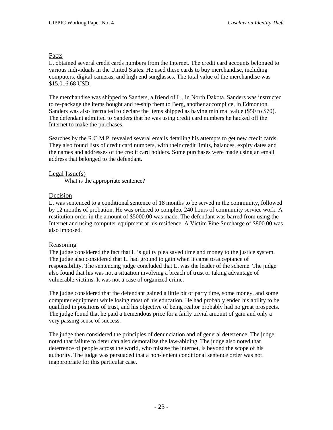#### Facts

L. obtained several credit cards numbers from the Internet. The credit card accounts belonged to various individuals in the United States. He used these cards to buy merchandise, including computers, digital cameras, and high end sunglasses. The total value of the merchandise was \$15,016.68 USD.

The merchandise was shipped to Sanders, a friend of L., in North Dakota. Sanders was instructed to re-package the items bought and re-ship them to Berg, another accomplice, in Edmonton. Sanders was also instructed to declare the items shipped as having minimal value (\$50 to \$70). The defendant admitted to Sanders that he was using credit card numbers he hacked off the Internet to make the purchases.

Searches by the R.C.M.P. revealed several emails detailing his attempts to get new credit cards. They also found lists of credit card numbers, with their credit limits, balances, expiry dates and the names and addresses of the credit card holders. Some purchases were made using an email address that belonged to the defendant.

#### Legal Issue(s)

What is the appropriate sentence?

#### Decision

L. was sentenced to a conditional sentence of 18 months to be served in the community, followed by 12 months of probation. He was ordered to complete 240 hours of community service work. A restitution order in the amount of \$5000.00 was made. The defendant was barred from using the Internet and using computer equipment at his residence. A Victim Fine Surcharge of \$800.00 was also imposed.

#### Reasoning

The judge considered the fact that L.'s guilty plea saved time and money to the justice system. The judge also considered that L. had ground to gain when it came to acceptance of responsibility. The sentencing judge concluded that L. was the leader of the scheme. The judge also found that his was not a situation involving a breach of trust or taking advantage of vulnerable victims. It was not a case of organized crime.

The judge considered that the defendant gained a little bit of party time, some money, and some computer equipment while losing most of his education. He had probably ended his ability to be qualified in positions of trust, and his objective of being realtor probably had no great prospects. The judge found that he paid a tremendous price for a fairly trivial amount of gain and only a very passing sense of success.

The judge then considered the principles of denunciation and of general deterrence. The judge noted that failure to deter can also demoralize the law-abiding. The judge also noted that deterrence of people across the world, who misuse the internet, is beyond the scope of his authority. The judge was persuaded that a non-lenient conditional sentence order was not inappropriate for this particular case.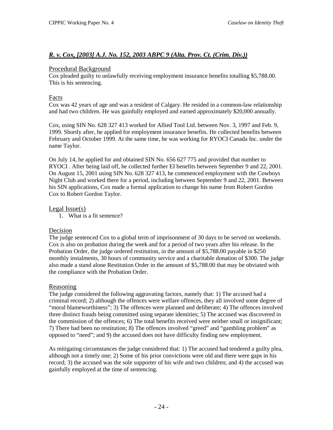## <span id="page-31-0"></span>*R. v. Cox, [2003] A.J. No. 152, 2003 ABPC 9 (Alta. Prov. Ct. (Crim. Div.))*

#### Procedural Background

Cox pleaded guilty to unlawfully receiving employment insurance benefits totalling \$5,788.00. This is his sentencing.

## Facts

Cox was 42 years of age and was a resident of Calgary. He resided in a common-law relationship and had two children. He was gainfully employed and earned approximately \$20,000 annually.

Cox, using SIN No. 628 327 413 worked for Allied Tool Ltd. between Nov. 3, 1997 and Feb. 9, 1999. Shortly after, he applied for employment insurance benefits. He collected benefits between February and October 1999. At the same time, he was working for RYOCI Canada Inc. under the name Taylor.

On July 14, he applied for and obtained SIN No. 656 627 775 and provided that number to RYOCI . After being laid off, he collected further EI benefits between September 9 and 22, 2001. On August 15, 2001 using SIN No. 628 327 413, he commenced employment with the Cowboys Night Club and worked there for a period, including between September 9 and 22, 2001. Between his SIN applications, Cox made a formal application to change his name from Robert Gordon Cox to Robert Gordon Taylor.

#### Legal Issue(s)

1. What is a fit sentence?

## Decision

The judge sentenced Cox to a global term of imprisonment of 30 days to be served on weekends. Cox is also on probation during the week and for a period of two years after his release. In the Probation Order, the judge ordered restitution, in the amount of \$5,788.00 payable in \$250 monthly instalments, 30 hours of community service and a charitable donation of \$300. The judge also made a stand alone Restitution Order in the amount of \$5,788.00 that may be obviated with the compliance with the Probation Order.

## Reasoning

The judge considered the following aggravating factors, namely that: 1) The accused had a criminal record; 2) although the offences were welfare offences, they all involved some degree of "moral blameworthiness"; 3) The offences were planned and deliberate; 4) The offences involved three distinct frauds being committed using separate identities; 5) The accused was discovered in the commission of the offences; 6) The total benefits received were neither small or insignificant; 7) There had been no restitution; 8) The offences involved "greed" and "gambling problem" as opposed to "need"; and 9) the accused does not have difficulty finding new employment.

As mitigating circumstances the judge considered that: 1) The accused had tendered a guilty plea, although not a timely one; 2) Some of his prior convictions were old and there were gaps in his record; 3) the accused was the sole supporter of his wife and two children; and 4) the accused was gainfully employed at the time of sentencing.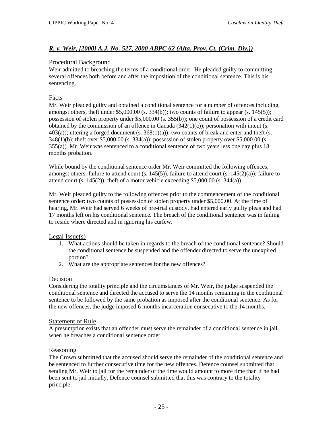## <span id="page-32-0"></span>*R. v. Weir, [2000] A.J. No. 527, 2000 ABPC 62 (Alta. Prov. Ct. (Crim. Div.))*

#### Procedural Background

Weir admitted to breaching the terms of a conditional order. He pleaded guilty to committing several offences both before and after the imposition of the conditional sentence. This is his sentencing.

#### Facts

Mr. Weir pleaded guilty and obtained a conditional sentence for a number of offences including, amongst others, theft under  $$5,000.00$  (s. 334(b)); two counts of failure to appear (s. 145(5)); possession of stolen property under \$5,000.00 (s. 355(b)); one count of possession of a credit card obtained by the commission of an offence in Canada  $(342(1)(c))$ ; personation with intent (s.  $403(a)$ ; uttering a forged document (s.  $368(1)(a)$ ); two counts of break and enter and theft (s. 348(1)(b); theft over \$5,000.00 (s. 334(a)); possession of stolen property over \$5,000.00 (s. 355(a)). Mr. Weir was sentenced to a conditional sentence of two years less one day plus 18 months probation.

While bound by the conditional sentence order Mr. Weir committed the following offences, amongst others: failure to attend court (s. 145(5)), failure to attend court (s. 145(2)(a)); failure to attend court  $(s. 145(2))$ ; theft of a motor vehicle exceeding \$5,000.00  $(s. 344(a))$ .

Mr. Weir pleaded guilty to the following offences prior to the commencement of the conditional sentence order: two counts of possession of stolen property under \$5,000.00. At the time of hearing, Mr. Weir had served 6 weeks of pre-trial custody, had entered early guilty pleas and had 17 months left on his conditional sentence. The breach of the conditional sentence was in failing to reside where directed and in ignoring his curfew.

#### Legal Issue(s)

- 1. What actions should be taken in regards to the breach of the conditional sentence? Should the conditional sentence be suspended and the offender directed to serve the unexpired portion?
- 2. What are the appropriate sentences for the new offences?

#### Decision

Considering the totality principle and the circumstances of Mr. Weir, the judge suspended the conditional sentence and directed the accused to serve the 14 months remaining in the conditional sentence to be followed by the same probation as imposed after the conditional sentence. As for the new offences, the judge imposed 6 months incarceration consecutive to the 14 months.

#### Statement of Rule

A presumption exists that an offender must serve the remainder of a conditional sentence in jail when he breaches a conditional sentence order

#### Reasoning

The Crown submitted that the accused should serve the remainder of the conditional sentence and be sentenced to further consecutive time for the new offences. Defence counsel submitted that sending Mr. Weir to jail for the remainder of the time would amount to more time than if he had been sent to jail initially. Defence counsel submitted that this was contrary to the totality principle.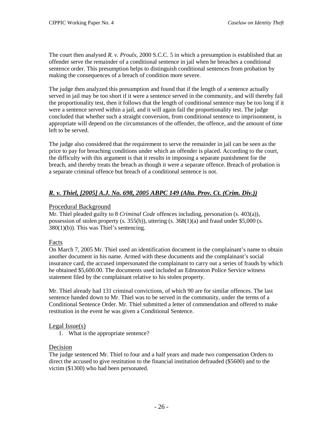The court then analysed *R. v. Proulx*, 2000 S.C.C. 5 in which a presumption is established that an offender serve the remainder of a conditional sentence in jail when he breaches a conditional sentence order. This presumption helps to distinguish conditional sentences from probation by making the consequences of a breach of condition more severe.

The judge then analyzed this presumption and found that if the length of a sentence actually served in jail may be too short if it were a sentence served in the community, and will thereby fail the proportionality test, then it follows that the length of conditional sentence may be too long if it were a sentence served within a jail, and it will again fail the proportionality test. The judge concluded that whether such a straight conversion, from conditional sentence to imprisonment, is appropriate will depend on the circumstances of the offender, the offence, and the amount of time left to be served.

The judge also considered that the requirement to serve the remainder in jail can be seen as the price to pay for breaching conditions under which an offender is placed. According to the court, the difficulty with this argument is that it results in imposing a separate punishment for the breach, and thereby treats the breach as though it were a separate offence. Breach of probation is a separate criminal offence but breach of a conditional sentence is not.

# <span id="page-33-0"></span>*R. v. Thiel, [2005] A.J. No. 698, 2005 ABPC 149 (Alta. Prov. Ct. (Crim. Div.))*

#### Procedural Background

Mr. Thiel pleaded guilty to 8 *Criminal Code* offences including, personation (s. 403(a)), possession of stolen property (s.  $35(6)$ ), uttering (s.  $368(1)(a)$  and fraud under \$5,000 (s. 380(1)(b)). This was Thiel's sentencing.

## Facts

On March 7, 2005 Mr. Thiel used an identification document in the complainant's name to obtain another document in his name. Armed with these documents and the complainant's social insurance card, the accused impersonated the complainant to carry out a series of frauds by which he obtained \$5,600.00. The documents used included an Edmonton Police Service witness statement filed by the complainant relative to his stolen property.

Mr. Thiel already had 131 criminal convictions, of which 90 are for similar offences. The last sentence handed down to Mr. Thiel was to be served in the community, under the terms of a Conditional Sentence Order. Mr. Thiel submitted a letter of commendation and offered to make restitution in the event he was given a Conditional Sentence.

## Legal Issue(s)

1. What is the appropriate sentence?

## Decision

The judge sentenced Mr. Thiel to four and a half years and made two compensation Orders to direct the accused to give restitution to the financial institution defrauded (\$5600) and to the victim (\$1300) who had been personated.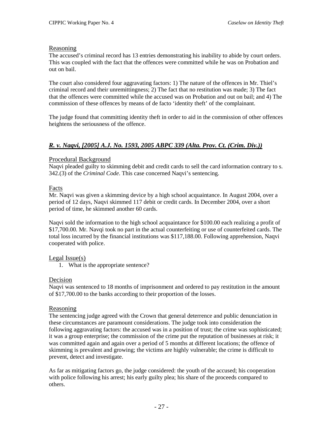#### Reasoning

The accused's criminal record has 13 entries demonstrating his inability to abide by court orders. This was coupled with the fact that the offences were committed while he was on Probation and out on bail.

The court also considered four aggravating factors: 1) The nature of the offences in Mr. Thiel's criminal record and their unremittingness; 2) The fact that no restitution was made; 3) The fact that the offences were committed while the accused was on Probation and out on bail; and 4) The commission of these offences by means of de facto 'identity theft' of the complainant.

The judge found that committing identity theft in order to aid in the commission of other offences heightens the seriousness of the offence.

# <span id="page-34-0"></span>*R. v. Naqvi, [2005] A.J. No. 1593, 2005 ABPC 339 (Alta. Prov. Ct. (Crim. Div.))*

#### Procedural Background

Naqvi pleaded guilty to skimming debit and credit cards to sell the card information contrary to s. 342.(3) of the *Criminal Code*. This case concerned Naqvi's sentencing.

## Facts

Mr. Naqvi was given a skimming device by a high school acquaintance. In August 2004, over a period of 12 days, Naqvi skimmed 117 debit or credit cards. In December 2004, over a short period of time, he skimmed another 60 cards.

Naqvi sold the information to the high school acquaintance for \$100.00 each realizing a profit of \$17,700.00. Mr. Navqi took no part in the actual counterfeiting or use of counterfeited cards. The total loss incurred by the financial institutions was \$117,188.00. Following apprehension, Naqvi cooperated with police.

#### Legal Issue(s)

1. What is the appropriate sentence?

#### Decision

Naqvi was sentenced to 18 months of imprisonment and ordered to pay restitution in the amount of \$17,700.00 to the banks according to their proportion of the losses.

#### Reasoning

The sentencing judge agreed with the Crown that general deterrence and public denunciation in these circumstances are paramount considerations. The judge took into consideration the following aggravating factors: the accused was in a position of trust; the crime was sophisticated; it was a group enterprise; the commission of the crime put the reputation of businesses at risk; it was committed again and again over a period of 5 months at different locations; the offence of skimming is prevalent and growing; the victims are highly vulnerable; the crime is difficult to prevent, detect and investigate.

As far as mitigating factors go, the judge considered: the youth of the accused; his cooperation with police following his arrest; his early guilty plea; his share of the proceeds compared to others.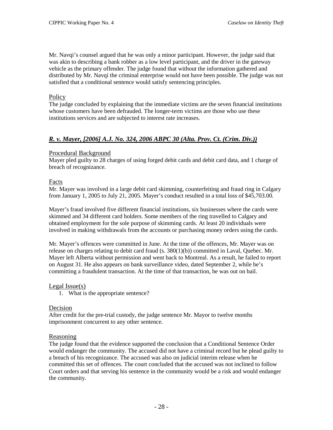Mr. Navqi's counsel argued that he was only a minor participant. However, the judge said that was akin to describing a bank robber as a low level participant, and the driver in the gateway vehicle as the primary offender. The judge found that without the information gathered and distributed by Mr. Navqi the criminal enterprise would not have been possible. The judge was not satisfied that a conditional sentence would satisfy sentencing principles.

#### Policy

The judge concluded by explaining that the immediate victims are the seven financial institutions whose customers have been defrauded. The longer-term victims are those who use these institutions services and are subjected to interest rate increases.

## <span id="page-35-0"></span>*R. v. Mayer, [2006] A.J. No. 324, 2006 ABPC 30 (Alta. Prov. Ct. (Crim. Div.))*

#### Procedural Background

Mayer pled guilty to 28 charges of using forged debit cards and debit card data, and 1 charge of breach of recognizance.

#### Facts

Mr. Mayer was involved in a large debit card skimming, counterfeiting and fraud ring in Calgary from January 1, 2005 to July 21, 2005. Mayer's conduct resulted in a total loss of \$45,703.00.

Mayer's fraud involved five different financial institutions, six businesses where the cards were skimmed and 34 different card holders. Some members of the ring travelled to Calgary and obtained employment for the sole purpose of skimming cards. At least 20 individuals were involved in making withdrawals from the accounts or purchasing money orders using the cards.

Mr. Mayer's offences were committed in June. At the time of the offences, Mr. Mayer was on release on charges relating to debit card fraud (s. 380(1)(b)) committed in Laval, Quebec. Mr. Mayer left Alberta without permission and went back to Montreal. As a result, he failed to report on August 31. He also appears on bank surveillance video, dated September 2, while he's committing a fraudulent transaction. At the time of that transaction, he was out on bail.

#### Legal Issue(s)

1. What is the appropriate sentence?

#### Decision

After credit for the pre-trial custody, the judge sentence Mr. Mayor to twelve months imprisonment concurrent to any other sentence.

#### Reasoning

The judge found that the evidence supported the conclusion that a Conditional Sentence Order would endanger the community. The accused did not have a criminal record but he plead guilty to a breach of his recognizance. The accused was also on judicial interim release when he committed this set of offences. The court concluded that the accused was not inclined to follow Court orders and that serving his sentence in the community would be a risk and would endanger the community.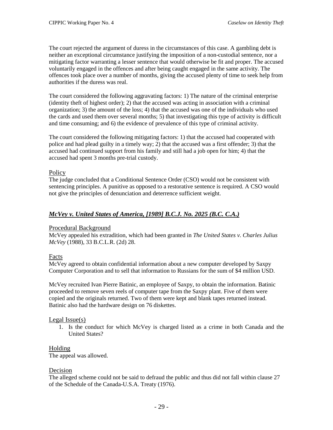The court rejected the argument of duress in the circumstances of this case. A gambling debt is neither an exceptional circumstance justifying the imposition of a non-custodial sentence, nor a mitigating factor warranting a lesser sentence that would otherwise be fit and proper. The accused voluntarily engaged in the offences and after being caught engaged in the same activity. The offences took place over a number of months, giving the accused plenty of time to seek help from authorities if the duress was real.

The court considered the following aggravating factors: 1) The nature of the criminal enterprise (identity theft of highest order); 2) that the accused was acting in association with a criminal organization; 3) the amount of the loss; 4) that the accused was one of the individuals who used the cards and used them over several months; 5) that investigating this type of activity is difficult and time consuming; and 6) the evidence of prevalence of this type of criminal activity.

The court considered the following mitigating factors: 1) that the accused had cooperated with police and had plead guilty in a timely way; 2) that the accused was a first offender; 3) that the accused had continued support from his family and still had a job open for him; 4) that the accused had spent 3 months pre-trial custody.

#### **Policy**

The judge concluded that a Conditional Sentence Order (CSO) would not be consistent with sentencing principles. A punitive as opposed to a restorative sentence is required. A CSO would not give the principles of denunciation and deterrence sufficient weight.

### *McVey v. United States of America, [1989] B.C.J. No. 2025 (B.C. C.A.)*

#### Procedural Background

McVey appealed his extradition, which had been granted in *The United States v. Charles Julius McVey* (1988), 33 B.C.L.R. (2d) 28.

### Facts

McVey agreed to obtain confidential information about a new computer developed by Saxpy Computer Corporation and to sell that information to Russians for the sum of \$4 million USD.

McVey recruited Ivan Pierre Batinic, an employee of Saxpy, to obtain the information. Batinic proceeded to remove seven reels of computer tape from the Saxpy plant. Five of them were copied and the originals returned. Two of them were kept and blank tapes returned instead. Batinic also had the hardware design on 76 diskettes.

#### Legal Issue(s)

1. Is the conduct for which McVey is charged listed as a crime in both Canada and the United States?

### Holding

The appeal was allowed.

#### Decision

The alleged scheme could not be said to defraud the public and thus did not fall within clause 27 of the Schedule of the Canada-U.S.A. Treaty (1976).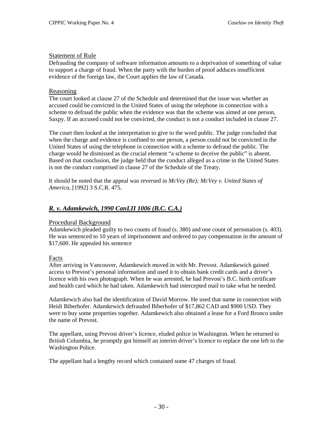### Statement of Rule

Defrauding the company of software information amounts to a deprivation of something of value to support a charge of fraud. When the party with the burden of proof adduces insufficient evidence of the foreign law, the Court applies the law of Canada.

#### Reasoning

The court looked at clause 27 of the Schedule and determined that the issue was whether an accused could be convicted in the United States of using the telephone in connection with a scheme to defraud the public when the evidence was that the scheme was aimed at one person, Saxpy. If an accused could not be convicted, the conduct is not a conduct included in clause 27.

The court then looked at the interpretation to give to the word public. The judge concluded that when the charge and evidence is confined to one person, a person could not be convicted in the United States of using the telephone in connection with a scheme to defraud the public. The charge would be dismissed as the crucial element "a scheme to deceive the public" is absent. Based on that conclusion, the judge held that the conduct alleged as a crime in the United States is not the conduct comprised in clause 27 of the Schedule of the Treaty.

It should be noted that the appeal was reversed in *McVey (Re); McVey v. United States of America*, [1992] 3 S.C.R. 475.

### *R. v. Adamkewich, 1990 CanLII 1006 (B.C. C.A.)*

### Procedural Background

Adamkewich pleaded guilty to two counts of fraud (s. 380) and one count of personation (s. 403). He was sentenced to 10 years of imprisonment and ordered to pay compensation in the amount of \$17,600. He appealed his sentence

#### Facts

After arriving in Vancouver, Adamkewich moved in with Mr. Prevost. Adamkewich gained access to Prevost's personal information and used it to obtain bank credit cards and a driver's licence with his own photograph. When he was arrested, he had Prevost's B.C. birth certificate and health card which he had taken. Adamkewich had intercepted mail to take what he needed.

Adamkewich also had the identification of David Morrow. He used that name in connection with Heidi Biberhofer. Adamkewich defrauded Biberhofer of \$17,862 CAD and \$900 USD. They were to buy some properties together. Adamkewich also obtained a lease for a Ford Bronco under the name of Prevost.

The appellant, using Prevost driver's licence, eluded police in Washington. When he returned to British Columbia, he promptly got himself an interim driver's licence to replace the one left to the Washington Police.

The appellant had a lengthy record which contained some 47 charges of fraud.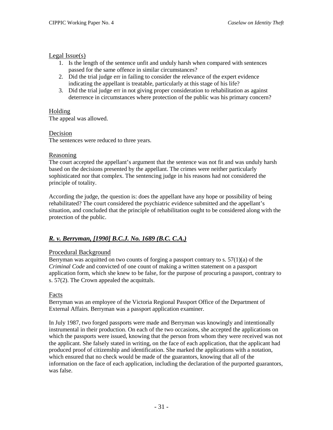### Legal Issue(s)

- 1. Is the length of the sentence unfit and unduly harsh when compared with sentences passed for the same offence in similar circumstances?
- 2. Did the trial judge err in failing to consider the relevance of the expert evidence indicating the appellant is treatable, particularly at this stage of his life?
- 3. Did the trial judge err in not giving proper consideration to rehabilitation as against deterrence in circumstances where protection of the public was his primary concern?

# Holding

The appeal was allowed.

# Decision

The sentences were reduced to three years.

### Reasoning

The court accepted the appellant's argument that the sentence was not fit and was unduly harsh based on the decisions presented by the appellant. The crimes were neither particularly sophisticated nor that complex. The sentencing judge in his reasons had not considered the principle of totality.

According the judge, the question is: does the appellant have any hope or possibility of being rehabilitated? The court considered the psychiatric evidence submitted and the appellant's situation, and concluded that the principle of rehabilitation ought to be considered along with the protection of the public.

# *R. v. Berryman, [1990] B.C.J. No. 1689 (B.C. C.A.)*

# Procedural Background

Berryman was acquitted on two counts of forging a passport contrary to s.  $57(1)(a)$  of the *Criminal Code* and convicted of one count of making a written statement on a passport application form, which she knew to be false, for the purpose of procuring a passport, contrary to s. 57(2). The Crown appealed the acquittals.

# Facts

Berryman was an employee of the Victoria Regional Passport Office of the Department of External Affairs. Berryman was a passport application examiner.

In July 1987, two forged passports were made and Berryman was knowingly and intentionally instrumental in their production. On each of the two occasions, she accepted the applications on which the passports were issued, knowing that the person from whom they were received was not the applicant. She falsely stated in writing, on the face of each application, that the applicant had produced proof of citizenship and identification. She marked the applications with a notation, which ensured that no check would be made of the guarantors, knowing that all of the information on the face of each application, including the declaration of the purported guarantors, was false.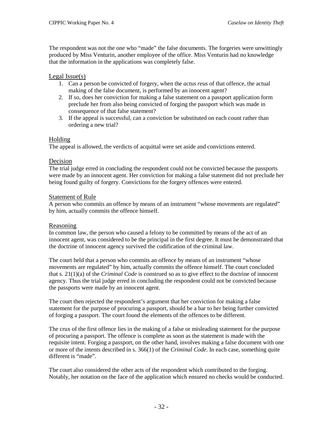The respondent was not the one who "made" the false documents. The forgeries were unwittingly produced by Miss Venturin, another employee of the office. Miss Venturin had no knowledge that the information in the applications was completely false.

### Legal Issue(s)

- 1. Can a person be convicted of forgery, when the *actus reus* of that offence, the actual making of the false document, is performed by an innocent agent?
- 2. If so, does her conviction for making a false statement on a passport application form preclude her from also being convicted of forging the passport which was made in consequence of that false statement?
- 3. If the appeal is successful, can a conviction be substituted on each count rather than ordering a new trial?

### Holding

The appeal is allowed, the verdicts of acquittal were set aside and convictions entered.

### Decision

The trial judge erred in concluding the respondent could not be convicted because the passports were made by an innocent agent. Her conviction for making a false statement did not preclude her being found guilty of forgery. Convictions for the forgery offences were entered.

### Statement of Rule

A person who commits an offence by means of an instrument "whose movements are regulated" by him, actually commits the offence himself.

### Reasoning

In common law, the person who caused a felony to be committed by means of the act of an innocent agent, was considered to be the principal in the first degree. It must be demonstrated that the doctrine of innocent agency survived the codification of the criminal law.

The court held that a person who commits an offence by means of an instrument "whose movements are regulated" by him, actually commits the offence himself. The court concluded that s. 21(1)(a) of the *Criminal Code* is construed so as to give effect to the doctrine of innocent agency. Thus the trial judge erred in concluding the respondent could not be convicted because the passports were made by an innocent agent.

The court then rejected the respondent's argument that her conviction for making a false statement for the purpose of procuring a passport, should be a bar to her being further convicted of forging a passport. The court found the elements of the offences to be different.

The crux of the first offence lies in the making of a false or misleading statement for the purpose of procuring a passport. The offence is complete as soon as the statement is made with the requisite intent. Forging a passport, on the other hand, involves making a false document with one or more of the intents described in s. 366(1) of the *Criminal Code*. In each case, something quite different is "made".

The court also considered the other acts of the respondent which contributed to the forging. Notably, her notation on the face of the application which ensured no checks would be conducted.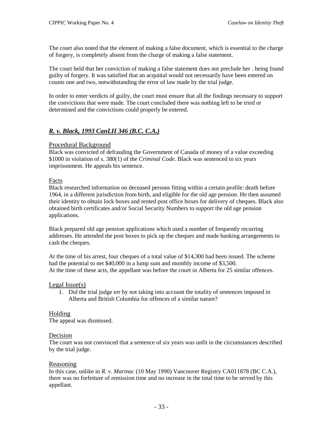The court also noted that the element of making a false document, which is essential to the charge of forgery, is completely absent from the charge of making a false statement.

The court held that her conviction of making a false statement does not preclude her . being found guilty of forgery. It was satisfied that an acquittal would not necessarily have been entered on counts one and two, notwithstanding the error of law made by the trial judge.

In order to enter verdicts of guilty, the court must ensure that all the findings necessary to support the convictions that were made. The court concluded there was nothing left to be tried or determined and the convictions could properly be entered.

# *R. v. Black, 1993 CanLII 346 (B.C. C.A.)*

#### Procedural Background

Black was convicted of defrauding the Government of Canada of money of a value exceeding \$1000 in violation of s. 380(1) of the *Criminal Code*. Black was sentenced to six years imprisonment. He appeals his sentence.

#### Facts

Black researched information on deceased persons fitting within a certain profile: death before 1964, in a different jurisdiction from birth, and eligible for the old age pension. He then assumed their identity to obtain lock boxes and rented post office boxes for delivery of cheques. Black also obtained birth certificates and/or Social Security Numbers to support the old age pension applications.

Black prepared old age pension applications which used a number of frequently recurring addresses. He attended the post boxes to pick up the cheques and made banking arrangements to cash the cheques.

At the time of his arrest, four cheques of a total value of \$14,300 had been issued. The scheme had the potential to net \$40,000 in a lump sum and monthly income of \$3,500. At the time of these acts, the appellant was before the court in Alberta for 25 similar offences.

#### Legal Issue(s)

1. Did the trial judge err by not taking into account the totality of sentences imposed in Alberta and British Columbia for offences of a similar nature?

### Holding

The appeal was dismissed.

#### Decision

The court was not convinced that a sentence of six years was unfit in the circumstances described by the trial judge.

### Reasoning

In this case, unlike in *R. v. Marinac* (10 May 1990) Vancouver Registry CA011878 (BC C.A.), there was no forfeiture of remission time and no increase in the total time to be served by this appellant.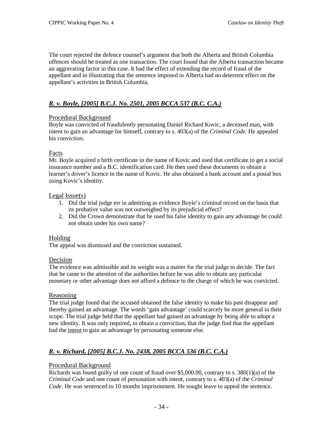The court rejected the defence counsel's argument that both the Alberta and British Columbia offences should be treated as one transaction. The court found that the Alberta transaction became an aggravating factor in this case. It had the effect of extending the record of fraud of the appellant and in illustrating that the sentence imposed in Alberta had no deterrent effect on the appellant's activities in British Columbia.

# *R. v. Boyle, [2005] B.C.J. No. 2501, 2005 BCCA 537 (B.C. C.A.)*

# Procedural Background

Boyle was convicted of fraudulently personating Daniel Richard Kovic, a deceased man, with intent to gain an advantage for himself, contrary to s. 403(a) of the *Criminal Code*. He appealed his conviction.

### Facts

Mr. Boyle acquired a birth certificate in the name of Kovic and used that certificate to get a social insurance number and a B.C. identification card. He then used these documents to obtain a learner's driver's licence in the name of Kovic. He also obtained a bank account and a postal box using Kovic's identity.

### Legal Issue(s)

- 1. Did the trial judge err in admitting as evidence Boyle's criminal record on the basis that its probative value was not outweighed by its prejudicial effect?
- 2. Did the Crown demonstrate that he used his false identity to gain any advantage he could not obtain under his own name?

### Holding

The appeal was dismissed and the conviction sustained.

### Decision

The evidence was admissible and its weight was a matter for the trial judge to decide. The fact that he came to the attention of the authorities before he was able to obtain any particular monetary or other advantage does not afford a defence to the charge of which he was convicted.

### **Reasoning**

The trial judge found that the accused obtained the false identity to make his past disappear and thereby gained an advantage. The words 'gain advantage' could scarcely be more general in their scope. The trial judge held that the appellant had gained an advantage by being able to adopt a new identity. It was only required, to obtain a conviction, that the judge find that the appellant had the intent to gain an advantage by personating someone else.

# *R. v. Richard, [2005] B.C.J. No. 2438, 2005 BCCA 536 (B.C. C.A.)*

# Procedural Background

Richards was found guilty of one count of fraud over  $$5,000.00$ , contrary to s. 380(1)(a) of the *Criminal Code* and one count of personation with intent, contrary to s. 403(a) of the *Criminal Code*. He was sentenced to 10 months imprisonment. He sought leave to appeal the sentence.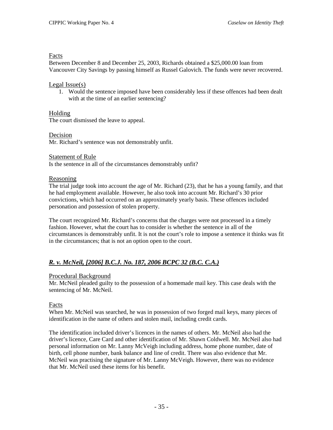### Facts

Between December 8 and December 25, 2003, Richards obtained a \$25,000.00 loan from Vancouver City Savings by passing himself as Russel Galovich. The funds were never recovered.

### Legal Issue(s)

1. Would the sentence imposed have been considerably less if these offences had been dealt with at the time of an earlier sentencing?

# Holding

The court dismissed the leave to appeal.

### Decision

Mr. Richard's sentence was not demonstrably unfit.

### Statement of Rule

Is the sentence in all of the circumstances demonstrably unfit?

### Reasoning

The trial judge took into account the age of Mr. Richard (23), that he has a young family, and that he had employment available. However, he also took into account Mr. Richard's 30 prior convictions, which had occurred on an approximately yearly basis. These offences included personation and possession of stolen property.

The court recognized Mr. Richard's concerns that the charges were not processed in a timely fashion. However, what the court has to consider is whether the sentence in all of the circumstances is demonstrably unfit. It is not the court's role to impose a sentence it thinks was fit in the circumstances; that is not an option open to the court.

# *R. v. McNeil, [2006] B.C.J. No. 187, 2006 BCPC 32 (B.C. C.A.)*

# Procedural Background

Mr. McNeil pleaded guilty to the possession of a homemade mail key. This case deals with the sentencing of Mr. McNeil.

# Facts

When Mr. McNeil was searched, he was in possession of two forged mail keys, many pieces of identification in the name of others and stolen mail, including credit cards.

The identification included driver's licences in the names of others. Mr. McNeil also had the driver's licence, Care Card and other identification of Mr. Shawn Coldwell. Mr. McNeil also had personal information on Mr. Lanny McVeigh including address, home phone number, date of birth, cell phone number, bank balance and line of credit. There was also evidence that Mr. McNeil was practising the signature of Mr. Lanny McVeigh. However, there was no evidence that Mr. McNeil used these items for his benefit.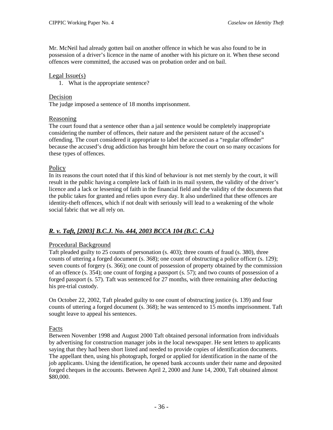Mr. McNeil had already gotten bail on another offence in which he was also found to be in possession of a driver's licence in the name of another with his picture on it. When these second offences were committed, the accused was on probation order and on bail.

### Legal Issue(s)

1. What is the appropriate sentence?

### Decision

The judge imposed a sentence of 18 months imprisonment.

### Reasoning

The court found that a sentence other than a jail sentence would be completely inappropriate considering the number of offences, their nature and the persistent nature of the accused's offending. The court considered it appropriate to label the accused as a "regular offender" because the accused's drug addiction has brought him before the court on so many occasions for these types of offences.

### **Policy**

In its reasons the court noted that if this kind of behaviour is not met sternly by the court, it will result in the public having a complete lack of faith in its mail system, the validity of the driver's licence and a lack or lessening of faith in the financial field and the validity of the documents that the public takes for granted and relies upon every day. It also underlined that these offences are identity-theft offences, which if not dealt with seriously will lead to a weakening of the whole social fabric that we all rely on.

# *R. v. Taft, [2003] B.C.J. No. 444, 2003 BCCA 104 (B.C. C.A.)*

# Procedural Background

Taft pleaded guilty to 25 counts of personation (s. 403); three counts of fraud (s. 380), three counts of uttering a forged document (s. 368); one count of obstructing a police officer (s. 129); seven counts of forgery (s. 366); one count of possession of property obtained by the commission of an offence (s. 354); one count of forging a passport (s. 57); and two counts of possession of a forged passport (s. 57). Taft was sentenced for 27 months, with three remaining after deducting his pre-trial custody.

On October 22, 2002, Taft pleaded guilty to one count of obstructing justice (s. 139) and four counts of uttering a forged document (s. 368); he was sentenced to 15 months imprisonment. Taft sought leave to appeal his sentences.

# Facts

Between November 1998 and August 2000 Taft obtained personal information from individuals by advertising for construction manager jobs in the local newspaper. He sent letters to applicants saying that they had been short listed and needed to provide copies of identification documents. The appellant then, using his photograph, forged or applied for identification in the name of the job applicants. Using the identification, he opened bank accounts under their name and deposited forged cheques in the accounts. Between April 2, 2000 and June 14, 2000, Taft obtained almost \$80,000.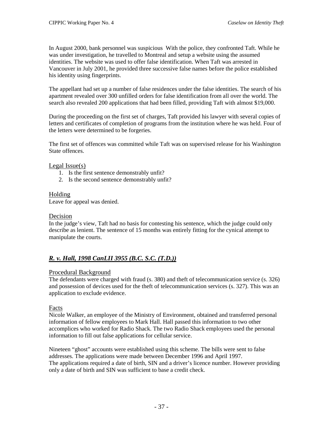In August 2000, bank personnel was suspicious With the police, they confronted Taft. While he was under investigation, he travelled to Montreal and setup a website using the assumed identities. The website was used to offer false identification. When Taft was arrested in Vancouver in July 2001, he provided three successive false names before the police established his identity using fingerprints.

The appellant had set up a number of false residences under the false identities. The search of his apartment revealed over 300 unfilled orders for false identification from all over the world. The search also revealed 200 applications that had been filled, providing Taft with almost \$19,000.

During the proceeding on the first set of charges, Taft provided his lawyer with several copies of letters and certificates of completion of programs from the institution where he was held. Four of the letters were determined to be forgeries.

The first set of offences was committed while Taft was on supervised release for his Washington State offences.

### Legal Issue(s)

- 1. Is the first sentence demonstrably unfit?
- 2. Is the second sentence demonstrably unfit?

### Holding

Leave for appeal was denied.

### Decision

In the judge's view, Taft had no basis for contesting his sentence, which the judge could only describe as lenient. The sentence of 15 months was entirely fitting for the cynical attempt to manipulate the courts.

# *R. v. Hall, 1998 CanLII 3955 (B.C. S.C. (T.D.))*

### Procedural Background

The defendants were charged with fraud (s. 380) and theft of telecommunication service (s. 326) and possession of devices used for the theft of telecommunication services (s. 327). This was an application to exclude evidence.

### Facts

Nicole Walker, an employee of the Ministry of Environment, obtained and transferred personal information of fellow employees to Mark Hall. Hall passed this information to two other accomplices who worked for Radio Shack. The two Radio Shack employees used the personal information to fill out false applications for cellular service.

Nineteen "ghost" accounts were established using this scheme. The bills were sent to false addresses. The applications were made between December 1996 and April 1997. The applications required a date of birth, SIN and a driver's licence number. However providing only a date of birth and SIN was sufficient to base a credit check.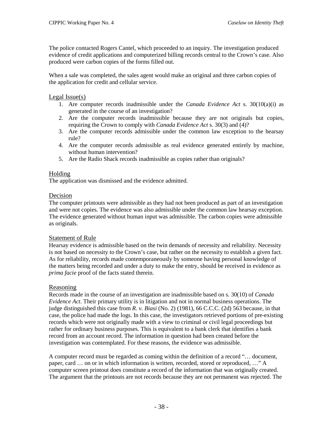The police contacted Rogers Cantel, which proceeded to an inquiry. The investigation produced evidence of credit applications and computerized billing records central to the Crown's case. Also produced were carbon copies of the forms filled out.

When a sale was completed, the sales agent would make an original and three carbon copies of the application for credit and cellular service.

Legal Issue(s)

- 1. Are computer records inadmissible under the *Canada Evidence Act* s. 30(10(a)(i) as generated in the course of an investigation?
- 2. Are the computer records inadmissible because they are not originals but copies, requiring the Crown to comply with *Canada Evidence Act* s. 30(3) and (4)?
- 3. Are the computer records admissible under the common law exception to the hearsay rule?
- 4. Are the computer records admissible as real evidence generated entirely by machine, without human intervention?
- 5. Are the Radio Shack records inadmissible as copies rather than originals?

### Holding

The application was dismissed and the evidence admitted.

### Decision

The computer printouts were admissible as they had not been produced as part of an investigation and were not copies. The evidence was also admissible under the common law hearsay exception. The evidence generated without human input was admissible. The carbon copies were admissible as originals.

### Statement of Rule

Hearsay evidence is admissible based on the twin demands of necessity and reliability. Necessity is not based on necessity to the Crown's case, but rather on the necessity to establish a given fact. As for reliability, records made contemporaneously by someone having personal knowledge of the matters being recorded and under a duty to make the entry, should be received in evidence as *prima facie* proof of the facts stated therein.

# Reasoning

Records made in the course of an investigation are inadmissible based on s. 30(10) of *Canada Evidence Act*. Their primary utility is in litigation and not in normal business operations. The judge distinguished this case from *R. v. Biasi* (No. 2) (1981), 66 C.C.C. (2d) 563 because, in that case, the police had made the logs. In this case, the investigators retrieved portions of pre-existing records which were not originally made with a view to criminal or civil legal proceedings but rather for ordinary business purposes. This is equivalent to a bank clerk that identifies a bank record from an account record. The information in question had been created before the investigation was contemplated. For these reasons, the evidence was admissible.

A computer record must be regarded as coming within the definition of a record "… document, paper, card … on or in which information is written, recorded, stored or reproduced, …" A computer screen printout does constitute a record of the information that was originally created. The argument that the printouts are not records because they are not permanent was rejected. The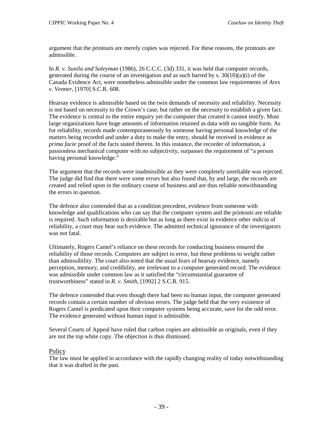argument that the printouts are merely copies was rejected. For these reasons, the printouts are admissible.

In *R. v. Sunila and Soleyman* (1986), 26 C.C.C. (3d) 331, it was held that computer records, generated during the course of an investigation and as such barred by s.  $30(10)(a)(i)$  of the Canada Evidence Act, were nonetheless admissible under the common law requirements of *Ares v. Venner*, [1970] S.C.R. 608.

Hearsay evidence is admissible based on the twin demands of necessity and reliability. Necessity is not based on necessity to the Crown's case, but rather on the necessity to establish a given fact. The evidence is central to the entire enquiry yet the computer that created it cannot testify. Most large organizations have huge amounts of information retained as data with no tangible form. As for reliability, records made contemporaneously by someone having personal knowledge of the matters being recorded and under a duty to make the entry, should be received in evidence as *prima facie* proof of the facts stated therein. In this instance, the recorder of information, a passionless mechanical computer with no subjectivity, surpasses the requirement of "a person having personal knowledge."

The argument that the records were inadmissible as they were completely unreliable was rejected. The judge did find that there were some errors but also found that, by and large, the records are created and relied upon in the ordinary course of business and are thus reliable notwithstanding the errors in question.

The defence also contended that as a condition precedent, evidence from someone with knowledge and qualifications who can say that the computer system and the printouts are reliable is required. Such information is desirable but as long as there exist in evidence other *indicia* of reliability, a court may hear such evidence. The admitted technical ignorance of the investigators was not fatal.

Ultimately, Rogers Cantel's reliance on these records for conducting business ensured the reliability of those records. Computers are subject to error, but these problems to weight rather than admissibility. The court also noted that the usual fears of hearsay evidence, namely perception, memory, and credibility, are irrelevant to a computer generated record. The evidence was admissible under common law as it satisfied the "circumstantial guarantee of trustworthiness" stated in *R. v. Smith*, [1992] 2 S.C.R. 915.

The defence contended that even though there had been no human input, the computer generated records contain a certain number of obvious errors. The judge held that the very existence of Rogers Cantel is predicated upon their computer systems being accurate, save for the odd error. The evidence generated without human input is admissible.

Several Courts of Appeal have ruled that carbon copies are admissible as originals, even if they are not the top white copy. The objection is thus dismissed.

### **Policy**

The law must be applied in accordance with the rapidly changing reality of today notwithstanding that it was drafted in the past.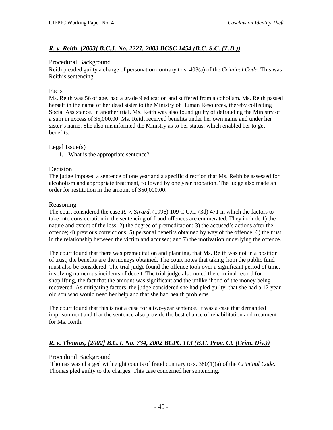# *R. v. Reith, [2003] B.C.J. No. 2227, 2003 BCSC 1454 (B.C. S.C. (T.D.))*

#### Procedural Background

Reith pleaded guilty a charge of personation contrary to s. 403(a) of the *Criminal Code*. This was Reith's sentencing.

### Facts

Ms. Reith was 56 of age, had a grade 9 education and suffered from alcoholism. Ms. Reith passed herself in the name of her dead sister to the Ministry of Human Resources, thereby collecting Social Assistance. In another trial, Ms. Reith was also found guilty of defrauding the Ministry of a sum in excess of \$5,000.00. Ms. Reith received benefits under her own name and under her sister's name. She also misinformed the Ministry as to her status, which enabled her to get benefits.

### Legal Issue(s)

1. What is the appropriate sentence?

### Decision

The judge imposed a sentence of one year and a specific direction that Ms. Reith be assessed for alcoholism and appropriate treatment, followed by one year probation. The judge also made an order for restitution in the amount of \$50,000.00.

#### Reasoning

The court considered the case *R. v. Sivard*, (1996) 109 C.C.C. (3d) 471 in which the factors to take into consideration in the sentencing of fraud offences are enumerated. They include 1) the nature and extent of the loss; 2) the degree of premeditation; 3) the accused's actions after the offence; 4) previous convictions; 5) personal benefits obtained by way of the offence; 6) the trust in the relationship between the victim and accused; and 7) the motivation underlying the offence.

The court found that there was premeditation and planning, that Ms. Reith was not in a position of trust; the benefits are the moneys obtained. The court notes that taking from the public fund must also be considered. The trial judge found the offence took over a significant period of time, involving numerous incidents of deceit. The trial judge also noted the criminal record for shoplifting, the fact that the amount was significant and the unlikelihood of the money being recovered. As mitigating factors, the judge considered she had pled guilty, that she had a 12-year old son who would need her help and that she had health problems.

The court found that this is not a case for a two-year sentence. It was a case that demanded imprisonment and that the sentence also provide the best chance of rehabilitation and treatment for Ms. Reith.

# *R. v. Thomas, [2002] B.C.J. No. 734, 2002 BCPC 113 (B.C. Prov. Ct. (Crim. Div.))*

### Procedural Background

Thomas was charged with eight counts of fraud contrary to s. 380(1)(a) of the *Criminal Code*. Thomas pled guilty to the charges. This case concerned her sentencing.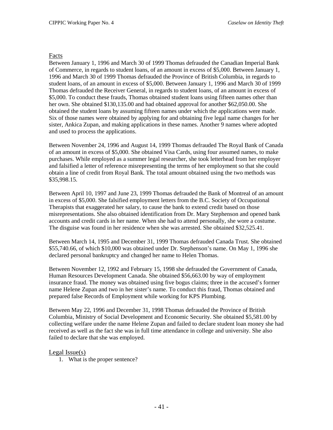#### Facts

Between January 1, 1996 and March 30 of 1999 Thomas defrauded the Canadian Imperial Bank of Commerce, in regards to student loans, of an amount in excess of \$5,000. Between January 1, 1996 and March 30 of 1999 Thomas defrauded the Province of British Columbia, in regards to student loans, of an amount in excess of \$5,000. Between January 1, 1996 and March 30 of 1999 Thomas defrauded the Receiver General, in regards to student loans, of an amount in excess of \$5,000. To conduct these frauds, Thomas obtained student loans using fifteen names other than her own. She obtained \$130,135.00 and had obtained approval for another \$62,050.00. She obtained the student loans by assuming fifteen names under which the applications were made. Six of those names were obtained by applying for and obtaining five legal name changes for her sister, Ankica Zupan, and making applications in these names. Another 9 names where adopted and used to process the applications.

Between November 24, 1996 and August 14, 1999 Thomas defrauded The Royal Bank of Canada of an amount in excess of \$5,000. She obtained Visa Cards, using four assumed names, to make purchases. While employed as a summer legal researcher, she took letterhead from her employer and falsified a letter of reference misrepresenting the terms of her employment so that she could obtain a line of credit from Royal Bank. The total amount obtained using the two methods was \$35,998.15.

Between April 10, 1997 and June 23, 1999 Thomas defrauded the Bank of Montreal of an amount in excess of \$5,000. She falsified employment letters from the B.C. Society of Occupational Therapists that exaggerated her salary, to cause the bank to extend credit based on those misrepresentations. She also obtained identification from Dr. Mary Stephenson and opened bank accounts and credit cards in her name. When she had to attend personally, she wore a costume. The disguise was found in her residence when she was arrested. She obtained \$32,525.41.

Between March 14, 1995 and December 31, 1999 Thomas defrauded Canada Trust. She obtained \$55,740.66, of which \$10,000 was obtained under Dr. Stephenson's name. On May 1, 1996 she declared personal bankruptcy and changed her name to Helen Thomas.

Between November 12, 1992 and February 15, 1998 she defrauded the Government of Canada, Human Resources Development Canada. She obtained \$56,663.00 by way of employment insurance fraud. The money was obtained using five bogus claims; three in the accused's former name Helene Zupan and two in her sister's name. To conduct this fraud, Thomas obtained and prepared false Records of Employment while working for KPS Plumbing.

Between May 22, 1996 and December 31, 1998 Thomas defrauded the Province of British Columbia, Ministry of Social Development and Economic Security. She obtained \$5,581.00 by collecting welfare under the name Helene Zupan and failed to declare student loan money she had received as well as the fact she was in full time attendance in college and university. She also failed to declare that she was employed.

### Legal Issue(s)

1. What is the proper sentence?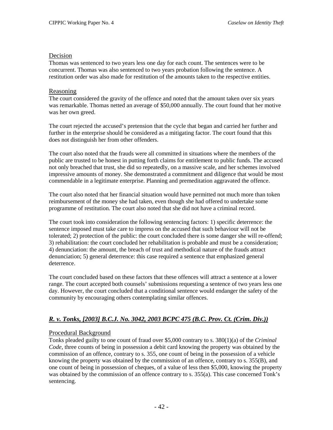#### Decision

Thomas was sentenced to two years less one day for each count. The sentences were to be concurrent. Thomas was also sentenced to two years probation following the sentence. A restitution order was also made for restitution of the amounts taken to the respective entities.

#### Reasoning

The court considered the gravity of the offence and noted that the amount taken over six years was remarkable. Thomas netted an average of \$50,000 annually. The court found that her motive was her own greed.

The court rejected the accused's pretension that the cycle that began and carried her further and further in the enterprise should be considered as a mitigating factor. The court found that this does not distinguish her from other offenders.

The court also noted that the frauds were all committed in situations where the members of the public are trusted to be honest in putting forth claims for entitlement to public funds. The accused not only breached that trust, she did so repeatedly, on a massive scale, and her schemes involved impressive amounts of money. She demonstrated a commitment and diligence that would be most commendable in a legitimate enterprise. Planning and premeditation aggravated the offence.

The court also noted that her financial situation would have permitted not much more than token reimbursement of the money she had taken, even though she had offered to undertake some programme of restitution. The court also noted that she did not have a criminal record.

The court took into consideration the following sentencing factors: 1) specific deterrence: the sentence imposed must take care to impress on the accused that such behaviour will not be tolerated; 2) protection of the public: the court concluded there is some danger she will re-offend; 3) rehabilitation: the court concluded her rehabilitation is probable and must be a consideration; 4) denunciation: the amount, the breach of trust and methodical nature of the frauds attract denunciation; 5) general deterrence: this case required a sentence that emphasized general deterrence.

The court concluded based on these factors that these offences will attract a sentence at a lower range. The court accepted both counsels' submissions requesting a sentence of two years less one day. However, the court concluded that a conditional sentence would endanger the safety of the community by encouraging others contemplating similar offences.

# *R. v. Tonks, [2003] B.C.J. No. 3042, 2003 BCPC 475 (B.C. Prov. Ct. (Crim. Div.))*

### Procedural Background

Tonks pleaded guilty to one count of fraud over \$5,000 contrary to s. 380(1)(a) of the *Criminal Code*, three counts of being in possession a debit card knowing the property was obtained by the commission of an offence, contrary to s. 355, one count of being in the possession of a vehicle knowing the property was obtained by the commission of an offence, contrary to s. 355(B), and one count of being in possession of cheques, of a value of less then \$5,000, knowing the property was obtained by the commission of an offence contrary to s. 355(a). This case concerned Tonk's sentencing.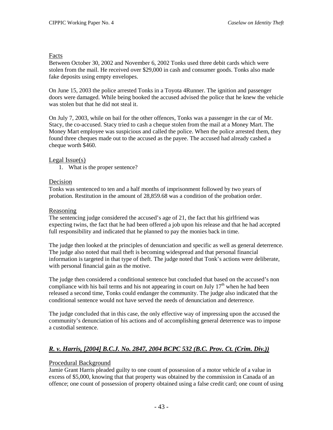### Facts

Between October 30, 2002 and November 6, 2002 Tonks used three debit cards which were stolen from the mail. He received over \$29,000 in cash and consumer goods. Tonks also made fake deposits using empty envelopes.

On June 15, 2003 the police arrested Tonks in a Toyota 4Runner. The ignition and passenger doors were damaged. While being booked the accused advised the police that he knew the vehicle was stolen but that he did not steal it.

On July 7, 2003, while on bail for the other offences, Tonks was a passenger in the car of Mr. Stacy, the co-accused. Stacy tried to cash a cheque stolen from the mail at a Money Mart. The Money Mart employee was suspicious and called the police. When the police arrested them, they found three cheques made out to the accused as the payee. The accused had already cashed a cheque worth \$460.

### Legal Issue(s)

1. What is the proper sentence?

### Decision

Tonks was sentenced to ten and a half months of imprisonment followed by two years of probation. Restitution in the amount of 28,859.68 was a condition of the probation order.

### Reasoning

The sentencing judge considered the accused's age of 21, the fact that his girlfriend was expecting twins, the fact that he had been offered a job upon his release and that he had accepted full responsibility and indicated that he planned to pay the monies back in time.

The judge then looked at the principles of denunciation and specific as well as general deterrence. The judge also noted that mail theft is becoming widespread and that personal financial information is targeted in that type of theft. The judge noted that Tonk's actions were deliberate, with personal financial gain as the motive.

The judge then considered a conditional sentence but concluded that based on the accused's non compliance with his bail terms and his not appearing in court on July  $17<sup>th</sup>$  when he had been released a second time, Tonks could endanger the community. The judge also indicated that the conditional sentence would not have served the needs of denunciation and deterrence.

The judge concluded that in this case, the only effective way of impressing upon the accused the community's denunciation of his actions and of accomplishing general deterrence was to impose a custodial sentence.

# *R. v. Harris, [2004] B.C.J. No. 2847, 2004 BCPC 532 (B.C. Prov. Ct. (Crim. Div.))*

# Procedural Background

Jamie Grant Harris pleaded guilty to one count of possession of a motor vehicle of a value in excess of \$5,000, knowing that that property was obtained by the commission in Canada of an offence; one count of possession of property obtained using a false credit card; one count of using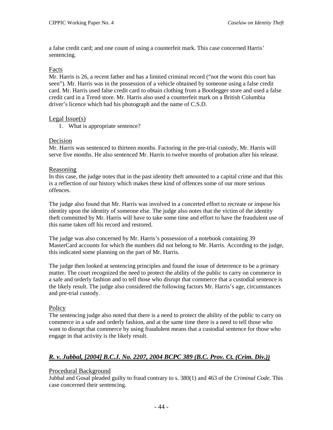a false credit card; and one count of using a counterfeit mark. This case concerned Harris' sentencing.

### Facts

Mr. Harris is 26, a recent father and has a limited criminal record ("not the worst this court has seen"). Mr. Harris was in the possession of a vehicle obtained by someone using a false credit card. Mr. Harris used false credit card to obtain clothing from a Bootlegger store and used a false credit card in a Trend store. Mr. Harris also used a counterfeit mark on a British Columbia driver's licence which had his photograph and the name of C.S.D.

### Legal Issue(s)

1. What is appropriate sentence?

# Decision

Mr. Harris was sentenced to thirteen months. Factoring in the pre-trial custody, Mr. Harris will serve five months. He also sentenced Mr. Harris to twelve months of probation after his release.

### Reasoning

In this case, the judge notes that in the past identity theft amounted to a capital crime and that this is a reflection of our history which makes these kind of offences some of our more serious offences.

The judge also found that Mr. Harris was involved in a concerted effort to recreate or impose his identity upon the identity of someone else. The judge also notes that the victim of the identity theft committed by Mr. Harris will have to take some time and effort to have the fraudulent use of this name taken off his record and restored.

The judge was also concerned by Mr. Harris's possession of a notebook containing 39 MasterCard accounts for which the numbers did not belong to Mr. Harris. According to the judge, this indicated some planning on the part of Mr. Harris.

The judge then looked at sentencing principles and found the issue of deterrence to be a primary matter. The court recognized the need to protect the ability of the public to carry on commerce in a safe and orderly fashion and to tell those who disrupt that commerce that a custodial sentence is the likely result. The judge also considered the following factors Mr. Harris's age, circumstances and pre-trial custody.

# **Policy**

The sentencing judge also noted that there is a need to protect the ability of the public to carry on commerce in a safe and orderly fashion, and at the same time there is a need to tell those who want to disrupt that commerce by using fraudulent means that a custodial sentence for those who engage in that activity is the likely result.

# *R. v. Jubbal, [2004] B.C.J. No. 2207, 2004 BCPC 389 (B.C. Prov. Ct. (Crim. Div.))*

# Procedural Background

Jubbal and Gosal pleaded guilty to fraud contrary to s. 380(1) and 463 of the *Criminal Code*. This case concerned their sentencing.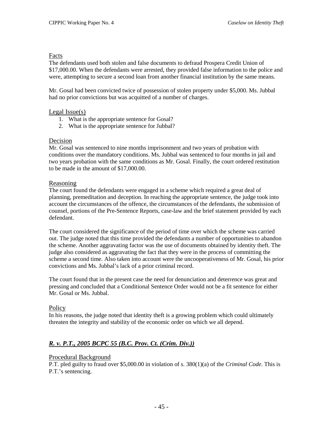### Facts

The defendants used both stolen and false documents to defraud Prospera Credit Union of \$17,000.00. When the defendants were arrested, they provided false information to the police and were, attempting to secure a second loan from another financial institution by the same means.

Mr. Gosal had been convicted twice of possession of stolen property under \$5,000. Ms. Jubbal had no prior convictions but was acquitted of a number of charges.

### Legal Issue(s)

- 1. What is the appropriate sentence for Gosal?
- 2. What is the appropriate sentence for Jubbal?

### Decision

Mr. Gosal was sentenced to nine months imprisonment and two years of probation with conditions over the mandatory conditions. Ms. Jubbal was sentenced to four months in jail and two years probation with the same conditions as Mr. Gosal. Finally, the court ordered restitution to be made in the amount of \$17,000.00.

### Reasoning

The court found the defendants were engaged in a scheme which required a great deal of planning, premeditation and deception. In reaching the appropriate sentence, the judge took into account the circumstances of the offence, the circumstances of the defendants, the submission of counsel, portions of the Pre-Sentence Reports, case-law and the brief statement provided by each defendant.

The court considered the significance of the period of time over which the scheme was carried out. The judge noted that this time provided the defendants a number of opportunities to abandon the scheme. Another aggravating factor was the use of documents obtained by identity theft. The judge also considered as aggravating the fact that they were in the process of committing the scheme a second time. Also taken into account were the uncooperativeness of Mr. Gosal, his prior convictions and Ms. Jubbal's lack of a prior criminal record.

The court found that in the present case the need for denunciation and deterrence was great and pressing and concluded that a Conditional Sentence Order would not be a fit sentence for either Mr. Gosal or Ms. Jubbal.

# **Policy**

In his reasons, the judge noted that identity theft is a growing problem which could ultimately threaten the integrity and stability of the economic order on which we all depend.

# *R. v. P.T., 2005 BCPC 55 (B.C. Prov. Ct. (Crim. Div.))*

### Procedural Background

P.T. pled guilty to fraud over \$5,000.00 in violation of s. 380(1)(a) of the *Criminal Code*. This is P.T.'s sentencing.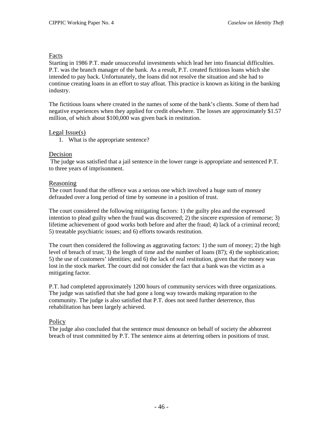### Facts

Starting in 1986 P.T. made unsuccessful investments which lead her into financial difficulties. P.T. was the branch manager of the bank. As a result, P.T. created fictitious loans which she intended to pay back. Unfortunately, the loans did not resolve the situation and she had to continue creating loans in an effort to stay afloat. This practice is known as kiting in the banking industry.

The fictitious loans where created in the names of some of the bank's clients. Some of them had negative experiences when they applied for credit elsewhere. The losses are approximately \$1.57 million, of which about \$100,000 was given back in restitution.

### Legal Issue(s)

1. What is the appropriate sentence?

#### Decision

The judge was satisfied that a jail sentence in the lower range is appropriate and sentenced P.T. to three years of imprisonment.

#### Reasoning

The court found that the offence was a serious one which involved a huge sum of money defrauded over a long period of time by someone in a position of trust.

The court considered the following mitigating factors: 1) the guilty plea and the expressed intention to plead guilty when the fraud was discovered; 2) the sincere expression of remorse; 3) lifetime achievement of good works both before and after the fraud; 4) lack of a criminal record; 5) treatable psychiatric issues; and 6) efforts towards restitution.

The court then considered the following as aggravating factors: 1) the sum of money; 2) the high level of breach of trust; 3) the length of time and the number of loans (87); 4) the sophistication; 5) the use of customers' identities; and 6) the lack of real restitution, given that the money was lost in the stock market. The court did not consider the fact that a bank was the victim as a mitigating factor.

P.T. had completed approximately 1200 hours of community services with three organizations. The judge was satisfied that she had gone a long way towards making reparation to the community. The judge is also satisfied that P.T. does not need further deterrence, thus rehabilitation has been largely achieved.

### **Policy**

The judge also concluded that the sentence must denounce on behalf of society the abhorrent breach of trust committed by P.T. The sentence aims at deterring others in positions of trust.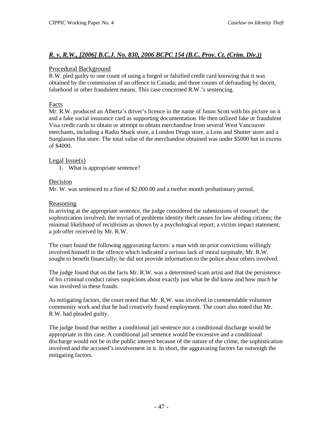# *R. v. R.W., [2006] B.C.J. No. 830, 2006 BCPC 154 (B.C. Prov. Ct. (Crim. Div.))*

### Procedural Background

R.W. pled guilty to one count of using a forged or falsified credit card knowing that it was obtained by the commission of an offence in Canada; and three counts of defrauding by deceit, falsehood or other fraudulent means. This case concerned R.W.'s sentencing.

### Facts

Mr. R.W. produced an Alberta's driver's licence in the name of Jason Scott with his picture on it and a fake social insurance card as supporting documentation. He then utilized fake or fraudulent Visa credit cards to obtain or attempt to obtain merchandise from several West Vancouver merchants, including a Radio Shack store, a London Drugs store, a Lens and Shutter store and a Sunglasses Hut store. The total value of the merchandise obtained was under \$5000 but in excess of \$4000.

### Legal Issue(s)

1. What is appropriate sentence?

### Decision

Mr. W. was sentenced to a fine of \$2,000.00 and a twelve month probationary period.

### Reasoning

In arriving at the appropriate sentence, the judge considered the submissions of counsel; the sophistication involved; the myriad of problems identity theft causes for law abiding citizens; the minimal likelihood of recidivism as shown by a psychological report; a victim impact statement; a job offer received by Mr. R.W.

The court found the following aggravating factors: a man with no prior convictions willingly involved himself in the offence which indicated a serious lack of moral turpitude; Mr. R.W. sought to benefit financially; he did not provide information to the police about others involved.

The judge found that on the facts Mr. R.W. was a determined scam artist and that the persistence of his criminal conduct raises suspicions about exactly just what he did know and how much he was involved in these frauds.

As mitigating factors, the court noted that Mr. R.W. was involved in commendable volunteer community work and that he had creatively found employment. The court also noted that Mr. R.W. had pleaded guilty.

The judge found that neither a conditional jail sentence nor a conditional discharge would be appropriate in this case. A conditional jail sentence would be excessive and a conditional discharge would not be in the public interest because of the nature of the crime, the sophistication involved and the accused's involvement in it. In short, the aggravating factors far outweigh the mitigating factors.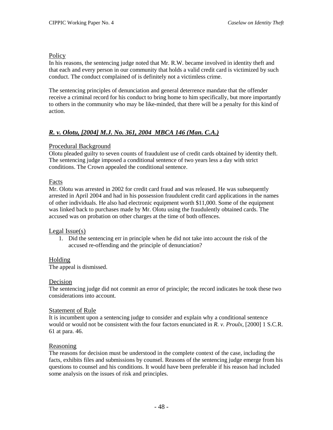### **Policy**

In his reasons, the sentencing judge noted that Mr. R.W. became involved in identity theft and that each and every person in our community that holds a valid credit card is victimized by such conduct. The conduct complained of is definitely not a victimless crime.

The sentencing principles of denunciation and general deterrence mandate that the offender receive a criminal record for his conduct to bring home to him specifically, but more importantly to others in the community who may be like-minded, that there will be a penalty for this kind of action.

# *R. v. Olotu, [2004] M.J. No. 361, 2004 MBCA 146 (Man. C.A.)*

# Procedural Background

Olotu pleaded guilty to seven counts of fraudulent use of credit cards obtained by identity theft. The sentencing judge imposed a conditional sentence of two years less a day with strict conditions. The Crown appealed the conditional sentence.

# Facts

Mr. Olotu was arrested in 2002 for credit card fraud and was released. He was subsequently arrested in April 2004 and had in his possession fraudulent credit card applications in the names of other individuals. He also had electronic equipment worth \$11,000. Some of the equipment was linked back to purchases made by Mr. Olotu using the fraudulently obtained cards. The accused was on probation on other charges at the time of both offences.

# Legal Issue(s)

1. Did the sentencing err in principle when he did not take into account the risk of the accused re-offending and the principle of denunciation?

# Holding

The appeal is dismissed.

# Decision

The sentencing judge did not commit an error of principle; the record indicates he took these two considerations into account.

# **Statement of Rule**

It is incumbent upon a sentencing judge to consider and explain why a conditional sentence would or would not be consistent with the four factors enunciated in *R. v. Proulx*, [2000] 1 S.C.R. 61 at para. 46.

# Reasoning

The reasons for decision must be understood in the complete context of the case, including the facts, exhibits files and submissions by counsel. Reasons of the sentencing judge emerge from his questions to counsel and his conditions. It would have been preferable if his reason had included some analysis on the issues of risk and principles.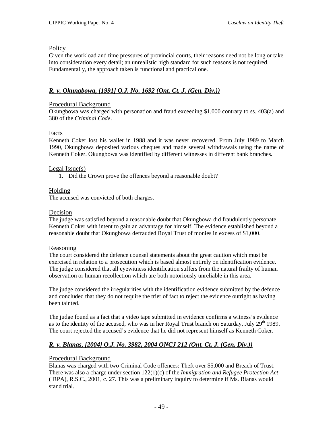### **Policy**

Given the workload and time pressures of provincial courts, their reasons need not be long or take into consideration every detail; an unrealistic high standard for such reasons is not required. Fundamentally, the approach taken is functional and practical one.

# *R. v. Okungbowa, [1991] O.J. No. 1692 (Ont. Ct. J. (Gen. Div.))*

### Procedural Background

Okungbowa was charged with personation and fraud exceeding \$1,000 contrary to ss. 403(a) and 380 of the *Criminal Code*.

### Facts

Kenneth Coker lost his wallet in 1988 and it was never recovered. From July 1989 to March 1990, Okungbowa deposited various cheques and made several withdrawals using the name of Kenneth Coker. Okungbowa was identified by different witnesses in different bank branches.

### Legal Issue(s)

1. Did the Crown prove the offences beyond a reasonable doubt?

### Holding

The accused was convicted of both charges.

#### Decision

The judge was satisfied beyond a reasonable doubt that Okungbowa did fraudulently personate Kenneth Coker with intent to gain an advantage for himself. The evidence established beyond a reasonable doubt that Okungbowa defrauded Royal Trust of monies in excess of \$1,000.

#### Reasoning

The court considered the defence counsel statements about the great caution which must be exercised in relation to a prosecution which is based almost entirely on identification evidence. The judge considered that all eyewitness identification suffers from the natural frailty of human observation or human recollection which are both notoriously unreliable in this area.

The judge considered the irregularities with the identification evidence submitted by the defence and concluded that they do not require the trier of fact to reject the evidence outright as having been tainted.

The judge found as a fact that a video tape submitted in evidence confirms a witness's evidence as to the identity of the accused, who was in her Royal Trust branch on Saturday, July 29<sup>th</sup> 1989. The court rejected the accused's evidence that he did not represent himself as Kenneth Coker.

# *R. v. Blanas, [2004] O.J. No. 3982, 2004 ONCJ 212 (Ont. Ct. J. (Gen. Div.))*

### Procedural Background

Blanas was charged with two Criminal Code offences: Theft over \$5,000 and Breach of Trust. There was also a charge under section 122(1)(c) of the *Immigration and Refugee Protection Act* (IRPA), R.S.C., 2001, c. 27. This was a preliminary inquiry to determine if Ms. Blanas would stand trial.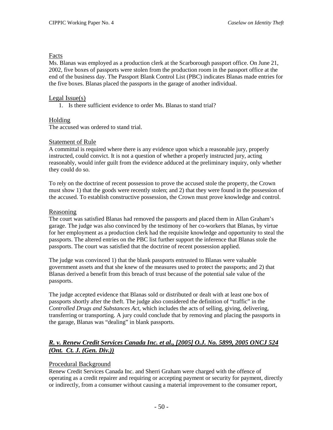### Facts

Ms. Blanas was employed as a production clerk at the Scarborough passport office. On June 21, 2002, five boxes of passports were stolen from the production room in the passport office at the end of the business day. The Passport Blank Control List (PBC) indicates Blanas made entries for the five boxes. Blanas placed the passports in the garage of another individual.

### Legal Issue(s)

1. Is there sufficient evidence to order Ms. Blanas to stand trial?

### Holding

The accused was ordered to stand trial.

### Statement of Rule

A committal is required where there is any evidence upon which a reasonable jury, properly instructed, could convict. It is not a question of whether a properly instructed jury, acting reasonably, would infer guilt from the evidence adduced at the preliminary inquiry, only whether they could do so.

To rely on the doctrine of recent possession to prove the accused stole the property, the Crown must show 1) that the goods were recently stolen; and 2) that they were found in the possession of the accused. To establish constructive possession, the Crown must prove knowledge and control.

### Reasoning

The court was satisfied Blanas had removed the passports and placed them in Allan Graham's garage. The judge was also convinced by the testimony of her co-workers that Blanas, by virtue for her employment as a production clerk had the requisite knowledge and opportunity to steal the passports. The altered entries on the PBC list further support the inference that Blanas stole the passports. The court was satisfied that the doctrine of recent possession applied.

The judge was convinced 1) that the blank passports entrusted to Blanas were valuable government assets and that she knew of the measures used to protect the passports; and 2) that Blanas derived a benefit from this breach of trust because of the potential sale value of the passports.

The judge accepted evidence that Blanas sold or distributed or dealt with at least one box of passports shortly after the theft. The judge also considered the definition of "traffic" in the *Controlled Drugs and Substances Act*, which includes the acts of selling, giving, delivering, transferring or transporting. A jury could conclude that by removing and placing the passports in the garage, Blanas was "dealing" in blank passports.

# *R. v. Renew Credit Services Canada Inc. et al., [2005] O.J. No. 5899, 2005 ONCJ 524 (Ont. Ct. J. (Gen. Div.))*

# Procedural Background

Renew Credit Services Canada Inc. and Sherri Graham were charged with the offence of operating as a credit repairer and requiring or accepting payment or security for payment, directly or indirectly, from a consumer without causing a material improvement to the consumer report,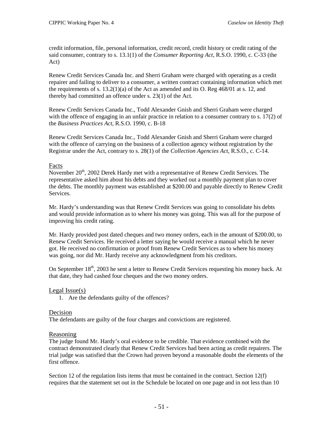credit information, file, personal information, credit record, credit history or credit rating of the said consumer, contrary to s. 13.1(1) of the *Consumer Reporting Act*, R.S.O. 1990, c. C-33 (the Act)

Renew Credit Services Canada Inc. and Sherri Graham were charged with operating as a credit repairer and failing to deliver to a consumer, a written contract containing information which met the requirements of s. 13.2(1)(a) of the Act as amended and its O. Reg 468/01 at s. 12, and thereby had committed an offence under s. 23(1) of the Act.

Renew Credit Services Canada Inc., Todd Alexander Gnish and Sherri Graham were charged with the offence of engaging in an unfair practice in relation to a consumer contrary to s. 17(2) of the *Business Practices Act*, R.S.O. 1990, c. B-18

Renew Credit Services Canada Inc., Todd Alexander Gnish and Sherri Graham were charged with the offence of carrying on the business of a collection agency without registration by the Registrar under the Act, contrary to s. 28(1) of the *Collection Agencies Act*, R.S.O., c. C-14.

### Facts

November 20<sup>th</sup>, 2002 Derek Hardy met with a representative of Renew Credit Services. The representative asked him about his debts and they worked out a monthly payment plan to cover the debts. The monthly payment was established at \$200.00 and payable directly to Renew Credit Services.

Mr. Hardy's understanding was that Renew Credit Services was going to consolidate his debts and would provide information as to where his money was going. This was all for the purpose of improving his credit rating.

Mr. Hardy provided post dated cheques and two money orders, each in the amount of \$200.00, to Renew Credit Services. He received a letter saying he would receive a manual which he never got. He received no confirmation or proof from Renew Credit Services as to where his money was going, nor did Mr. Hardy receive any acknowledgment from his creditors.

On September  $18<sup>th</sup>$ , 2003 he sent a letter to Renew Credit Services requesting his money back. At that date, they had cashed four cheques and the two money orders.

### Legal Issue(s)

1. Are the defendants guilty of the offences?

### Decision

The defendants are guilty of the four charges and convictions are registered.

### Reasoning

The judge found Mr. Hardy's oral evidence to be credible. That evidence combined with the contract demonstrated clearly that Renew Credit Services had been acting as credit repairers. The trial judge was satisfied that the Crown had proven beyond a reasonable doubt the elements of the first offence.

Section 12 of the regulation lists items that must be contained in the contract. Section 12(f) requires that the statement set out in the Schedule be located on one page and in not less than 10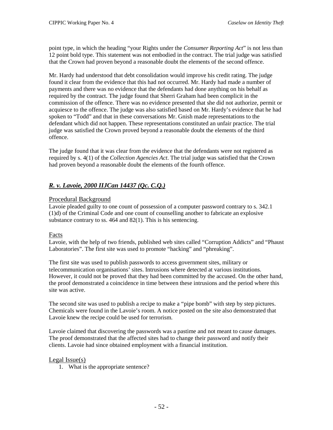point type, in which the heading "your Rights under the *Consumer Reporting Act*" is not less than 12 point bold type. This statement was not embodied in the contract. The trial judge was satisfied that the Crown had proven beyond a reasonable doubt the elements of the second offence.

Mr. Hardy had understood that debt consolidation would improve his credit rating. The judge found it clear from the evidence that this had not occurred. Mr. Hardy had made a number of payments and there was no evidence that the defendants had done anything on his behalf as required by the contract. The judge found that Sherri Graham had been complicit in the commission of the offence. There was no evidence presented that she did not authorize, permit or acquiesce to the offence. The judge was also satisfied based on Mr. Hardy's evidence that he had spoken to "Todd" and that in these conversations Mr. Gnish made representations to the defendant which did not happen. These representations constituted an unfair practice. The trial judge was satisfied the Crown proved beyond a reasonable doubt the elements of the third offence.

The judge found that it was clear from the evidence that the defendants were not registered as required by s. 4(1) of the *Collection Agencies Act*. The trial judge was satisfied that the Crown had proven beyond a reasonable doubt the elements of the fourth offence.

# *R. v. Lavoie, 2000 IIJCan 14437 (Qc. C.Q.)*

### Procedural Background

Lavoie pleaded guilty to one count of possession of a computer password contrary to s. 342.1 (1)d) of the Criminal Code and one count of counselling another to fabricate an explosive substance contrary to ss. 464 and 82(1). This is his sentencing.

#### Facts

Lavoie, with the help of two friends, published web sites called "Corruption Addicts" and "Phaust Laboratories". The first site was used to promote "hacking" and "phreaking".

The first site was used to publish passwords to access government sites, military or telecommunication organisations' sites. Intrusions where detected at various institutions. However, it could not be proved that they had been committed by the accused. On the other hand, the proof demonstrated a coincidence in time between these intrusions and the period where this site was active.

The second site was used to publish a recipe to make a "pipe bomb" with step by step pictures. Chemicals were found in the Lavoie's room. A notice posted on the site also demonstrated that Lavoie knew the recipe could be used for terrorism.

Lavoie claimed that discovering the passwords was a pastime and not meant to cause damages. The proof demonstrated that the affected sites had to change their password and notify their clients. Lavoie had since obtained employment with a financial institution.

#### Legal Issue(s)

1. What is the appropriate sentence?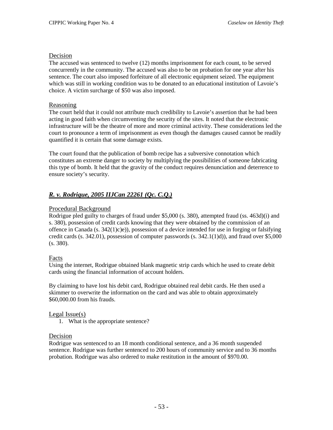#### Decision

The accused was sentenced to twelve (12) months imprisonment for each count, to be served concurrently in the community. The accused was also to be on probation for one year after his sentence. The court also imposed forfeiture of all electronic equipment seized. The equipment which was still in working condition was to be donated to an educational institution of Lavoie's choice. A victim surcharge of \$50 was also imposed.

#### Reasoning

The court held that it could not attribute much credibility to Lavoie's assertion that he had been acting in good faith when circumventing the security of the sites. It noted that the electronic infrastructure will be the theatre of more and more criminal activity. These considerations led the court to pronounce a term of imprisonment as even though the damages caused cannot be readily quantified it is certain that some damage exists.

The court found that the publication of bomb recipe has a subversive connotation which constitutes an extreme danger to society by multiplying the possibilities of someone fabricating this type of bomb. It held that the gravity of the conduct requires denunciation and deterrence to ensure society's security.

# *R. v. Rodrigue, 2005 IIJCan 22261 (Qc. C.Q.)*

### Procedural Background

Rodrigue pled guilty to charges of fraud under \$5,000 (s. 380), attempted fraud (ss. 463d)(i) and s. 380), possession of credit cards knowing that they were obtained by the commission of an offence in Canada  $(s. 342(1)c)e)$ , possession of a device intended for use in forging or falsifying credit cards  $(s, 342.01)$ , possession of computer passwords  $(s, 342.1(1)d)$ , and fraud over \$5,000 (s. 380).

### Facts

Using the internet, Rodrigue obtained blank magnetic strip cards which he used to create debit cards using the financial information of account holders.

By claiming to have lost his debit card, Rodrigue obtained real debit cards. He then used a skimmer to overwrite the information on the card and was able to obtain approximately \$60,000.00 from his frauds.

#### Legal Issue(s)

1. What is the appropriate sentence?

#### Decision

Rodrigue was sentenced to an 18 month conditional sentence, and a 36 month suspended sentence. Rodrigue was further sentenced to 200 hours of community service and to 36 months probation. Rodrigue was also ordered to make restitution in the amount of \$970.00.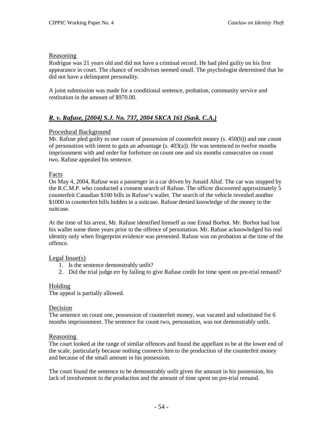#### Reasoning

Rodrigue was 21 years old and did not have a criminal record. He had pled guilty on his first appearance in court. The chance of recidivism seemed small. The psychologist determined that he did not have a delinquent personality.

A joint submission was made for a conditional sentence, probation, community service and restitution in the amount of \$970.00.

# *R. v. Rafuse, [2004] S.J. No. 737, 2004 SKCA 161 (Sask. C.A.)*

### Procedural Background

Mr. Rafuse pled guilty to one count of possession of counterfeit money (s. 450(b)) and one count of personation with intent to gain an advantage  $(s, 403(a))$ . He was sentenced to twelve months imprisonment with and order for forfeiture on count one and six months consecutive on count two. Rafuse appealed his sentence.

### Facts

On May 4, 2004, Rafuse was a passenger in a car driven by Junaid Altaf. The car was stopped by the R.C.M.P. who conducted a consent search of Rafuse. The officer discovered approximately 5 counterfeit Canadian \$100 bills in Rafuse's wallet. The search of the vehicle revealed another \$1000 in counterfeit bills hidden in a suitcase. Rafuse denied knowledge of the money in the suitcase.

At the time of his arrest, Mr. Rafuse identified himself as one Emad Borhot. Mr. Borhot had lost his wallet some three years prior to the offence of personation. Mr. Rafuse acknowledged his real identity only when fingerprint evidence was presented. Rafuse was on probation at the time of the offence.

### Legal Issue(s)

- 1. Is the sentence demonstrably unfit?
- 2. Did the trial judge err by failing to give Rafuse credit for time spent on pre-trial remand?

### Holding

The appeal is partially allowed.

#### Decision

The sentence on count one, possession of counterfeit money, was vacated and substituted for 6 months imprisonment. The sentence for count two, personation, was not demonstrably unfit.

#### Reasoning

The court looked at the range of similar offences and found the appellant to be at the lower end of the scale, particularly because nothing connects him to the production of the counterfeit money and because of the small amount in his possession.

The court found the sentence to be demonstrably unfit given the amount in his possession, his lack of involvement in the production and the amount of time spent on pre-trial remand.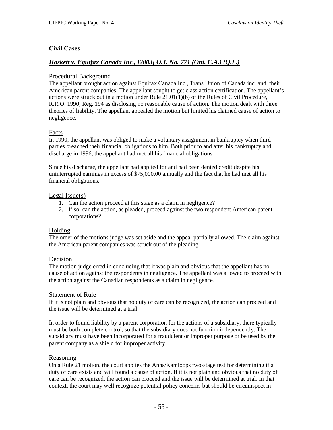# **Civil Cases**

# *Haskett v. Equifax Canada Inc., [2003] O.J. No. 771 (Ont. C.A.) (Q.L.)*

### Procedural Background

The appellant brought action against Equifax Canada Inc., Trans Union of Canada inc. and, their American parent companies. The appellant sought to get class action certification. The appellant's actions were struck out in a motion under Rule 21.01(1)(b) of the Rules of Civil Procedure, R.R.O. 1990, Reg. 194 as disclosing no reasonable cause of action. The motion dealt with three theories of liability. The appellant appealed the motion but limited his claimed cause of action to negligence.

# Facts

In 1990, the appellant was obliged to make a voluntary assignment in bankruptcy when third parties breached their financial obligations to him. Both prior to and after his bankruptcy and discharge in 1996, the appellant had met all his financial obligations.

Since his discharge, the appellant had applied for and had been denied credit despite his uninterrupted earnings in excess of \$75,000.00 annually and the fact that he had met all his financial obligations.

### Legal Issue(s)

- 1. Can the action proceed at this stage as a claim in negligence?
- 2. If so, can the action, as pleaded, proceed against the two respondent American parent corporations?

### Holding

The order of the motions judge was set aside and the appeal partially allowed. The claim against the American parent companies was struck out of the pleading.

### Decision

The motion judge erred in concluding that it was plain and obvious that the appellant has no cause of action against the respondents in negligence. The appellant was allowed to proceed with the action against the Canadian respondents as a claim in negligence.

### Statement of Rule

If it is not plain and obvious that no duty of care can be recognized, the action can proceed and the issue will be determined at a trial.

In order to found liability by a parent corporation for the actions of a subsidiary, there typically must be both complete control, so that the subsidiary does not function independently. The subsidiary must have been incorporated for a fraudulent or improper purpose or be used by the parent company as a shield for improper activity.

### Reasoning

On a Rule 21 motion, the court applies the Anns/Kamloops two-stage test for determining if a duty of care exists and will found a cause of action. If it is not plain and obvious that no duty of care can be recognized, the action can proceed and the issue will be determined at trial. In that context, the court may well recognize potential policy concerns but should be circumspect in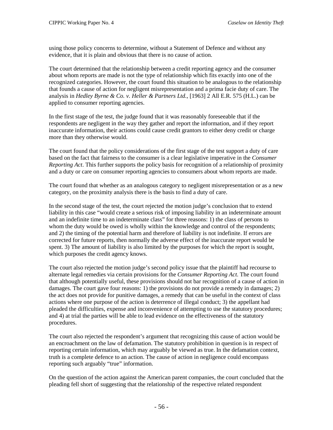using those policy concerns to determine, without a Statement of Defence and without any evidence, that it is plain and obvious that there is no cause of action.

The court determined that the relationship between a credit reporting agency and the consumer about whom reports are made is not the type of relationship which fits exactly into one of the recognized categories. However, the court found this situation to be analogous to the relationship that founds a cause of action for negligent misrepresentation and a prima facie duty of care. The analysis in *Hedley Byrne & Co. v. Heller & Partners Ltd.*, [1963] 2 All E.R. 575 (H.L.) can be applied to consumer reporting agencies.

In the first stage of the test, the judge found that it was reasonably foreseeable that if the respondents are negligent in the way they gather and report the information, and if they report inaccurate information, their actions could cause credit grantors to either deny credit or charge more than they otherwise would.

The court found that the policy considerations of the first stage of the test support a duty of care based on the fact that fairness to the consumer is a clear legislative imperative in the *Consumer Reporting Act*. This further supports the policy basis for recognition of a relationship of proximity and a duty or care on consumer reporting agencies to consumers about whom reports are made.

The court found that whether as an analogous category to negligent misrepresentation or as a new category, on the proximity analysis there is the basis to find a duty of care.

In the second stage of the test, the court rejected the motion judge's conclusion that to extend liability in this case "would create a serious risk of imposing liability in an indeterminate amount and an indefinite time to an indeterminate class" for three reasons: 1) the class of persons to whom the duty would be owed is wholly within the knowledge and control of the respondents; and 2) the timing of the potential harm and therefore of liability is not indefinite. If errors are corrected for future reports, then normally the adverse effect of the inaccurate report would be spent. 3) The amount of liability is also limited by the purposes for which the report is sought, which purposes the credit agency knows.

The court also rejected the motion judge's second policy issue that the plaintiff had recourse to alternate legal remedies via certain provisions for the *Consumer Reporting Act*. The court found that although potentially useful, these provisions should not bar recognition of a cause of action in damages. The court gave four reasons: 1) the provisions do not provide a remedy in damages; 2) the act does not provide for punitive damages, a remedy that can be useful in the context of class actions where one purpose of the action is deterrence of illegal conduct; 3) the appellant had pleaded the difficulties, expense and inconvenience of attempting to use the statutory procedures; and 4) at trial the parties will be able to lead evidence on the effectiveness of the statutory procedures.

The court also rejected the respondent's argument that recognizing this cause of action would be an encroachment on the law of defamation. The statutory prohibition in question is in respect of reporting certain information, which may arguably be viewed as true. In the defamation context, truth is a complete defence to an action. The cause of action in negligence could encompass reporting such arguably "true" information.

On the question of the action against the American parent companies, the court concluded that the pleading fell short of suggesting that the relationship of the respective related respondent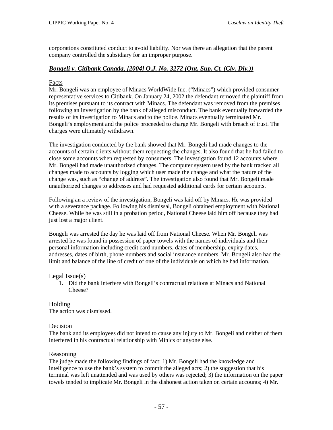corporations constituted conduct to avoid liability. Nor was there an allegation that the parent company controlled the subsidiary for an improper purpose.

# *Bongeli v. Citibank Canada, [2004] O.J. No. 3272 (Ont. Sup. Ct. (Civ. Div.))*

### Facts

Mr. Bongeli was an employee of Minacs WorldWide Inc. ("Minacs") which provided consumer representative services to Citibank. On January 24, 2002 the defendant removed the plaintiff from its premises pursuant to its contract with Minacs. The defendant was removed from the premises following an investigation by the bank of alleged misconduct. The bank eventually forwarded the results of its investigation to Minacs and to the police. Minacs eventually terminated Mr. Bongeli's employment and the police proceeded to charge Mr. Bongeli with breach of trust. The charges were ultimately withdrawn.

The investigation conducted by the bank showed that Mr. Bongeli had made changes to the accounts of certain clients without them requesting the changes. It also found that he had failed to close some accounts when requested by consumers. The investigation found 12 accounts where Mr. Bongeli had made unauthorized changes. The computer system used by the bank tracked all changes made to accounts by logging which user made the change and what the nature of the change was, such as "change of address". The investigation also found that Mr. Bongeli made unauthorized changes to addresses and had requested additional cards for certain accounts.

Following an a review of the investigation, Bongeli was laid off by Minacs. He was provided with a severance package. Following his dismissal, Bongeli obtained employment with National Cheese. While he was still in a probation period, National Cheese laid him off because they had just lost a major client.

Bongeli was arrested the day he was laid off from National Cheese. When Mr. Bongeli was arrested he was found in possession of paper towels with the names of individuals and their personal information including credit card numbers, dates of membership, expiry dates, addresses, dates of birth, phone numbers and social insurance numbers. Mr. Bongeli also had the limit and balance of the line of credit of one of the individuals on which he had information.

### Legal Issue(s)

1. Did the bank interfere with Bongeli's contractual relations at Minacs and National Cheese?

# Holding

The action was dismissed.

# Decision

The bank and its employees did not intend to cause any injury to Mr. Bongeli and neither of them interfered in his contractual relationship with Minics or anyone else.

# **Reasoning**

The judge made the following findings of fact: 1) Mr. Bongeli had the knowledge and intelligence to use the bank's system to commit the alleged acts; 2) the suggestion that his terminal was left unattended and was used by others was rejected; 3) the information on the paper towels tended to implicate Mr. Bongeli in the dishonest action taken on certain accounts; 4) Mr.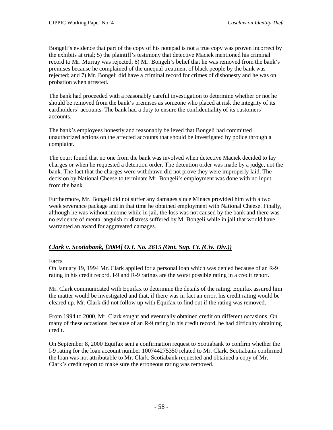Bongeli's evidence that part of the copy of his notepad is not a true copy was proven incorrect by the exhibits at trial; 5) the plaintiff's testimony that detective Maciek mentioned his criminal record to Mr. Murray was rejected; 6) Mr. Bongeli's belief that he was removed from the bank's premises because he complained of the unequal treatment of black people by the bank was rejected; and 7) Mr. Bongeli did have a criminal record for crimes of dishonesty and he was on probation when arrested.

The bank had proceeded with a reasonably careful investigation to determine whether or not he should be removed from the bank's premises as someone who placed at risk the integrity of its cardholders' accounts. The bank had a duty to ensure the confidentiality of its customers' accounts.

The bank's employees honestly and reasonably believed that Bongeli had committed unauthorized actions on the affected accounts that should be investigated by police through a complaint.

The court found that no one from the bank was involved when detective Maciek decided to lay charges or when he requested a detention order. The detention order was made by a judge, not the bank. The fact that the charges were withdrawn did not prove they were improperly laid. The decision by National Cheese to terminate Mr. Bongeli's employment was done with no input from the bank.

Furthermore, Mr. Bongeli did not suffer any damages since Minacs provided him with a two week severance package and in that time he obtained employment with National Cheese. Finally, although he was without income while in jail, the loss was not caused by the bank and there was no evidence of mental anguish or distress suffered by M. Bongeli while in jail that would have warranted an award for aggravated damages.

# *Clark v. Scotiabank, [2004] O.J. No. 2615 (Ont. Sup. Ct. (Civ. Div.))*

### **Facts**

On January 19, 1994 Mr. Clark applied for a personal loan which was denied because of an R-9 rating in his credit record. I-9 and R-9 ratings are the worst possible rating in a credit report.

Mr. Clark communicated with Equifax to determine the details of the rating. Equifax assured him the matter would be investigated and that, if there was in fact an error, his credit rating would be cleared up. Mr. Clark did not follow up with Equifax to find out if the rating was removed.

From 1994 to 2000, Mr. Clark sought and eventually obtained credit on different occasions. On many of these occasions, because of an R-9 rating in his credit record, he had difficulty obtaining credit.

On September 8, 2000 Equifax sent a confirmation request to Scotiabank to confirm whether the I-9 rating for the loan account number 100744275350 related to Mr. Clark. Scotiabank confirmed the loan was not attributable to Mr. Clark. Scotiabank requested and obtained a copy of Mr. Clark's credit report to make sure the erroneous rating was removed.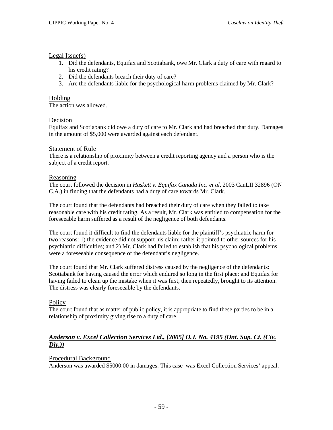### Legal Issue(s)

- 1. Did the defendants, Equifax and Scotiabank, owe Mr. Clark a duty of care with regard to his credit rating?
- 2. Did the defendants breach their duty of care?
- 3. Are the defendants liable for the psychological harm problems claimed by Mr. Clark?

### Holding

The action was allowed.

#### Decision

Equifax and Scotiabank did owe a duty of care to Mr. Clark and had breached that duty. Damages in the amount of \$5,000 were awarded against each defendant.

### **Statement of Rule**

There is a relationship of proximity between a credit reporting agency and a person who is the subject of a credit report.

#### Reasoning

The court followed the decision in *Haskett v. Equifax Canada Inc. et al*, 2003 CanLII 32896 (ON C.A.) in finding that the defendants had a duty of care towards Mr. Clark.

The court found that the defendants had breached their duty of care when they failed to take reasonable care with his credit rating. As a result, Mr. Clark was entitled to compensation for the foreseeable harm suffered as a result of the negligence of both defendants.

The court found it difficult to find the defendants liable for the plaintiff's psychiatric harm for two reasons: 1) the evidence did not support his claim; rather it pointed to other sources for his psychiatric difficulties; and 2) Mr. Clark had failed to establish that his psychological problems were a foreseeable consequence of the defendant's negligence.

The court found that Mr. Clark suffered distress caused by the negligence of the defendants: Scotiabank for having caused the error which endured so long in the first place; and Equifax for having failed to clean up the mistake when it was first, then repeatedly, brought to its attention. The distress was clearly foreseeable by the defendants.

### **Policy**

The court found that as matter of public policy, it is appropriate to find these parties to be in a relationship of proximity giving rise to a duty of care.

### *Anderson v. Excel Collection Services Ltd., [2005] O.J. No. 4195 (Ont. Sup. Ct. (Civ. Div,))*

### Procedural Background

Anderson was awarded \$5000.00 in damages. This case was Excel Collection Services' appeal.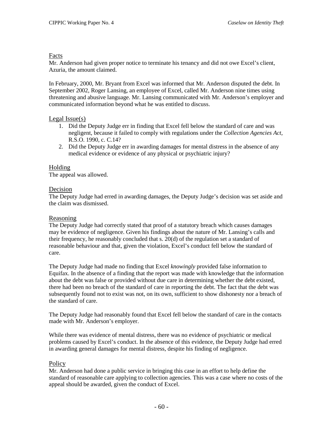### Facts

Mr. Anderson had given proper notice to terminate his tenancy and did not owe Excel's client, Azuria, the amount claimed.

In February, 2000, Mr. Bryant from Excel was informed that Mr. Anderson disputed the debt. In September 2002, Roger Lansing, an employee of Excel, called Mr. Anderson nine times using threatening and abusive language. Mr. Lansing communicated with Mr. Anderson's employer and communicated information beyond what he was entitled to discuss.

#### Legal Issue(s)

- 1. Did the Deputy Judge err in finding that Excel fell below the standard of care and was negligent, because it failed to comply with regulations under the *Collection Agencies Act*, R.S.O. 1990, c. C.14?
- 2. Did the Deputy Judge err in awarding damages for mental distress in the absence of any medical evidence or evidence of any physical or psychiatric injury?

#### Holding

The appeal was allowed.

#### Decision

The Deputy Judge had erred in awarding damages, the Deputy Judge's decision was set aside and the claim was dismissed.

#### Reasoning

The Deputy Judge had correctly stated that proof of a statutory breach which causes damages may be evidence of negligence. Given his findings about the nature of Mr. Lansing's calls and their frequency, he reasonably concluded that s. 20(d) of the regulation set a standard of reasonable behaviour and that, given the violation, Excel's conduct fell below the standard of care.

The Deputy Judge had made no finding that Excel *knowingly* provided false information to Equifax. In the absence of a finding that the report was made with knowledge that the information about the debt was false or provided without due care in determining whether the debt existed, there had been no breach of the standard of care in reporting the debt. The fact that the debt was subsequently found not to exist was not, on its own, sufficient to show dishonesty nor a breach of the standard of care.

The Deputy Judge had reasonably found that Excel fell below the standard of care in the contacts made with Mr. Anderson's employer.

While there was evidence of mental distress, there was no evidence of psychiatric or medical problems caused by Excel's conduct. In the absence of this evidence, the Deputy Judge had erred in awarding general damages for mental distress, despite his finding of negligence.

### **Policy**

Mr. Anderson had done a public service in bringing this case in an effort to help define the standard of reasonable care applying to collection agencies. This was a case where no costs of the appeal should be awarded, given the conduct of Excel.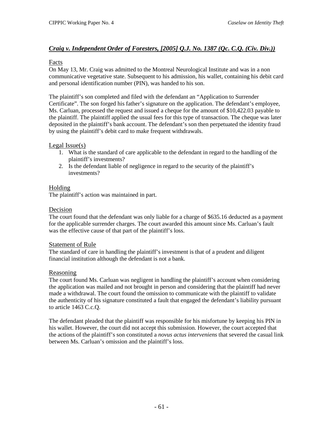# *Craig v. Independent Order of Foresters, [2005] Q.J. No. 1387 (Qc. C.Q. (Civ. Div.))*

### Facts

On May 13, Mr. Craig was admitted to the Montreal Neurological Institute and was in a non communicative vegetative state. Subsequent to his admission, his wallet, containing his debit card and personal identification number (PIN), was handed to his son.

The plaintiff's son completed and filed with the defendant an "Application to Surrender Certificate". The son forged his father's signature on the application. The defendant's employee, Ms. Carluan, processed the request and issued a cheque for the amount of \$10,422.03 payable to the plaintiff. The plaintiff applied the usual fees for this type of transaction. The cheque was later deposited in the plaintiff's bank account. The defendant's son then perpetuated the identity fraud by using the plaintiff's debit card to make frequent withdrawals.

### Legal Issue(s)

- 1. What is the standard of care applicable to the defendant in regard to the handling of the plaintiff's investments?
- 2. Is the defendant liable of negligence in regard to the security of the plaintiff's investments?

# Holding

The plaintiff's action was maintained in part.

### Decision

The court found that the defendant was only liable for a charge of \$635.16 deducted as a payment for the applicable surrender charges. The court awarded this amount since Ms. Carluan's fault was the effective cause of that part of the plaintiff's loss.

### Statement of Rule

The standard of care in handling the plaintiff's investment is that of a prudent and diligent financial institution although the defendant is not a bank.

### Reasoning

The court found Ms. Carluan was negligent in handling the plaintiff's account when considering the application was mailed and not brought in person and considering that the plaintiff had never made a withdrawal. The court found the omission to communicate with the plaintiff to validate the authenticity of his signature constituted a fault that engaged the defendant's liability pursuant to article 1463 C.c.Q.

The defendant pleaded that the plaintiff was responsible for his misfortune by keeping his PIN in his wallet. However, the court did not accept this submission. However, the court accepted that the actions of the plaintiff's son constituted a *novus actus interveniens* that severed the casual link between Ms. Carluan's omission and the plaintiff's loss.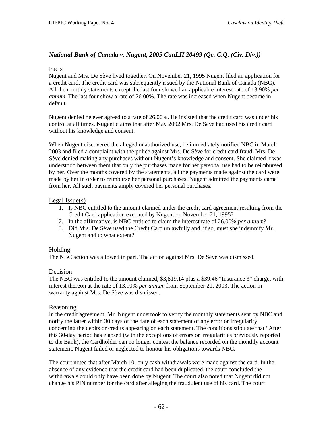# *National Bank of Canada v. Nugent, 2005 CanLII 20499 (Qc. C.Q. (Civ. Div.))*

### Facts

Nugent and Mrs. De Sève lived together. On November 21, 1995 Nugent filed an application for a credit card. The credit card was subsequently issued by the National Bank of Canada (NBC). All the monthly statements except the last four showed an applicable interest rate of 13.90% *per annum*. The last four show a rate of 26.00%. The rate was increased when Nugent became in default.

Nugent denied he ever agreed to a rate of 26.00%. He insisted that the credit card was under his control at all times. Nugent claims that after May 2002 Mrs. De Sève had used his credit card without his knowledge and consent.

When Nugent discovered the alleged unauthorized use, he immediately notified NBC in March 2003 and filed a complaint with the police against Mrs. De Sève for credit card fraud. Mrs. De Sève denied making any purchases without Nugent's knowledge and consent. She claimed it was understood between them that only the purchases made for her personal use had to be reimbursed by her. Over the months covered by the statements, all the payments made against the card were made by her in order to reimburse her personal purchases. Nugent admitted the payments came from her. All such payments amply covered her personal purchases.

### Legal Issue(s)

- 1. Is NBC entitled to the amount claimed under the credit card agreement resulting from the Credit Card application executed by Nugent on November 21, 1995?
- 2. In the affirmative, is NBC entitled to claim the interest rate of 26.00% *per annum*?
- 3. Did Mrs. De Sève used the Credit Card unlawfully and, if so, must she indemnify Mr. Nugent and to what extent?

# Holding

The NBC action was allowed in part. The action against Mrs. De Sève was dismissed.

# Decision

The NBC was entitled to the amount claimed, \$3,819.14 plus a \$39.46 "Insurance 3" charge, with interest thereon at the rate of 13.90% *per annum* from September 21, 2003. The action in warranty against Mrs. De Sève was dismissed.

### Reasoning

In the credit agreement, Mr. Nugent undertook to verify the monthly statements sent by NBC and notify the latter within 30 days of the date of each statement of any error or irregularity concerning the debits or credits appearing on each statement. The conditions stipulate that "After this 30-day period has elapsed (with the exceptions of errors or irregularities previously reported to the Bank), the Cardholder can no longer contest the balance recorded on the monthly account statement. Nugent failed or neglected to honour his obligations towards NBC.

The court noted that after March 10, only cash withdrawals were made against the card. In the absence of any evidence that the credit card had been duplicated, the court concluded the withdrawals could only have been done by Nugent. The court also noted that Nugent did not change his PIN number for the card after alleging the fraudulent use of his card. The court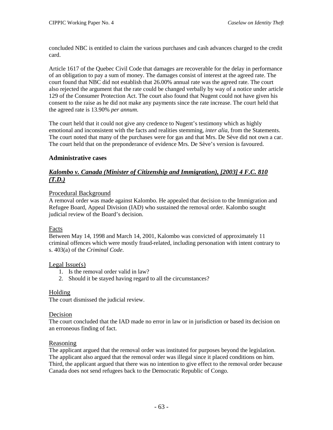concluded NBC is entitled to claim the various purchases and cash advances charged to the credit card.

Article 1617 of the Quebec Civil Code that damages are recoverable for the delay in performance of an obligation to pay a sum of money. The damages consist of interest at the agreed rate. The court found that NBC did not establish that 26.00% annual rate was the agreed rate. The court also rejected the argument that the rate could be changed verbally by way of a notice under article 129 of the Consumer Protection Act. The court also found that Nugent could not have given his consent to the raise as he did not make any payments since the rate increase. The court held that the agreed rate is 13.90% *per annum*.

The court held that it could not give any credence to Nugent's testimony which as highly emotional and inconsistent with the facts and realities stemming, *inter alia*, from the Statements. The court noted that many of the purchases were for gas and that Mrs. De Sève did not own a car. The court held that on the preponderance of evidence Mrs. De Sève's version is favoured.

# **Administrative cases**

# *Kalombo v. Canada (Minister of Citizenship and Immigration), [2003] 4 F.C. 810 (T.D.)*

### Procedural Background

A removal order was made against Kalombo. He appealed that decision to the Immigration and Refugee Board, Appeal Division (IAD) who sustained the removal order. Kalombo sought judicial review of the Board's decision.

# Facts

Between May 14, 1998 and March 14, 2001, Kalombo was convicted of approximately 11 criminal offences which were mostly fraud-related, including personation with intent contrary to s. 403(a) of the *Criminal Code*.

### Legal Issue(s)

- 1. Is the removal order valid in law?
- 2. Should it be stayed having regard to all the circumstances?

# Holding

The court dismissed the judicial review.

### Decision

The court concluded that the IAD made no error in law or in jurisdiction or based its decision on an erroneous finding of fact.

### **Reasoning**

The applicant argued that the removal order was instituted for purposes beyond the legislation. The applicant also argued that the removal order was illegal since it placed conditions on him. Third, the applicant argued that there was no intention to give effect to the removal order because Canada does not send refugees back to the Democratic Republic of Congo.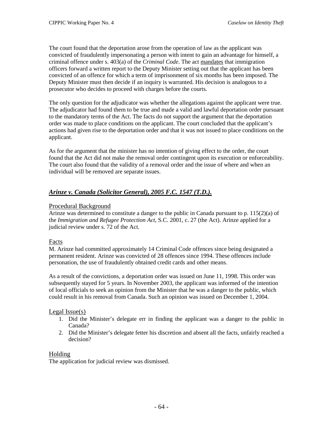The court found that the deportation arose from the operation of law as the applicant was convicted of fraudulently impersonating a person with intent to gain an advantage for himself, a criminal offence under s. 403(a) of the *Criminal Code*. The act mandates that immigration officers forward a written report to the Deputy Minister setting out that the applicant has been convicted of an offence for which a term of imprisonment of six months has been imposed. The Deputy Minister must then decide if an inquiry is warranted. His decision is analogous to a prosecutor who decides to proceed with charges before the courts.

The only question for the adjudicator was whether the allegations against the applicant were true. The adjudicator had found them to be true and made a valid and lawful deportation order pursuant to the mandatory terms of the Act. The facts do not support the argument that the deportation order was made to place conditions on the applicant. The court concluded that the applicant's actions had given rise to the deportation order and that it was not issued to place conditions on the applicant.

As for the argument that the minister has no intention of giving effect to the order, the court found that the Act did not make the removal order contingent upon its execution or enforceability. The court also found that the validity of a removal order and the issue of where and when an individual will be removed are separate issues.

# *Arinze v. Canada (Solicitor General), 2005 F.C. 1547 (T.D.).*

# Procedural Background

Arinze was determined to constitute a danger to the public in Canada pursuant to p. 115(2)(a) of the *Immigration and Refugee Protection Act*, S.C. 2001, c. 27 (the Act). Arinze applied for a judicial review under s. 72 of the Act.

# Facts

M. Arinze had committed approximately 14 Criminal Code offences since being designated a permanent resident. Arinze was convicted of 28 offences since 1994. These offences include personation, the use of fraudulently obtained credit cards and other means.

As a result of the convictions, a deportation order was issued on June 11, 1998. This order was subsequently stayed for 5 years. In November 2003, the applicant was informed of the intention of local officials to seek an opinion from the Minister that he was a danger to the public, which could result in his removal from Canada. Such an opinion was issued on December 1, 2004.

# Legal Issue(s)

- 1. Did the Minister's delegate err in finding the applicant was a danger to the public in Canada?
- 2. Did the Minister's delegate fetter his discretion and absent all the facts, unfairly reached a decision?

# Holding

The application for judicial review was dismissed.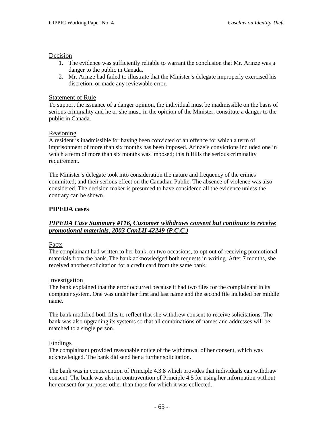#### Decision

- 1. The evidence was sufficiently reliable to warrant the conclusion that Mr. Arinze was a danger to the public in Canada.
- 2. Mr. Arinze had failed to illustrate that the Minister's delegate improperly exercised his discretion, or made any reviewable error.

#### Statement of Rule

To support the issuance of a danger opinion, the individual must be inadmissible on the basis of serious criminality and he or she must, in the opinion of the Minister, constitute a danger to the public in Canada.

#### Reasoning

A resident is inadmissible for having been convicted of an offence for which a term of imprisonment of more than six months has been imposed. Arinze's convictions included one in which a term of more than six months was imposed; this fulfills the serious criminality requirement.

The Minister's delegate took into consideration the nature and frequency of the crimes committed, and their serious effect on the Canadian Public. The absence of violence was also considered. The decision maker is presumed to have considered all the evidence unless the contrary can be shown.

#### **PIPEDA cases**

### *PIPEDA Case Summary #116, Customer withdraws consent but continues to receive promotional materials, 2003 CanLII 42249 (P.C.C.)*

#### Facts

The complainant had written to her bank, on two occasions, to opt out of receiving promotional materials from the bank. The bank acknowledged both requests in writing. After 7 months, she received another solicitation for a credit card from the same bank.

#### Investigation

The bank explained that the error occurred because it had two files for the complainant in its computer system. One was under her first and last name and the second file included her middle name.

The bank modified both files to reflect that she withdrew consent to receive solicitations. The bank was also upgrading its systems so that all combinations of names and addresses will be matched to a single person.

#### Findings

The complainant provided reasonable notice of the withdrawal of her consent, which was acknowledged. The bank did send her a further solicitation.

The bank was in contravention of Principle 4.3.8 which provides that individuals can withdraw consent. The bank was also in contravention of Principle 4.5 for using her information without her consent for purposes other than those for which it was collected.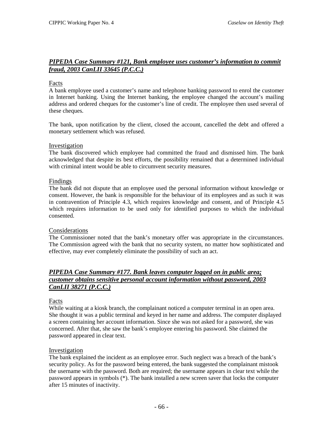### *PIPEDA Case Summary #121, Bank employee uses customer's information to commit fraud, 2003 CanLII 33645 (P.C.C.)*

#### Facts

A bank employee used a customer's name and telephone banking password to enrol the customer in Internet banking. Using the Internet banking, the employee changed the account's mailing address and ordered cheques for the customer's line of credit. The employee then used several of these cheques.

The bank, upon notification by the client, closed the account, cancelled the debt and offered a monetary settlement which was refused.

#### Investigation

The bank discovered which employee had committed the fraud and dismissed him. The bank acknowledged that despite its best efforts, the possibility remained that a determined individual with criminal intent would be able to circumvent security measures.

#### Findings

The bank did not dispute that an employee used the personal information without knowledge or consent. However, the bank is responsible for the behaviour of its employees and as such it was in contravention of Principle 4.3, which requires knowledge and consent, and of Principle 4.5 which requires information to be used only for identified purposes to which the individual consented.

#### Considerations

The Commissioner noted that the bank's monetary offer was appropriate in the circumstances. The Commission agreed with the bank that no security system, no matter how sophisticated and effective, may ever completely eliminate the possibility of such an act.

### *PIPEDA Case Summary #177. Bank leaves computer logged on in public area; customer obtains sensitive personal account information without password, 2003 CanLII 38271 (P.C.C.)*

#### Facts

While waiting at a kiosk branch, the complainant noticed a computer terminal in an open area. She thought it was a public terminal and keyed in her name and address. The computer displayed a screen containing her account information. Since she was not asked for a password, she was concerned. After that, she saw the bank's employee entering his password. She claimed the password appeared in clear text.

#### Investigation

The bank explained the incident as an employee error. Such neglect was a breach of the bank's security policy. As for the password being entered, the bank suggested the complainant mistook the username with the password. Both are required; the username appears in clear text while the password appears in symbols (\*). The bank installed a new screen saver that locks the computer after 15 minutes of inactivity.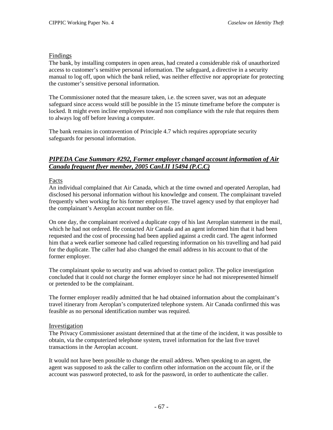#### Findings

The bank, by installing computers in open areas, had created a considerable risk of unauthorized access to customer's sensitive personal information. The safeguard, a directive in a security manual to log off, upon which the bank relied, was neither effective nor appropriate for protecting the customer's sensitive personal information.

The Commissioner noted that the measure taken, i.e. the screen saver, was not an adequate safeguard since access would still be possible in the 15 minute timeframe before the computer is locked. It might even incline employees toward non compliance with the rule that requires them to always log off before leaving a computer.

The bank remains in contravention of Principle 4.7 which requires appropriate security safeguards for personal information.

## *PIPEDA Case Summary #292, Former employer changed account information of Air Canada frequent flyer member, 2005 CanLII 15494 (P.C.C)*

#### Facts

An individual complained that Air Canada, which at the time owned and operated Aeroplan, had disclosed his personal information without his knowledge and consent. The complainant traveled frequently when working for his former employer. The travel agency used by that employer had the complainant's Aeroplan account number on file.

On one day, the complainant received a duplicate copy of his last Aeroplan statement in the mail, which he had not ordered. He contacted Air Canada and an agent informed him that it had been requested and the cost of processing had been applied against a credit card. The agent informed him that a week earlier someone had called requesting information on his travelling and had paid for the duplicate. The caller had also changed the email address in his account to that of the former employer.

The complainant spoke to security and was advised to contact police. The police investigation concluded that it could not charge the former employer since he had not misrepresented himself or pretended to be the complainant.

The former employer readily admitted that he had obtained information about the complainant's travel itinerary from Aeroplan's computerized telephone system. Air Canada confirmed this was feasible as no personal identification number was required.

#### Investigation

The Privacy Commissioner assistant determined that at the time of the incident, it was possible to obtain, via the computerized telephone system, travel information for the last five travel transactions in the Aeroplan account.

It would not have been possible to change the email address. When speaking to an agent, the agent was supposed to ask the caller to confirm other information on the account file, or if the account was password protected, to ask for the password, in order to authenticate the caller.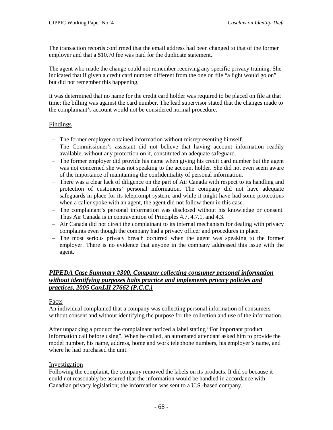The transaction records confirmed that the email address had been changed to that of the former employer and that a \$10.70 fee was paid for the duplicate statement.

The agent who made the change could not remember receiving any specific privacy training. She indicated that if given a credit card number different from the one on file "a light would go on" but did not remember this happening.

It was determined that no name for the credit card holder was required to be placed on file at that time; the billing was against the card number. The lead supervisor stated that the changes made to the complainant's account would not be considered normal procedure.

### Findings

- − The former employer obtained information without misrepresenting himself.
- − The Commissioner's assistant did not believe that having account information readily available, without any protection on it, constituted an adequate safeguard.
- − The former employer did provide his name when giving his credit card number but the agent was not concerned she was not speaking to the account holder. She did not even seem aware of the importance of maintaining the confidentiality of personal information.
- − There was a clear lack of diligence on the part of Air Canada with respect to its handling and protection of customers' personal information. The company did not have adequate safeguards in place for its teleprompt system, and while it might have had some protections when a caller spoke with an agent, the agent did not follow them in this case.
- − The complainant's personal information was disclosed without his knowledge or consent. Thus Air Canada is in contravention of Principles 4.7, 4.7.1, and 4.3.
- − Air Canada did not direct the complainant to its internal mechanism for dealing with privacy complaints even though the company had a privacy officer and procedures in place.
- − The most serious privacy breach occurred when the agent was speaking to the former employer. There is no evidence that anyone in the company addressed this issue with the agent.

### *PIPEDA Case Summary #300, Company collecting consumer personal information without identifying purposes halts practice and implements privacy policies and practices, 2005 CanLII 27662 (P.C.C.)*

### Facts

An individual complained that a company was collecting personal information of consumers without consent and without identifying the purpose for the collection and use of the information.

After unpacking a product the complainant noticed a label stating "For important product information call before using". When he called, an automated attendant asked him to provide the model number, his name, address, home and work telephone numbers, his employer's name, and where he had purchased the unit.

### Investigation

Following the complaint, the company removed the labels on its products. It did so because it could not reasonably be assured that the information would be handled in accordance with Canadian privacy legislation; the information was sent to a U.S.-based company.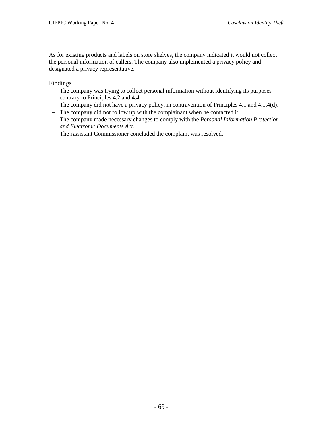As for existing products and labels on store shelves, the company indicated it would not collect the personal information of callers. The company also implemented a privacy policy and designated a privacy representative.

#### Findings

- − The company was trying to collect personal information without identifying its purposes contrary to Principles 4.2 and 4.4.
- − The company did not have a privacy policy, in contravention of Principles 4.1 and 4.1.4(d).
- − The company did not follow up with the complainant when he contacted it.
- − The company made necessary changes to comply with the *Personal Information Protection and Electronic Documents Act*.
- − The Assistant Commissioner concluded the complaint was resolved.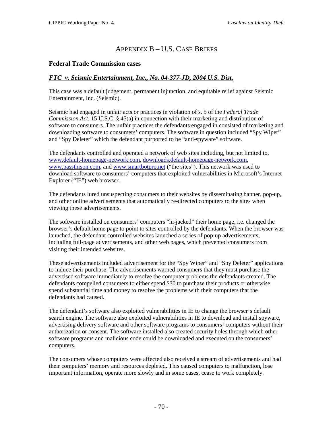# APPENDIX B – U.S. CASE BRIEFS

### **Federal Trade Commission cases**

### *FTC v. Seismic Entertainment, Inc., No. 04-377-JD, 2004 U.S. Dist.*

This case was a default judgement, permanent injunction, and equitable relief against Seismic Entertainment, Inc. (Seismic).

Seismic had engaged in unfair acts or practices in violation of s. 5 of the *Federal Trade Commission Act*, 15 U.S.C. § 45(a) in connection with their marketing and distribution of software to consumers. The unfair practices the defendants engaged in consisted of marketing and downloading software to consumers' computers. The software in question included "Spy Wiper" and "Spy Deleter" which the defendant purported to be "anti-spyware" software.

The defendants controlled and operated a network of web sites including, but not limited to, [www.default-homepage-network.com,](http://www.default-homepage-network.com/) [downloads.default-homepage-network.com,](http://downloads.default-homepage-network.com/) [www.passthison.com,](http://www.passthison.com/) and [www.smartbotpro.net](http://www.smartbotpro.net/) ("the sites"). This network was used to download software to consumers' computers that exploited vulnerabilities in Microsoft's Internet Explorer ("IE") web browser.

The defendants lured unsuspecting consumers to their websites by disseminating banner, pop-up, and other online advertisements that automatically re-directed computers to the sites when viewing these advertisements.

The software installed on consumers' computers "hi-jacked" their home page, i.e. changed the browser's default home page to point to sites controlled by the defendants. When the browser was launched, the defendant controlled websites launched a series of pop-up advertisements, including full-page advertisements, and other web pages, which prevented consumers from visiting their intended websites.

These advertisements included advertisement for the "Spy Wiper" and "Spy Deleter" applications to induce their purchase. The advertisements warned consumers that they must purchase the advertised software immediately to resolve the computer problems the defendants created. The defendants compelled consumers to either spend \$30 to purchase their products or otherwise spend substantial time and money to resolve the problems with their computers that the defendants had caused.

The defendant's software also exploited vulnerabilities in IE to change the browser's default search engine. The software also exploited vulnerabilities in IE to download and install spyware, advertising delivery software and other software programs to consumers' computers without their authorization or consent. The software installed also created security holes through which other software programs and malicious code could be downloaded and executed on the consumers' computers.

The consumers whose computers were affected also received a stream of advertisements and had their computers' memory and resources depleted. This caused computers to malfunction, lose important information, operate more slowly and in some cases, cease to work completely.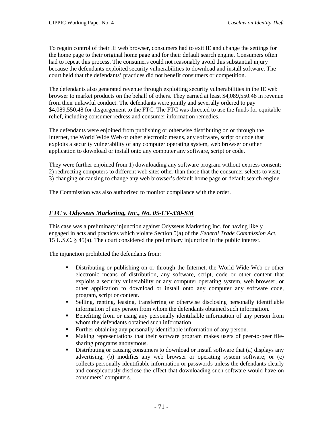To regain control of their IE web browser, consumers had to exit IE and change the settings for the home page to their original home page and for their default search engine. Consumers often had to repeat this process. The consumers could not reasonably avoid this substantial injury because the defendants exploited security vulnerabilities to download and install software. The court held that the defendants' practices did not benefit consumers or competition.

The defendants also generated revenue through exploiting security vulnerabilities in the IE web browser to market products on the behalf of others. They earned at least \$4,089,550.48 in revenue from their unlawful conduct. The defendants were jointly and severally ordered to pay \$4,089,550.48 for disgorgement to the FTC. The FTC was directed to use the funds for equitable relief, including consumer redress and consumer information remedies.

The defendants were enjoined from publishing or otherwise distributing on or through the Internet, the World Wide Web or other electronic means, any software, script or code that exploits a security vulnerability of any computer operating system, web browser or other application to download or install onto any computer any software, script or code.

They were further enjoined from 1) downloading any software program without express consent; 2) redirecting computers to different web sites other than those that the consumer selects to visit; 3) changing or causing to change any web browser's default home page or default search engine.

The Commission was also authorized to monitor compliance with the order.

## *FTC v. Odysseus Marketing, Inc., No. 05-CV-330-SM*

This case was a preliminary injunction against Odysseus Marketing Inc. for having likely engaged in acts and practices which violate Section 5(a) of the *Federal Trade Commission Act*, 15 U.S.C. § 45(a). The court considered the preliminary injunction in the public interest.

The injunction prohibited the defendants from:

- Distributing or publishing on or through the Internet, the World Wide Web or other electronic means of distribution, any software, script, code or other content that exploits a security vulnerability or any computer operating system, web browser, or other application to download or install onto any computer any software code, program, script or content.
- Selling, renting, leasing, transferring or otherwise disclosing personally identifiable information of any person from whom the defendants obtained such information.
- Benefiting from or using any personally identifiable information of any person from whom the defendants obtained such information.
- Further obtaining any personally identifiable information of any person.
- Making representations that their software program makes users of peer-to-peer filesharing programs anonymous.
- Distributing or causing consumers to download or install software that (a) displays any advertising; (b) modifies any web browser or operating system software; or (c) collects personally identifiable information or passwords unless the defendants clearly and conspicuously disclose the effect that downloading such software would have on consumers' computers.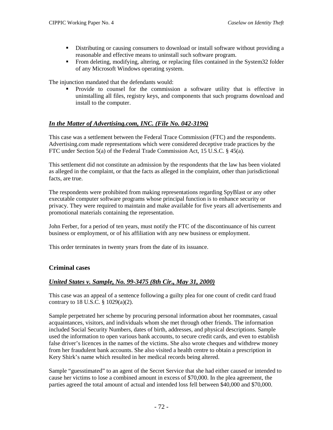- Distributing or causing consumers to download or install software without providing a reasonable and effective means to uninstall such software program.
- From deleting, modifying, altering, or replacing files contained in the System32 folder of any Microsoft Windows operating system.

The injunction mandated that the defendants would:

 Provide to counsel for the commission a software utility that is effective in uninstalling all files, registry keys, and components that such programs download and install to the computer.

### *In the Matter of Advertising.com, INC. (File No. 042-3196)*

This case was a settlement between the Federal Trace Commission (FTC) and the respondents. Advertising.com made representations which were considered deceptive trade practices by the FTC under Section 5(a) of the Federal Trade Commission Act, 15 U.S.C. § 45(a).

This settlement did not constitute an admission by the respondents that the law has been violated as alleged in the complaint, or that the facts as alleged in the complaint, other than jurisdictional facts, are true.

The respondents were prohibited from making representations regarding SpyBlast or any other executable computer software programs whose principal function is to enhance security or privacy. They were required to maintain and make available for five years all advertisements and promotional materials containing the representation.

John Ferber, for a period of ten years, must notify the FTC of the discontinuance of his current business or employment, or of his affiliation with any new business or employment.

This order terminates in twenty years from the date of its issuance.

#### **Criminal cases**

#### *United States v. Sample, No. 99-3475 (8th Cir., May 31, 2000)*

This case was an appeal of a sentence following a guilty plea for one count of credit card fraud contrary to 18 U.S.C. § 1029(a)(2).

Sample perpetrated her scheme by procuring personal information about her roommates, casual acquaintances, visitors, and individuals whom she met through other friends. The information included Social Security Numbers, dates of birth, addresses, and physical descriptions. Sample used the information to open various bank accounts, to secure credit cards, and even to establish false driver's licences in the names of the victims. She also wrote cheques and withdrew money from her fraudulent bank accounts. She also visited a health centre to obtain a prescription in Kery Shirk's name which resulted in her medical records being altered.

Sample "guesstimated" to an agent of the Secret Service that she had either caused or intended to cause her victims to lose a combined amount in excess of \$70,000. In the plea agreement, the parties agreed the total amount of actual and intended loss fell between \$40,000 and \$70,000.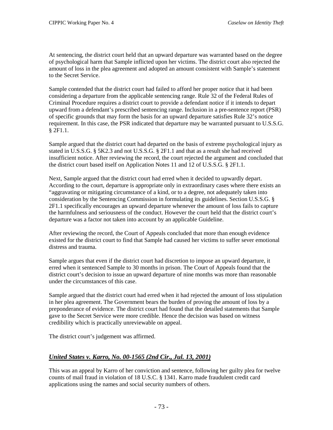At sentencing, the district court held that an upward departure was warranted based on the degree of psychological harm that Sample inflicted upon her victims. The district court also rejected the amount of loss in the plea agreement and adopted an amount consistent with Sample's statement to the Secret Service.

Sample contended that the district court had failed to afford her proper notice that it had been considering a departure from the applicable sentencing range. Rule 32 of the Federal Rules of Criminal Procedure requires a district court to provide a defendant notice if it intends to depart upward from a defendant's prescribed sentencing range. Inclusion in a pre-sentence report (PSR) of specific grounds that may form the basis for an upward departure satisfies Rule 32's notice requirement. In this case, the PSR indicated that departure may be warranted pursuant to U.S.S.G. § 2F1.1.

Sample argued that the district court had departed on the basis of extreme psychological injury as stated in U.S.S.G. § 5K2.3 and not U.S.S.G. § 2F1.1 and that as a result she had received insufficient notice. After reviewing the record, the court rejected the argument and concluded that the district court based itself on Application Notes 11 and 12 of U.S.S.G. § 2F1.1.

Next, Sample argued that the district court had erred when it decided to upwardly depart. According to the court, departure is appropriate only in extraordinary cases where there exists an "aggravating or mitigating circumstance of a kind, or to a degree, not adequately taken into consideration by the Sentencing Commission in formulating its guidelines. Section U.S.S.G. § 2F1.1 specifically encourages an upward departure whenever the amount of loss fails to capture the harmfulness and seriousness of the conduct. However the court held that the district court's departure was a factor not taken into account by an applicable Guideline.

After reviewing the record, the Court of Appeals concluded that more than enough evidence existed for the district court to find that Sample had caused her victims to suffer sever emotional distress and trauma.

Sample argues that even if the district court had discretion to impose an upward departure, it erred when it sentenced Sample to 30 months in prison. The Court of Appeals found that the district court's decision to issue an upward departure of nine months was more than reasonable under the circumstances of this case.

Sample argued that the district court had erred when it had rejected the amount of loss stipulation in her plea agreement. The Government bears the burden of proving the amount of loss by a preponderance of evidence. The district court had found that the detailed statements that Sample gave to the Secret Service were more credible. Hence the decision was based on witness credibility which is practically unreviewable on appeal.

The district court's judgement was affirmed.

### *United States v. Karro, No. 00-1565 (2nd Cir., Jul. 13, 2001)*

This was an appeal by Karro of her conviction and sentence, following her guilty plea for twelve counts of mail fraud in violation of 18 U.S.C. § 1341. Karro made fraudulent credit card applications using the names and social security numbers of others.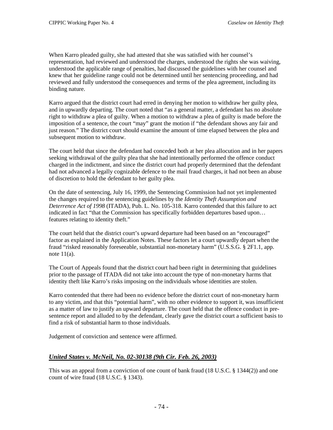When Karro pleaded guilty, she had attested that she was satisfied with her counsel's representation, had reviewed and understood the charges, understood the rights she was waiving, understood the applicable range of penalties, had discussed the guidelines with her counsel and knew that her guideline range could not be determined until her sentencing proceeding, and had reviewed and fully understood the consequences and terms of the plea agreement, including its binding nature.

Karro argued that the district court had erred in denying her motion to withdraw her guilty plea, and in upwardly departing. The court noted that "as a general matter, a defendant has no absolute right to withdraw a plea of guilty. When a motion to withdraw a plea of guilty is made before the imposition of a sentence, the court "may" grant the motion if "the defendant shows any fair and just reason." The district court should examine the amount of time elapsed between the plea and subsequent motion to withdraw.

The court held that since the defendant had conceded both at her plea allocution and in her papers seeking withdrawal of the guilty plea that she had intentionally performed the offence conduct charged in the indictment, and since the district court had properly determined that the defendant had not advanced a legally cognizable defence to the mail fraud charges, it had not been an abuse of discretion to hold the defendant to her guilty plea.

On the date of sentencing, July 16, 1999, the Sentencing Commission had not yet implemented the changes required to the sentencing guidelines by the *Identity Theft Assumption and Deterrence Act of 1998* (ITADA), Pub. L. No. 105-318. Karro contended that this failure to act indicated in fact "that the Commission has specifically forbidden departures based upon… features relating to identity theft."

The court held that the district court's upward departure had been based on an "encouraged" factor as explained in the Application Notes. These factors let a court upwardly depart when the fraud "risked reasonably foreseeable, substantial non-monetary harm" (U.S.S.G. § 2F1.1, app. note 11(a).

The Court of Appeals found that the district court had been right in determining that guidelines prior to the passage of ITADA did not take into account the type of non-monetary harms that identity theft like Karro's risks imposing on the individuals whose identities are stolen.

Karro contended that there had been no evidence before the district court of non-monetary harm to any victim, and that this "potential harm", with no other evidence to support it, was insufficient as a matter of law to justify an upward departure. The court held that the offence conduct in presentence report and alluded to by the defendant, clearly gave the district court a sufficient basis to find a risk of substantial harm to those individuals.

Judgement of conviction and sentence were affirmed.

### *United States v. McNeil, No. 02-30138 (9th Cir. Feb. 26, 2003)*

This was an appeal from a conviction of one count of bank fraud (18 U.S.C. § 1344(2)) and one count of wire fraud (18 U.S.C. § 1343).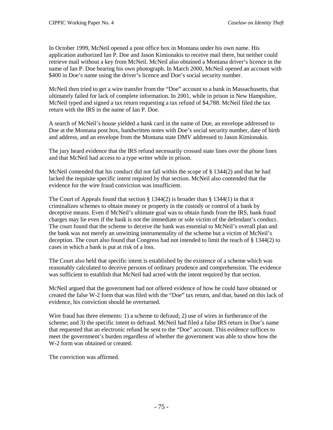In October 1999, McNeil opened a post office box in Montana under his own name. His application authorized Ian P. Doe and Jason Kimionakis to receive mail there, but neither could retrieve mail without a key from McNeil. McNeil also obtained a Montana driver's licence in the name of Ian P. Doe bearing his own photograph. In March 2000, McNeil opened an account with \$400 in Doe's name using the driver's licence and Doe's social security number.

McNeil then tried to get a wire transfer from the "Doe" account to a bank in Massachusetts, that ultimately failed for lack of complete information. In 2001, while in prison in New Hampshire, McNeil typed and signed a tax return requesting a tax refund of \$4,788. McNeil filed the tax return with the IRS in the name of Ian P. Doe.

A search of McNeil's house yielded a bank card in the name of Doe, an envelope addressed to Doe at the Montana post box, handwritten notes with Doe's social security number, date of birth and address, and an envelope from the Montana state DMV addressed to Jason Kimionakis.

The jury heard evidence that the IRS refund necessarily crossed state lines over the phone lines and that McNeil had access to a type writer while in prison.

McNeil contended that his conduct did not fall within the scope of § 1344(2) and that he had lacked the requisite specific intent required by that section. McNeil also contended that the evidence for the wire fraud conviction was insufficient.

The Court of Appeals found that section  $\S 1344(2)$  is broader than  $\S 1344(1)$  in that it criminalizes schemes to obtain money or property in the custody or control of a bank by deceptive means. Even if McNeil's ultimate goal was to obtain funds from the IRS, bank fraud charges may lie even if the bank is not the immediate or sole victim of the defendant's conduct. The court found that the scheme to deceive the bank was essential to McNeil's overall plan and the bank was not merely an unwitting instrumentality of the scheme but a victim of McNeil's deception. The court also found that Congress had not intended to limit the reach of § 1344(2) to cases in which a bank is put at risk of a loss.

The Court also held that specific intent is established by the existence of a scheme which was reasonably calculated to deceive persons of ordinary prudence and comprehension. The evidence was sufficient to establish that McNeil had acted with the intent required by that section.

McNeil argued that the government had not offered evidence of how he could have obtained or created the false W-2 form that was filed with the "Doe" tax return, and that, based on this lack of evidence, his conviction should be overturned.

Wire fraud has three elements: 1) a scheme to defraud; 2) use of wires in furtherance of the scheme; and 3) the specific intent to defraud. McNeil had filed a false IRS return in Doe's name that requested that an electronic refund be sent to the "Doe" account. This evidence suffices to meet the government's burden regardless of whether the government was able to show how the W-2 form was obtained or created.

The conviction was affirmed.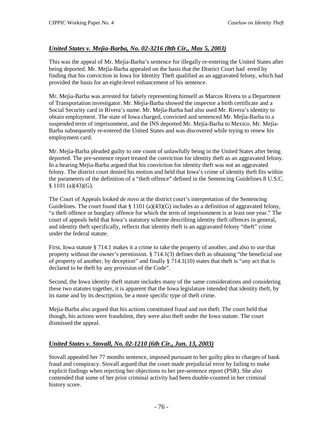## *United States v. Mejìa-Barba, No. 02-3216 (8th Cir., May 5, 2003)*

This was the appeal of Mr. Mejìa-Barba's sentence for illegally re-entering the United States after being deported. Mr. Mejìa-Barba appealed on the basis that the District Court had erred by finding that his conviction in Iowa for Identity Theft qualified as an aggravated felony, which had provided the basis for an eight-level enhancement of his sentence.

Mr. Mejìa-Barba was arrested for falsely representing himself as Marcos Rivera to a Department of Transportation investigator. Mr. Mejìa-Barba showed the inspector a birth certificate and a Social Security card in Rivera's name. Mr. Mejìa-Barba had also used Mr. Rivera's identity to obtain employment. The state of Iowa charged, convicted and sentenced Mr. Mejìa-Barba to a suspended term of imprisonment, and the INS deported Mr. Mejìa-Barba to Mexico. Mr. Mejìa-Barba subsequently re-entered the United States and was discovered while trying to renew his employment card.

Mr. Mejìa-Barba pleaded guilty to one count of unlawfully being in the United States after being deported. The pre-sentence report treated the conviction for identity theft as an aggravated felony. In a hearing Mejìa-Barba argued that his conviction for identity theft was not an aggravated felony. The district court denied his motion and held that Iowa's crime of identity theft fits within the parameters of the definition of a "theft offence" defined in the Sentencing Guidelines 8 U.S.C. § 1101 (a)(43)(G).

The Court of Appeals looked *de novo* at the district court's interpretation of the Sentencing Guidelines. The court found that  $\S 1101 (a)(43)(G)$  includes as a definition of aggravated felony, "a theft offence or burglary offence for which the term of imprisonment is at least one year." The court of appeals held that Iowa's statutory scheme describing identity theft offences in general, and identity theft specifically, reflects that identity theft is an aggravated felony "theft" crime under the federal statute.

First, Iowa statute § 714.1 makes it a crime to take the property of another, and also to use that property without the owner's permission.  $\S$  714.1(3) defines theft as obtaining "the beneficial use of property of another, by deception" and finally  $\S$  714.1(10) states that the ft is "any act that is declared to be theft by any provision of the Code".

Second, the Iowa identity theft statute includes many of the same considerations and considering these two statutes together, it is apparent that the Iowa legislature intended that identity theft, by its name and by its description, be a more specific type of theft crime.

Mejìa-Barba also argued that his actions constituted fraud and not theft. The court held that though, his actions were fraudulent, they were also theft under the Iowa statute. The court dismissed the appeal.

### *United States v. Stovall, No. 02-1210 (6th Cir., Jun. 13, 2003)*

Stovall appealed her 77 months sentence, imposed pursuant to her guilty plea to charges of bank fraud and conspiracy. Stovall argued that the court made prejudicial error by failing to make explicit findings when rejecting her objections to her pre-sentence report (PSR). She also contended that some of her prior criminal activity had been double-counted in her criminal history score.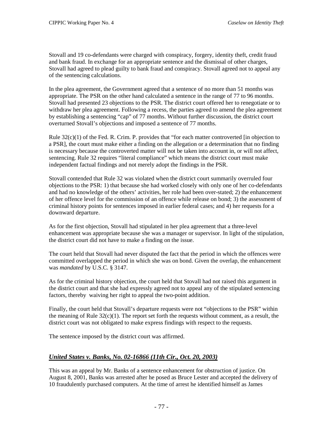Stovall and 19 co-defendants were charged with conspiracy, forgery, identity theft, credit fraud and bank fraud. In exchange for an appropriate sentence and the dismissal of other charges, Stovall had agreed to plead guilty to bank fraud and conspiracy. Stovall agreed not to appeal any of the sentencing calculations.

In the plea agreement, the Government agreed that a sentence of no more than 51 months was appropriate. The PSR on the other hand calculated a sentence in the range of 77 to 96 months. Stovall had presented 23 objections to the PSR. The district court offered her to renegotiate or to withdraw her plea agreement. Following a recess, the parties agreed to amend the plea agreement by establishing a sentencing "cap" of 77 months. Without further discussion, the district court overturned Stovall's objections and imposed a sentence of 77 months.

Rule  $32(c)(1)$  of the Fed. R. Crim. P. provides that "for each matter controverted [in objection to a PSR], the court must make either a finding on the allegation or a determination that no finding is necessary because the controverted matter will not be taken into account in, or will not affect, sentencing. Rule 32 requires "literal compliance" which means the district court must make independent factual findings and not merely adopt the findings in the PSR.

Stovall contended that Rule 32 was violated when the district court summarily overruled four objections to the PSR: 1) that because she had worked closely with only one of her co-defendants and had no knowledge of the others' activities, her role had been over-stated; 2) the enhancement of her offence level for the commission of an offence while release on bond; 3) the assessment of criminal history points for sentences imposed in earlier federal cases; and 4) her requests for a downward departure.

As for the first objection, Stovall had stipulated in her plea agreement that a three-level enhancement was appropriate because she was a manager or supervisor. In light of the stipulation, the district court did not have to make a finding on the issue.

The court held that Stovall had never disputed the fact that the period in which the offences were committed overlapped the period in which she was on bond. Given the overlap, the enhancement was *mandated* by U.S.C. § 3147.

As for the criminal history objection, the court held that Stovall had not raised this argument in the district court and that she had expressly agreed not to appeal any of the stipulated sentencing factors, thereby waiving her right to appeal the two-point addition.

Finally, the court held that Stovall's departure requests were not "objections to the PSR" within the meaning of Rule  $32(c)(1)$ . The report set forth the requests without comment, as a result, the district court was not obligated to make express findings with respect to the requests.

The sentence imposed by the district court was affirmed.

### *United States v. Banks, No. 02-16866 (11th Cir., Oct. 20, 2003)*

This was an appeal by Mr. Banks of a sentence enhancement for obstruction of justice. On August 8, 2001, Banks was arrested after he posed as Bruce Lester and accepted the delivery of 10 fraudulently purchased computers. At the time of arrest he identified himself as James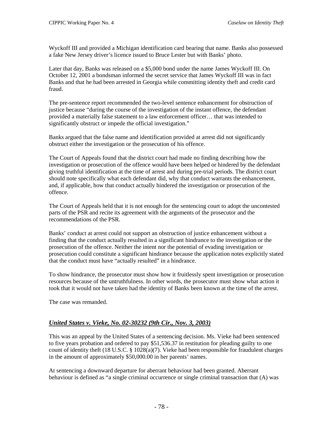Wyckoff III and provided a Michigan identification card bearing that name. Banks also possessed a fake New Jersey driver's licence issued to Bruce Lester but with Banks' photo.

Later that day, Banks was released on a \$5,000 bond under the name James Wyckoff III. On October 12, 2001 a bondsman informed the secret service that James Wyckoff III was in fact Banks and that he had been arrested in Georgia while committing identity theft and credit card fraud.

The pre-sentence report recommended the two-level sentence enhancement for obstruction of justice because "during the course of the investigation of the instant offence, the defendant provided a materially false statement to a law enforcement officer… that was intended to significantly obstruct or impede the official investigation."

Banks argued that the false name and identification provided at arrest did not significantly obstruct either the investigation or the prosecution of his offence.

The Court of Appeals found that the district court had made no finding describing how the investigation or prosecution of the offence would have been helped or hindered by the defendant giving truthful identification at the time of arrest and during pre-trial periods. The district court should note specifically what each defendant did, why that conduct warrants the enhancement, and, if applicable, how that conduct actually hindered the investigation or prosecution of the offence.

The Court of Appeals held that it is not enough for the sentencing court to adopt the uncontested parts of the PSR and recite its agreement with the arguments of the prosecutor and the recommendations of the PSR.

Banks' conduct at arrest could not support an obstruction of justice enhancement without a finding that the conduct actually resulted in a significant hindrance to the investigation or the prosecution of the offence. Neither the intent nor the potential of evading investigation or prosecution could constitute a significant hindrance because the application notes explicitly stated that the conduct must have "actually resulted" in a hindrance.

To show hindrance, the prosecutor must show how it fruitlessly spent investigation or prosecution resources because of the untruthfulness. In other words, the prosecutor must show what action it took that it would not have taken had the identity of Banks been known at the time of the arrest.

The case was remanded.

#### *United States v. Vieke, No. 02-30232 (9th Cir., Nov. 3, 2003)*

This was an appeal by the United States of a sentencing decision. Ms. Vieke had been sentenced to five years probation and ordered to pay \$51,536.37 in restitution for pleading guilty to one count of identity theft (18 U.S.C. § 1028(a)(7). Vieke had been responsible for fraudulent charges in the amount of approximately \$50,000.00 in her parents' names.

At sentencing a downward departure for aberrant behaviour had been granted. Aberrant behaviour is defined as "a single criminal occurrence or single criminal transaction that (A) was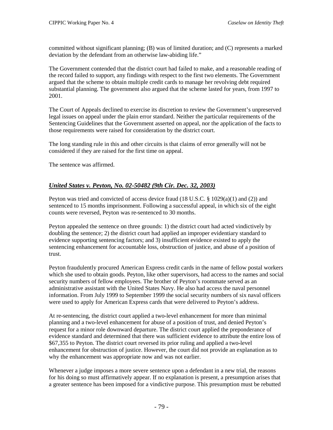committed without significant planning; (B) was of limited duration; and (C) represents a marked deviation by the defendant from an otherwise law-abiding life."

The Government contended that the district court had failed to make, and a reasonable reading of the record failed to support, any findings with respect to the first two elements. The Government argued that the scheme to obtain multiple credit cards to manage her revolving debt required substantial planning. The government also argued that the scheme lasted for years, from 1997 to 2001.

The Court of Appeals declined to exercise its discretion to review the Government's unpreserved legal issues on appeal under the plain error standard. Neither the particular requirements of the Sentencing Guidelines that the Government asserted on appeal, nor the application of the facts to those requirements were raised for consideration by the district court.

The long standing rule in this and other circuits is that claims of error generally will not be considered if they are raised for the first time on appeal.

The sentence was affirmed.

## *United States v. Peyton, No. 02-50482 (9th Cir. Dec. 32, 2003)*

Peyton was tried and convicted of access device fraud (18 U.S.C.  $\S$  1029(a)(1) and (2)) and sentenced to 15 months imprisonment. Following a successful appeal, in which six of the eight counts were reversed, Peyton was re-sentenced to 30 months.

Peyton appealed the sentence on three grounds: 1) the district court had acted vindictively by doubling the sentence; 2) the district court had applied an improper evidentiary standard to evidence supporting sentencing factors; and 3) insufficient evidence existed to apply the sentencing enhancement for accountable loss, obstruction of justice, and abuse of a position of trust.

Peyton fraudulently procured American Express credit cards in the name of fellow postal workers which she used to obtain goods. Peyton, like other supervisors, had access to the names and social security numbers of fellow employees. The brother of Peyton's roommate served as an administrative assistant with the United States Navy. He also had access the naval personnel information. From July 1999 to September 1999 the social security numbers of six naval officers were used to apply for American Express cards that were delivered to Peyton's address.

At re-sentencing, the district court applied a two-level enhancement for more than minimal planning and a two-level enhancement for abuse of a position of trust, and denied Peyton's request for a minor role downward departure. The district court applied the preponderance of evidence standard and determined that there was sufficient evidence to attribute the entire loss of \$67,355 to Peyton. The district court reversed its prior ruling and applied a two-level enhancement for obstruction of justice. However, the court did not provide an explanation as to why the enhancement was appropriate now and was not earlier.

Whenever a judge imposes a more severe sentence upon a defendant in a new trial, the reasons for his doing so must affirmatively appear. If no explanation is present, a presumption arises that a greater sentence has been imposed for a vindictive purpose. This presumption must be rebutted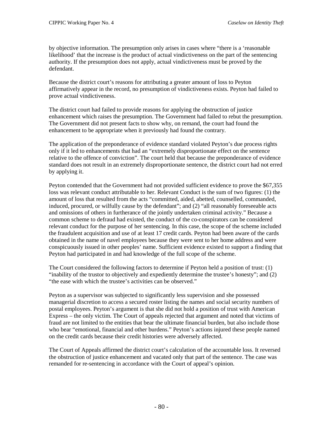by objective information. The presumption only arises in cases where "there is a 'reasonable likelihood' that the increase is the product of actual vindictiveness on the part of the sentencing authority. If the presumption does not apply, actual vindictiveness must be proved by the defendant.

Because the district court's reasons for attributing a greater amount of loss to Peyton affirmatively appear in the record, no presumption of vindictiveness exists. Peyton had failed to prove actual vindictiveness.

The district court had failed to provide reasons for applying the obstruction of justice enhancement which raises the presumption. The Government had failed to rebut the presumption. The Government did not present facts to show why, on remand, the court had found the enhancement to be appropriate when it previously had found the contrary.

The application of the preponderance of evidence standard violated Peyton's due process rights only if it led to enhancements that had an "extremely disproportionate effect on the sentence relative to the offence of conviction". The court held that because the preponderance of evidence standard does not result in an extremely disproportionate sentence, the district court had not erred by applying it.

Peyton contended that the Government had not provided sufficient evidence to prove the \$67,355 loss was relevant conduct attributable to her. Relevant Conduct is the sum of two figures: (1) the amount of loss that resulted from the acts "committed, aided, abetted, counselled, commanded, induced, procured, or wilfully cause by the defendant"; and (2) "all reasonably foreseeable acts and omissions of others in furtherance of the jointly undertaken criminal activity." Because a common scheme to defraud had existed, the conduct of the co-conspirators can be considered relevant conduct for the purpose of her sentencing. In this case, the scope of the scheme included the fraudulent acquisition and use of at least 17 credit cards. Peyton had been aware of the cards obtained in the name of navel employees because they were sent to her home address and were conspicuously issued in other peoples' name. Sufficient evidence existed to support a finding that Peyton had participated in and had knowledge of the full scope of the scheme.

The Court considered the following factors to determine if Peyton held a position of trust: (1) "inability of the trustor to objectively and expediently determine the trustee's honesty"; and (2) "the ease with which the trustee's activities can be observed."

Peyton as a supervisor was subjected to significantly less supervision and she possessed managerial discretion to access a secured roster listing the names and social security numbers of postal employees. Peyton's argument is that she did not hold a position of trust with American Express – the only victim. The Court of appeals rejected that argument and noted that victims of fraud are not limited to the entities that bear the ultimate financial burden, but also include those who bear "emotional, financial and other burdens." Peyton's actions injured these people named on the credit cards because their credit histories were adversely affected.

The Court of Appeals affirmed the district court's calculation of the accountable loss. It reversed the obstruction of justice enhancement and vacated only that part of the sentence. The case was remanded for re-sentencing in accordance with the Court of appeal's opinion.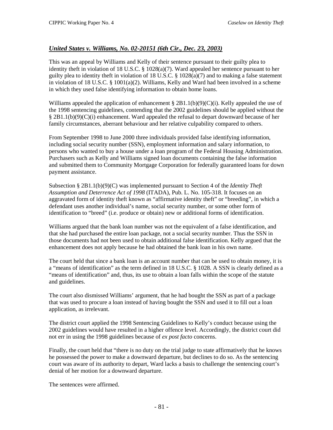## *United States v. Williams, No. 02-20151 (6th Cir., Dec. 23, 2003)*

This was an appeal by Williams and Kelly of their sentence pursuant to their guilty plea to identity theft in violation of 18 U.S.C. § 1028(a)(7). Ward appealed her sentence pursuant to her guilty plea to identity theft in violation of 18 U.S.C. § 1028(a)(7) and to making a false statement in violation of 18 U.S.C.  $\S$  1001(a)(2). Williams, Kelly and Ward had been involved in a scheme in which they used false identifying information to obtain home loans.

Williams appealed the application of enhancement  $\S 2B1.1(b)(9)(C)(i)$ . Kelly appealed the use of the 1998 sentencing guidelines, contending that the 2002 guidelines should be applied without the § 2B1.1(b)(9)(C)(i) enhancement. Ward appealed the refusal to depart downward because of her family circumstances, aberrant behaviour and her relative culpability compared to others.

From September 1998 to June 2000 three individuals provided false identifying information, including social security number (SSN), employment information and salary information, to persons who wanted to buy a house under a loan program of the Federal Housing Administration. Purchasers such as Kelly and Williams signed loan documents containing the false information and submitted them to Community Mortgage Corporation for federally guaranteed loans for down payment assistance.

Subsection § 2B1.1(b)(9)(C) was implemented pursuant to Section 4 of the *Identity Theft Assumption and Deterrence Act of 1998* (ITADA), Pub. L. No. 105-318. It focuses on an aggravated form of identity theft known as "affirmative identity theft" or "breeding", in which a defendant uses another individual's name, social security number, or some other form of identification to "breed" (i.e. produce or obtain) new or additional forms of identification.

Williams argued that the bank loan number was not the equivalent of a false identification, and that she had purchased the entire loan package, not a social security number. Thus the SSN in those documents had not been used to obtain additional false identification. Kelly argued that the enhancement does not apply because he had obtained the bank loan in his own name.

The court held that since a bank loan is an account number that can be used to obtain money, it is a "means of identification" as the term defined in 18 U.S.C. § 1028. A SSN is clearly defined as a "means of identification" and, thus, its use to obtain a loan falls within the scope of the statute and guidelines.

The court also dismissed Williams' argument, that he had bought the SSN as part of a package that was used to procure a loan instead of having bought the SSN and used it to fill out a loan application, as irrelevant.

The district court applied the 1998 Sentencing Guidelines to Kelly's conduct because using the 2002 guidelines would have resulted in a higher offence level. Accordingly, the district court did not err in using the 1998 guidelines because of *ex post facto* concerns.

Finally, the court held that "there is no duty on the trial judge to state affirmatively that he knows he possessed the power to make a downward departure, but declines to do so. As the sentencing court was aware of its authority to depart, Ward lacks a basis to challenge the sentencing court's denial of her motion for a downward departure.

The sentences were affirmed.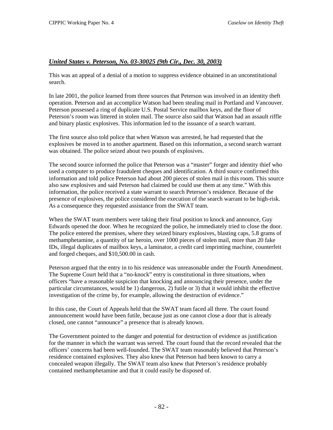### *United States v. Peterson, No. 03-30025 (9th Cir., Dec. 30, 2003)*

This was an appeal of a denial of a motion to suppress evidence obtained in an unconstitutional search.

In late 2001, the police learned from three sources that Peterson was involved in an identity theft operation. Peterson and an accomplice Watson had been stealing mail in Portland and Vancouver. Peterson possessed a ring of duplicate U.S. Postal Service mailbox keys, and the floor of Peterson's room was littered in stolen mail. The source also said that Watson had an assault riffle and binary plastic explosives. This information led to the issuance of a search warrant.

The first source also told police that when Watson was arrested, he had requested that the explosives be moved in to another apartment. Based on this information, a second search warrant was obtained. The police seized about two pounds of explosives.

The second source informed the police that Peterson was a "master" forger and identity thief who used a computer to produce fraudulent cheques and identification. A third source confirmed this information and told police Peterson had about 200 pieces of stolen mail in this room. This source also saw explosives and said Peterson had claimed he could use them at any time." With this information, the police received a state warrant to search Peterson's residence. Because of the presence of explosives, the police considered the execution of the search warrant to be high-risk. As a consequence they requested assistance from the SWAT team.

When the SWAT team members were taking their final position to knock and announce, Guy Edwards opened the door. When he recognized the police, he immediately tried to close the door. The police entered the premises, where they seized binary explosives, blasting caps, 5.8 grams of methamphetamine, a quantity of tar heroin, over 1000 pieces of stolen mail, more than 20 fake IDs, illegal duplicates of mailbox keys, a laminator, a credit card imprinting machine, counterfeit and forged cheques, and \$10,500.00 in cash.

Peterson argued that the entry in to his residence was unreasonable under the Fourth Amendment. The Supreme Court held that a "no-knock" entry is constitutional in three situations, when officers "have a reasonable suspicion that knocking and announcing their presence, under the particular circumstances, would be 1) dangerous, 2) futile or 3) that it would inhibit the effective investigation of the crime by, for example, allowing the destruction of evidence."

In this case, the Court of Appeals held that the SWAT team faced all three. The court found announcement would have been futile, because just as one cannot close a door that is already closed, one cannot "announce" a presence that is already known.

The Government pointed to the danger and potential for destruction of evidence as justification for the manner in which the warrant was served. The court found that the record revealed that the officers' concerns had been well-founded. The SWAT team reasonably believed that Peterson's residence contained explosives. They also knew that Peterson had been known to carry a concealed weapon illegally. The SWAT team also knew that Peterson's residence probably contained methamphetamine and that it could easily be disposed of.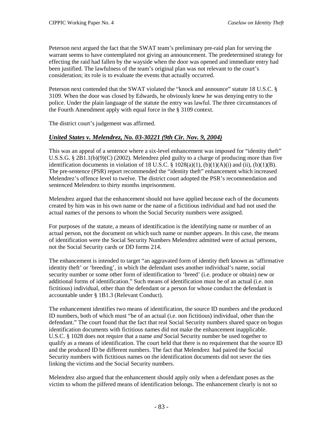Peterson next argued the fact that the SWAT team's preliminary pre-raid plan for serving the warrant seems to have contemplated not giving an announcement. The predetermined strategy for effecting the raid had fallen by the wayside when the door was opened and immediate entry had been justified. The lawfulness of the team's original plan was not relevant to the court's consideration; its role is to evaluate the events that actually occurred.

Peterson next contended that the SWAT violated the "knock and announce" statute 18 U.S.C. § 3109. When the door was closed by Edwards, he obviously knew he was denying entry to the police. Under the plain language of the statute the entry was lawful. The three circumstances of the Fourth Amendment apply with equal force in the § 3109 context.

The district court's judgement was affirmed.

### *United States v. Melendrez, No. 03-30221 (9th Cir. Nov. 9, 2004)*

This was an appeal of a sentence where a six-level enhancement was imposed for "identity theft" U.S.S.G. § 2B1.1(b)(9)(C) (2002). Melendrez pled guilty to a charge of producing more than five identification documents in violation of 18 U.S.C.  $\S$  1028(a)(1), (b)(1)(A)(i) and (ii), (b)(1)(B). The pre-sentence (PSR) report recommended the "identity theft" enhancement which increased Melendrez's offence level to twelve. The district court adopted the PSR's recommendation and sentenced Melendrez to thirty months imprisonment.

Melendrez argued that the enhancement should not have applied because each of the documents created by him was in his own name or the name of a fictitious individual and had not used the actual names of the persons to whom the Social Security numbers were assigned.

For purposes of the statute, a means of identification is the identifying name or number of an actual person, not the document on which such name or number appears. In this case, the means of identification were the Social Security Numbers Melendrez admitted were of actual persons, not the Social Security cards or DD forms 214.

The enhancement is intended to target "an aggravated form of identity theft known as 'affirmative identity theft' or 'breeding', in which the defendant uses another individual's name, social security number or some other form of identification to 'breed' (i.e. produce or obtain) new or additional forms of identification." Such means of identification must be of an actual (i.e. non fictitious) individual, other than the defendant or a person for whose conduct the defendant is accountable under § 1B1.3 (Relevant Conduct).

The enhancement identifies two means of identification, the source ID numbers and the produced ID numbers, both of which must "be of an actual (i.e. non fictitious) individual, other than the defendant." The court found that the fact that real Social Security numbers shared space on bogus identification documents with fictitious names did not make the enhancement inapplicable. U.S.C. § 1028 does not require that a name *and* Social Security number be used together to qualify as a means of identification. The court held that there is no requirement that the source ID and the produced ID be different numbers. The fact that Melendrez had paired the Social Security numbers with fictitious names on the identification documents did not sever the ties linking the victims and the Social Security numbers.

Melendrez also argued that the enhancement should apply only when a defendant poses as the victim to whom the pilfered means of identification belongs. The enhancement clearly is not so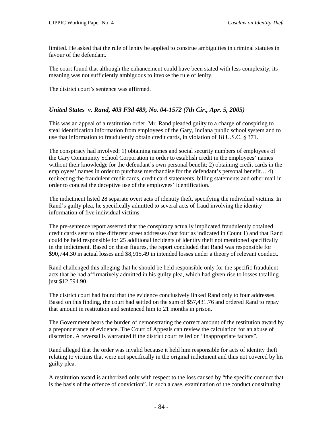limited. He asked that the rule of lenity be applied to construe ambiguities in criminal statutes in favour of the defendant.

The court found that although the enhancement could have been stated with less complexity, its meaning was not sufficiently ambiguous to invoke the rule of lenity.

The district court's sentence was affirmed.

### *United States v. Rand, 403 F3d 489, No. 04-1572 (7th Cir., Apr. 5, 2005)*

This was an appeal of a restitution order. Mr. Rand pleaded guilty to a charge of conspiring to steal identification information from employees of the Gary, Indiana public school system and to use that information to fraudulently obtain credit cards, in violation of 18 U.S.C. § 371.

The conspiracy had involved: 1) obtaining names and social security numbers of employees of the Gary Community School Corporation in order to establish credit in the employees' names without their knowledge for the defendant's own personal benefit; 2) obtaining credit cards in the employees' names in order to purchase merchandise for the defendant's personal benefit… 4) redirecting the fraudulent credit cards, credit card statements, billing statements and other mail in order to conceal the deceptive use of the employees' identification.

The indictment listed 28 separate overt acts of identity theft, specifying the individual victims. In Rand's guilty plea, he specifically admitted to several acts of fraud involving the identity information of five individual victims.

The pre-sentence report asserted that the conspiracy actually implicated fraudulently obtained credit cards sent to nine different street addresses (not four as indicated in Count 1) and that Rand could be held responsible for 25 additional incidents of identity theft not mentioned specifically in the indictment. Based on these figures, the report concluded that Rand was responsible for \$90,744.30 in actual losses and \$8,915.49 in intended losses under a theory of relevant conduct.

Rand challenged this alleging that he should be held responsible only for the specific fraudulent acts that he had affirmatively admitted in his guilty plea, which had given rise to losses totalling just \$12,594.90.

The district court had found that the evidence conclusively linked Rand only to four addresses. Based on this finding, the court had settled on the sum of \$57,431.76 and ordered Rand to repay that amount in restitution and sentenced him to 21 months in prison.

The Government bears the burden of demonstrating the correct amount of the restitution award by a preponderance of evidence. The Court of Appeals can review the calculation for an abuse of discretion. A reversal is warranted if the district court relied on "inappropriate factors".

Rand alleged that the order was invalid because it held him responsible for acts of identity theft relating to victims that were not specifically in the original indictment and thus not covered by his guilty plea.

A restitution award is authorized only with respect to the loss caused by "the specific conduct that is the basis of the offence of conviction". In such a case, examination of the conduct constituting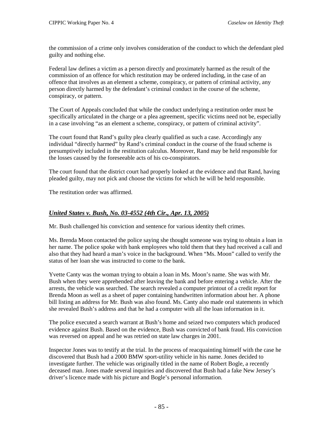the commission of a crime only involves consideration of the conduct to which the defendant pled guilty and nothing else.

Federal law defines a victim as a person directly and proximately harmed as the result of the commission of an offence for which restitution may be ordered including, in the case of an offence that involves as an element a scheme, conspiracy, or pattern of criminal activity, any person directly harmed by the defendant's criminal conduct in the course of the scheme, conspiracy, or pattern.

The Court of Appeals concluded that while the conduct underlying a restitution order must be specifically articulated in the charge or a plea agreement, specific victims need not be, especially in a case involving "as an element a scheme, conspiracy, or pattern of criminal activity".

The court found that Rand's guilty plea clearly qualified as such a case. Accordingly any individual "directly harmed" by Rand's criminal conduct in the course of the fraud scheme is presumptively included in the restitution calculus. Moreover, Rand may be held responsible for the losses caused by the foreseeable acts of his co-conspirators.

The court found that the district court had properly looked at the evidence and that Rand, having pleaded guilty, may not pick and choose the victims for which he will be held responsible.

The restitution order was affirmed.

## *United States v. Bush, No. 03-4552 (4th Cir., Apr. 13, 2005)*

Mr. Bush challenged his conviction and sentence for various identity theft crimes.

Ms. Brenda Moon contacted the police saying she thought someone was trying to obtain a loan in her name. The police spoke with bank employees who told them that they had received a call and also that they had heard a man's voice in the background. When "Ms. Moon" called to verify the status of her loan she was instructed to come to the bank.

Yvette Canty was the woman trying to obtain a loan in Ms. Moon's name. She was with Mr. Bush when they were apprehended after leaving the bank and before entering a vehicle. After the arrests, the vehicle was searched. The search revealed a computer printout of a credit report for Brenda Moon as well as a sheet of paper containing handwritten information about her. A phone bill listing an address for Mr. Bush was also found. Ms. Canty also made oral statements in which she revealed Bush's address and that he had a computer with all the loan information in it.

The police executed a search warrant at Bush's home and seized two computers which produced evidence against Bush. Based on the evidence, Bush was convicted of bank fraud. His conviction was reversed on appeal and he was retried on state law charges in 2001.

Inspector Jones was to testify at the trial. In the process of reacquainting himself with the case he discovered that Bush had a 2000 BMW sport-utility vehicle in his name. Jones decided to investigate further. The vehicle was originally titled in the name of Robert Bogle, a recently deceased man. Jones made several inquiries and discovered that Bush had a fake New Jersey's driver's licence made with his picture and Bogle's personal information.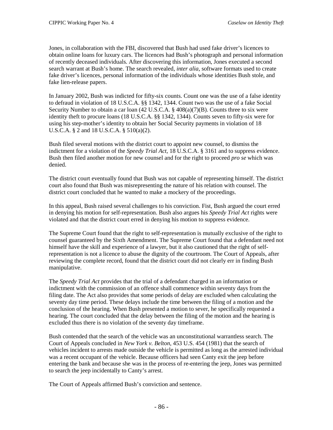Jones, in collaboration with the FBI, discovered that Bush had used fake driver's licences to obtain online loans for luxury cars. The licences had Bush's photograph and personal information of recently deceased individuals. After discovering this information, Jones executed a second search warrant at Bush's home. The search revealed, *inter alia*, software formats used to create fake driver's licences, personal information of the individuals whose identities Bush stole, and fake lien-release papers.

In January 2002, Bush was indicted for fifty-six counts. Count one was the use of a false identity to defraud in violation of 18 U.S.C.A. §§ 1342, 1344. Count two was the use of a fake Social Security Number to obtain a car loan  $(42 \text{ U.S.C.A.} \frac{8}{9} \cdot 408(a)(7)(B)$ . Counts three to six were identity theft to procure loans (18 U.S.C.A. §§ 1342, 1344). Counts seven to fifty-six were for using his step-mother's identity to obtain her Social Security payments in violation of 18 U.S.C.A. § 2 and 18 U.S.C.A. § 510(a)(2).

Bush filed several motions with the district court to appoint new counsel, to dismiss the indictment for a violation of the *Speedy Trial Act*, 18 U.S.C.A. § 3161 and to suppress evidence. Bush then filed another motion for new counsel and for the right to proceed *pro se* which was denied.

The district court eventually found that Bush was not capable of representing himself. The district court also found that Bush was misrepresenting the nature of his relation with counsel. The district court concluded that he wanted to make a mockery of the proceedings.

In this appeal, Bush raised several challenges to his conviction. Fist, Bush argued the court erred in denying his motion for self-representation. Bush also argues his *Speedy Trial Act* rights were violated and that the district court erred in denying his motion to suppress evidence.

The Supreme Court found that the right to self-representation is mutually exclusive of the right to counsel guaranteed by the Sixth Amendment. The Supreme Court found that a defendant need not himself have the skill and experience of a lawyer, but it also cautioned that the right of selfrepresentation is not a licence to abuse the dignity of the courtroom. The Court of Appeals, after reviewing the complete record, found that the district court did not clearly err in finding Bush manipulative.

The *Speedy Trial Act* provides that the trial of a defendant charged in an information or indictment with the commission of an offence shall commence within seventy days from the filing date. The Act also provides that some periods of delay are excluded when calculating the seventy day time period. These delays include the time between the filing of a motion and the conclusion of the hearing. When Bush presented a motion to sever, he specifically requested a hearing. The court concluded that the delay between the filing of the motion and the hearing is excluded thus there is no violation of the seventy day timeframe.

Bush contended that the search of the vehicle was an unconstitutional warrantless search. The Court of Appeals concluded in *New York v. Belton*, 453 U.S. 454 (1981) that the search of vehicles incident to arrests made outside the vehicle is permitted as long as the arrested individual was a recent occupant of the vehicle. Because officers had seen Canty exit the jeep before entering the bank and because she was in the process of re-entering the jeep, Jones was permitted to search the jeep incidentally to Canty's arrest.

The Court of Appeals affirmed Bush's conviction and sentence.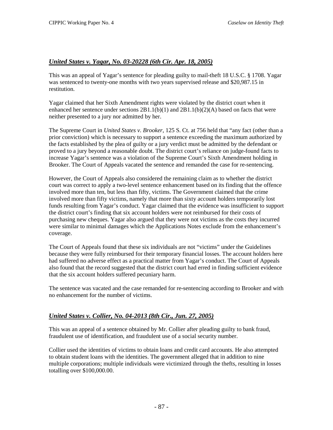### *United States v. Yagar, No. 03-20228 (6th Cir. Apr. 18, 2005)*

This was an appeal of Yagar's sentence for pleading guilty to mail-theft 18 U.S.C. § 1708. Yagar was sentenced to twenty-one months with two years supervised release and \$20,987.15 in restitution.

Yagar claimed that her Sixth Amendment rights were violated by the district court when it enhanced her sentence under sections  $2B1.1(b)(1)$  and  $2B1.1(b)(2)(A)$  based on facts that were neither presented to a jury nor admitted by her.

The Supreme Court in *United States v. Brooker*, 125 S. Ct. at 756 held that "any fact (other than a prior conviction) which is necessary to support a sentence exceeding the maximum authorized by the facts established by the plea of guilty or a jury verdict must be admitted by the defendant or proved to a jury beyond a reasonable doubt. The district court's reliance on judge-found facts to increase Yagar's sentence was a violation of the Supreme Court's Sixth Amendment holding in Brooker. The Court of Appeals vacated the sentence and remanded the case for re-sentencing.

However, the Court of Appeals also considered the remaining claim as to whether the district court was correct to apply a two-level sentence enhancement based on its finding that the offence involved more than ten, but less than fifty, victims. The Government claimed that the crime involved more than fifty victims, namely that more than sixty account holders temporarily lost funds resulting from Yagar's conduct. Yagar claimed that the evidence was insufficient to support the district court's finding that six account holders were not reimbursed for their costs of purchasing new cheques. Yagar also argued that they were not victims as the costs they incurred were similar to minimal damages which the Applications Notes exclude from the enhancement's coverage.

The Court of Appeals found that these six individuals are not "victims" under the Guidelines because they were fully reimbursed for their temporary financial losses. The account holders here had suffered no adverse effect as a practical matter from Yagar's conduct. The Court of Appeals also found that the record suggested that the district court had erred in finding sufficient evidence that the six account holders suffered pecuniary harm.

The sentence was vacated and the case remanded for re-sentencing according to Brooker and with no enhancement for the number of victims.

### *United States v. Collier, No. 04-2013 (8th Cir., Jun. 27, 2005)*

This was an appeal of a sentence obtained by Mr. Collier after pleading guilty to bank fraud, fraudulent use of identification, and fraudulent use of a social security number.

Collier used the identities of victims to obtain loans and credit card accounts. He also attempted to obtain student loans with the identities. The government alleged that in addition to nine multiple corporations; multiple individuals were victimized through the thefts, resulting in losses totalling over \$100,000.00.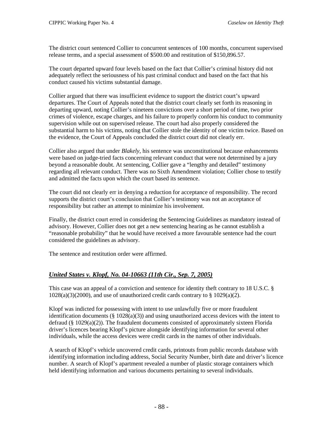The district court sentenced Collier to concurrent sentences of 100 months, concurrent supervised release terms, and a special assessment of \$500.00 and restitution of \$150,896.57.

The court departed upward four levels based on the fact that Collier's criminal history did not adequately reflect the seriousness of his past criminal conduct and based on the fact that his conduct caused his victims substantial damage.

Collier argued that there was insufficient evidence to support the district court's upward departures. The Court of Appeals noted that the district court clearly set forth its reasoning in departing upward, noting Collier's nineteen convictions over a short period of time, two prior crimes of violence, escape charges, and his failure to properly conform his conduct to community supervision while out on supervised release. The court had also properly considered the substantial harm to his victims, noting that Collier stole the identity of one victim twice. Based on the evidence, the Court of Appeals concluded the district court did not clearly err.

Collier also argued that under *Blakely*, his sentence was unconstitutional because enhancements were based on judge-tried facts concerning relevant conduct that were not determined by a jury beyond a reasonable doubt. At sentencing, Collier gave a "lengthy and detailed" testimony regarding all relevant conduct. There was no Sixth Amendment violation; Collier chose to testify and admitted the facts upon which the court based its sentence.

The court did not clearly err in denying a reduction for acceptance of responsibility. The record supports the district court's conclusion that Collier's testimony was not an acceptance of responsibility but rather an attempt to minimize his involvement.

Finally, the district court erred in considering the Sentencing Guidelines as mandatory instead of advisory. However, Collier does not get a new sentencing hearing as he cannot establish a "reasonable probability" that he would have received a more favourable sentence had the court considered the guidelines as advisory.

The sentence and restitution order were affirmed.

## *United States v. Klopf, No. 04-10663 (11th Cir., Sep. 7, 2005)*

This case was an appeal of a conviction and sentence for identity theft contrary to 18 U.S.C. §  $1028(a)(3)(2000)$ , and use of unauthorized credit cards contrary to § 1029(a)(2).

Klopf was indicted for possessing with intent to use unlawfully five or more fraudulent identification documents  $(\S 1028(a)(3))$  and using unauthorized access devices with the intent to defraud ( $\S$  1029(a)(2)). The fraudulent documents consisted of approximately sixteen Florida driver's licences bearing Klopf's picture alongside identifying information for several other individuals, while the access devices were credit cards in the names of other individuals.

A search of Klopf's vehicle uncovered credit cards, printouts from public records database with identifying information including address, Social Security Number, birth date and driver's licence number. A search of Klopf's apartment revealed a number of plastic storage containers which held identifying information and various documents pertaining to several individuals.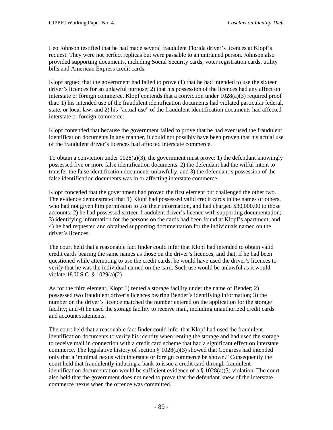Leo Johnson testified that he had made several fraudulent Florida driver's licences at Klopf's request. They were not perfect replicas but were passable to an untrained person. Johnson also provided supporting documents, including Social Security cards, voter registration cards, utility bills and American Express credit cards.

Klopf argued that the government had failed to prove (1) that he had intended to use the sixteen driver's licences for an unlawful purpose; 2) that his possession of the licences had any affect on interstate or foreign commerce. Klopf contends that a conviction under  $1028(a)(3)$  required proof that: 1) his intended use of the fraudulent identification documents had violated particular federal, state, or local law; and 2) his "actual use" of the fraudulent identification documents had affected interstate or foreign commerce.

Klopf contended that because the government failed to prove that he had ever used the fraudulent identification documents in any manner, it could not possibly have been proven that his actual use of the fraudulent driver's licences had affected interstate commerce.

To obtain a conviction under  $1028(a)(3)$ , the government must prove: 1) the defendant knowingly possessed five or more false identification documents, 2) the defendant had the wilful intent to transfer the false identification documents unlawfully, and 3) the defendant's possession of the false identification documents was in or affecting interstate commerce.

Klopf conceded that the government had proved the first element but challenged the other two. The evidence demonstrated that 1) Klopf had possessed valid credit cards in the names of others, who had not given him permission to use their information, and had charged \$30,000.00 to those accounts; 2) he had possessed sixteen fraudulent driver's licence with supporting documentation; 3) identifying information for the persons on the cards had been found at Klopf's apartment; and 4) he had requested and obtained supporting documentation for the individuals named on the driver's licences.

The court held that a reasonable fact finder could infer that Klopf had intended to obtain valid credit cards bearing the same names as those on the driver's licences, and that, if he had been questioned while attempting to use the credit cards, he would have used the driver's licences to verify that he was the individual named on the card. Such use would be unlawful as it would violate 18 U.S.C. § 1029(a)(2).

As for the third element, Klopf 1) rented a storage facility under the name of Bender; 2) possessed two fraudulent driver's licences bearing Bender's identifying information; 3) the number on the driver's licence matched the number entered on the application for the storage facility; and 4) he used the storage facility to receive mail, including unauthorized credit cards and account statements.

The court held that a reasonable fact finder could infer that Klopf had used the fraudulent identification documents to verify his identity when renting the storage and had used the storage to receive mail in connection with a credit card scheme that had a significant effect on interstate commerce. The legislative history of section  $\S 1028(a)(3)$  showed that Congress had intended only that a 'minimal nexus with interstate or foreign commerce be shown." Consequently the court held that fraudulently inducing a bank to issue a credit card through fraudulent identification documentation would be sufficient evidence of a  $\S$  1028(a)(3) violation. The court also held that the government does not need to prove that the defendant knew of the interstate commerce nexus when the offence was committed.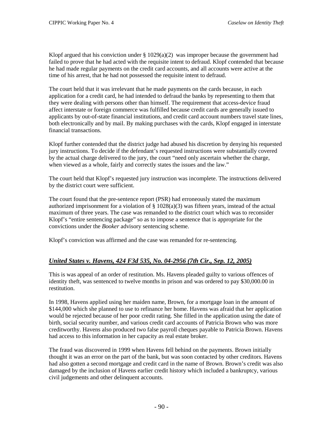Klopf argued that his conviction under  $\S 1029(a)(2)$  was improper because the government had failed to prove that he had acted with the requisite intent to defraud. Klopf contended that because he had made regular payments on the credit card accounts, and all accounts were active at the time of his arrest, that he had not possessed the requisite intent to defraud.

The court held that it was irrelevant that he made payments on the cards because, in each application for a credit card, he had intended to defraud the banks by representing to them that they were dealing with persons other than himself. The requirement that access-device fraud affect interstate or foreign commerce was fulfilled because credit cards are generally issued to applicants by out-of-state financial institutions, and credit card account numbers travel state lines, both electronically and by mail. By making purchases with the cards, Klopf engaged in interstate financial transactions.

Klopf further contended that the district judge had abused his discretion by denying his requested jury instructions. To decide if the defendant's requested instructions were substantially covered by the actual charge delivered to the jury, the court "need only ascertain whether the charge, when viewed as a whole, fairly and correctly states the issues and the law."

The court held that Klopf's requested jury instruction was incomplete. The instructions delivered by the district court were sufficient.

The court found that the pre-sentence report (PSR) had erroneously stated the maximum authorized imprisonment for a violation of § 1028(a)(3) was fifteen years, instead of the actual maximum of three years. The case was remanded to the district court which was to reconsider Klopf's "entire sentencing package" so as to impose a sentence that is appropriate for the convictions under the *Booker* advisory sentencing scheme.

Klopf's conviction was affirmed and the case was remanded for re-sentencing.

## *United States v. Havens, 424 F3d 535, No. 04-2956 (7th Cir., Sep. 12, 2005)*

This is was appeal of an order of restitution. Ms. Havens pleaded guilty to various offences of identity theft, was sentenced to twelve months in prison and was ordered to pay \$30,000.00 in restitution.

In 1998, Havens applied using her maiden name, Brown, for a mortgage loan in the amount of \$144,000 which she planned to use to refinance her home. Havens was afraid that her application would be rejected because of her poor credit rating. She filled in the application using the date of birth, social security number, and various credit card accounts of Patricia Brown who was more creditworthy. Havens also produced two false payroll cheques payable to Patricia Brown. Havens had access to this information in her capacity as real estate broker.

The fraud was discovered in 1999 when Havens fell behind on the payments. Brown initially thought it was an error on the part of the bank, but was soon contacted by other creditors. Havens had also gotten a second mortgage and credit card in the name of Brown. Brown's credit was also damaged by the inclusion of Havens earlier credit history which included a bankruptcy, various civil judgements and other delinquent accounts.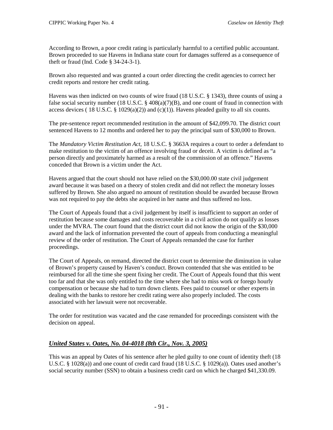According to Brown, a poor credit rating is particularly harmful to a certified public accountant. Brown proceeded to sue Havens in Indiana state court for damages suffered as a consequence of theft or fraud (Ind. Code § 34-24-3-1).

Brown also requested and was granted a court order directing the credit agencies to correct her credit reports and restore her credit rating.

Havens was then indicted on two counts of wire fraud (18 U.S.C. § 1343), three counts of using a false social security number (18 U.S.C. § 408(a)(7)(B), and one count of fraud in connection with access devices (18 U.S.C. § 1029(a)(2)) and (c)(1)). Havens pleaded guilty to all six counts.

The pre-sentence report recommended restitution in the amount of \$42,099.70. The district court sentenced Havens to 12 months and ordered her to pay the principal sum of \$30,000 to Brown.

The *Mandatory Victim Restitution Act*, 18 U.S.C. § 3663A requires a court to order a defendant to make restitution to the victim of an offence involving fraud or deceit. A victim is defined as "a person directly and proximately harmed as a result of the commission of an offence." Havens conceded that Brown is a victim under the Act.

Havens argued that the court should not have relied on the \$30,000.00 state civil judgement award because it was based on a theory of stolen credit and did not reflect the monetary losses suffered by Brown. She also argued no amount of restitution should be awarded because Brown was not required to pay the debts she acquired in her name and thus suffered no loss.

The Court of Appeals found that a civil judgement by itself is insufficient to support an order of restitution because some damages and costs recoverable in a civil action do not qualify as losses under the MVRA. The court found that the district court did not know the origin of the \$30,000 award and the lack of information prevented the court of appeals from conducting a meaningful review of the order of restitution. The Court of Appeals remanded the case for further proceedings.

The Court of Appeals, on remand, directed the district court to determine the diminution in value of Brown's property caused by Haven's conduct. Brown contended that she was entitled to be reimbursed for all the time she spent fixing her credit. The Court of Appeals found that this went too far and that she was only entitled to the time where she had to miss work or forego hourly compensation or because she had to turn down clients. Fees paid to counsel or other experts in dealing with the banks to restore her credit rating were also properly included. The costs associated with her lawsuit were not recoverable.

The order for restitution was vacated and the case remanded for proceedings consistent with the decision on appeal.

### *United States v. Oates, No. 04-4018 (8th Cir., Nov. 3, 2005)*

This was an appeal by Oates of his sentence after he pled guilty to one count of identity theft (18 U.S.C. § 1028(a)) and one count of credit card fraud (18 U.S.C. § 1029(a)). Oates used another's social security number (SSN) to obtain a business credit card on which he charged \$41,330.09.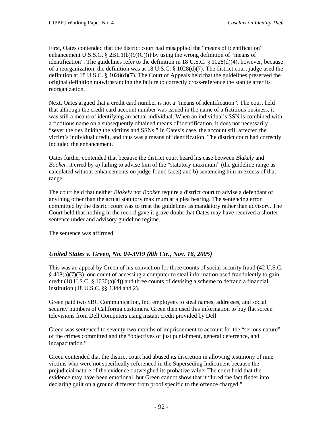First, Oates contended that the district court had misapplied the "means of identification" enhancement U.S.S.G. § 2B1.1(b)(9)(C)(i) by using the wrong definition of "means of identification". The guidelines refer to the definition in 18 U.S.C. § 1028(d)(4), however, because of a reorganization, the definition was at 18 U.S.C.  $\S$  1028(d)(7). The district court judge used the definition at 18 U.S.C. § 1028(d)(7). The Court of Appeals held that the guidelines preserved the original definition notwithstanding the failure to correctly cross-reference the statute after its reorganization.

Next, Oates argued that a credit card number is not a "means of identification". The court held that although the credit card account number was issued in the name of a fictitious business, it was still a means of identifying an actual individual. When an individual's SSN is combined with a fictitious name on a subsequently obtained means of identification, it does not necessarily "sever the ties linking the victims and SSNs." In Oates's case, the account still affected the victim's individual credit, and thus was a means of identification. The district court had correctly included the enhancement.

Oates further contended that because the district court heard his case between *Blakely* and *Booker*, it erred by a) failing to advise him of the "statutory maximum" (the guideline range as calculated without enhancements on judge-found facts) and b) sentencing him in excess of that range.

The court held that neither *Blakely* nor *Booker* require a district court to advise a defendant of anything other than the actual statutory maximum at a plea hearing. The sentencing error committed by the district court was to treat the guidelines as mandatory rather than advisory. The Court held that nothing in the record gave it grave doubt that Oates may have received a shorter sentence under and advisory guideline regime.

The sentence was affirmed.

### *United States v. Green, No. 04-3919 (8th Cir., Nov. 16, 2005)*

This was an appeal by Green of his conviction for three counts of social security fraud (42 U.S.C. § 408(a)(7)(B), one count of accessing a computer to steal information used fraudulently to gain credit (18 U.S.C. § 1030(a)(4)) and three counts of devising a scheme to defraud a financial institution (18 U.S.C. §§ 1344 and 2).

Green paid two SBC Communication, Inc. employees to steal names, addresses, and social security numbers of California customers. Green then used this information to buy flat screen televisions from Dell Computers using instant credit provided by Dell.

Green was sentenced to seventy-two months of imprisonment to account for the "serious nature" of the crimes committed and the "objectives of just punishment, general deterrence, and incapacitation."

Green contended that the district court had abused its discretion in allowing testimony of nine victims who were not specifically referenced in the Superseding Indictment because the prejudicial nature of the evidence outweighed its probative value. The court held that the evidence may have been emotional, but Green cannot show that it "lured the fact finder into declaring guilt on a ground different from proof specific to the offence charged."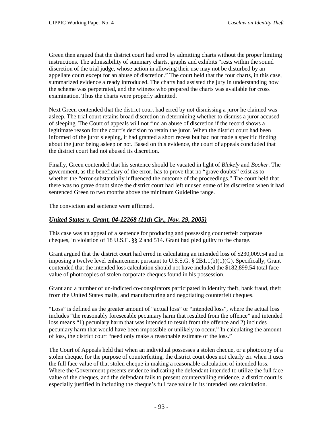Green then argued that the district court had erred by admitting charts without the proper limiting instructions. The admissibility of summary charts, graphs and exhibits "rests within the sound discretion of the trial judge, whose action in allowing their use may not be disturbed by an appellate court except for an abuse of discretion." The court held that the four charts, in this case, summarized evidence already introduced. The charts had assisted the jury in understanding how the scheme was perpetrated, and the witness who prepared the charts was available for cross examination. Thus the charts were properly admitted.

Next Green contended that the district court had erred by not dismissing a juror he claimed was asleep. The trial court retains broad discretion in determining whether to dismiss a juror accused of sleeping. The Court of appeals will not find an abuse of discretion if the record shows a legitimate reason for the court's decision to retain the juror. When the district court had been informed of the juror sleeping, it had granted a short recess but had not made a specific finding about the juror being asleep or not. Based on this evidence, the court of appeals concluded that the district court had not abused its discretion.

Finally, Green contended that his sentence should be vacated in light of *Blakely* and *Booker*. The government, as the beneficiary of the error, has to prove that no "grave doubts" exist as to whether the "error substantially influenced the outcome of the proceedings." The court held that there was no grave doubt since the district court had left unused some of its discretion when it had sentenced Green to two months above the minimum Guideline range.

The conviction and sentence were affirmed.

#### *United States v. Grant, 04-12268 (11th Cir., Nov. 29, 2005)*

This case was an appeal of a sentence for producing and possessing counterfeit corporate cheques, in violation of 18 U.S.C. §§ 2 and 514. Grant had pled guilty to the charge.

Grant argued that the district court had erred in calculating an intended loss of \$230,009.54 and in imposing a twelve level enhancement pursuant to U.S.S.G. § 2B1.1(b)(1)(G). Specifically, Grant contended that the intended loss calculation should not have included the \$182,899.54 total face value of photocopies of stolen corporate cheques found in his possession.

Grant and a number of un-indicted co-conspirators participated in identity theft, bank fraud, theft from the United States mails, and manufacturing and negotiating counterfeit cheques.

"Loss" is defined as the greater amount of "actual loss" or "intended loss", where the actual loss includes "the reasonably foreseeable pecuniary harm that resulted from the offence" and intended loss means "1) pecuniary harm that was intended to result from the offence and 2) includes pecuniary harm that would have been impossible or unlikely to occur." In calculating the amount of loss, the district court "need only make a reasonable estimate of the loss."

The Court of Appeals held that when an individual possesses a stolen cheque, or a photocopy of a stolen cheque, for the purpose of counterfeiting, the district court does not clearly err when it uses the full face value of that stolen cheque in making a reasonable calculation of intended loss. Where the Government presents evidence indicating the defendant intended to utilize the full face value of the cheques, and the defendant fails to present countervailing evidence, a district court is especially justified in including the cheque's full face value in its intended loss calculation.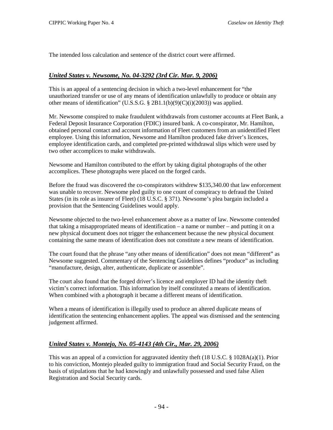The intended loss calculation and sentence of the district court were affirmed.

#### *United States v. Newsome, No. 04-3292 (3rd Cir. Mar. 9, 2006)*

This is an appeal of a sentencing decision in which a two-level enhancement for "the unauthorized transfer or use of any means of identification unlawfully to produce or obtain any other means of identification" (U.S.S.G. § 2B1.1(b)(9)(C)(i)(2003)) was applied.

Mr. Newsome conspired to make fraudulent withdrawals from customer accounts at Fleet Bank, a Federal Deposit Insurance Corporation (FDIC) insured bank. A co-conspirator, Mr. Hamilton, obtained personal contact and account information of Fleet customers from an unidentified Fleet employee. Using this information, Newsome and Hamilton produced fake driver's licences, employee identification cards, and completed pre-printed withdrawal slips which were used by two other accomplices to make withdrawals.

Newsome and Hamilton contributed to the effort by taking digital photographs of the other accomplices. These photographs were placed on the forged cards.

Before the fraud was discovered the co-conspirators withdrew \$135,340.00 that law enforcement was unable to recover. Newsome pled guilty to one count of conspiracy to defraud the United States (in its role as insurer of Fleet) (18 U.S.C. § 371). Newsome's plea bargain included a provision that the Sentencing Guidelines would apply.

Newsome objected to the two-level enhancement above as a matter of law. Newsome contended that taking a misappropriated means of identification – a name or number – and putting it on a new physical document does not trigger the enhancement because the new physical document containing the same means of identification does not constitute a new means of identification.

The court found that the phrase "any other means of identification" does not mean "different" as Newsome suggested. Commentary of the Sentencing Guidelines defines "produce" as including "manufacture, design, alter, authenticate, duplicate or assemble".

The court also found that the forged driver's licence and employer ID had the identity theft victim's correct information. This information by itself constituted a means of identification. When combined with a photograph it became a different means of identification.

When a means of identification is illegally used to produce an altered duplicate means of identification the sentencing enhancement applies. The appeal was dismissed and the sentencing judgement affirmed.

#### *United States v. Montejo, No. 05-4143 (4th Cir., Mar. 29, 2006)*

This was an appeal of a conviction for aggravated identity theft (18 U.S.C. § 1028A(a)(1). Prior to his conviction, Montejo pleaded guilty to immigration fraud and Social Security Fraud, on the basis of stipulations that he had knowingly and unlawfully possessed and used false Alien Registration and Social Security cards.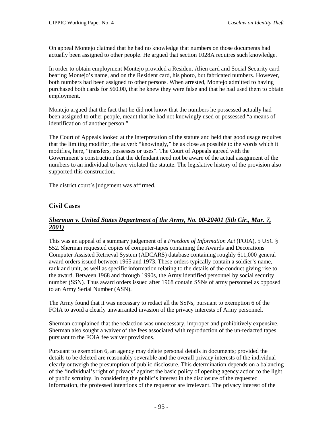On appeal Montejo claimed that he had no knowledge that numbers on those documents had actually been assigned to other people. He argued that section 1028A requires such knowledge.

In order to obtain employment Montejo provided a Resident Alien card and Social Security card bearing Montejo's name, and on the Resident card, his photo, but fabricated numbers. However, both numbers had been assigned to other persons. When arrested, Montejo admitted to having purchased both cards for \$60.00, that he knew they were false and that he had used them to obtain employment.

Montejo argued that the fact that he did not know that the numbers he possessed actually had been assigned to other people, meant that he had not knowingly used or possessed "a means of identification of another person."

The Court of Appeals looked at the interpretation of the statute and held that good usage requires that the limiting modifier, the adverb "knowingly," be as close as possible to the words which it modifies, here, "transfers, possesses or uses". The Court of Appeals agreed with the Government's construction that the defendant need not be aware of the actual assignment of the numbers to an individual to have violated the statute. The legislative history of the provision also supported this construction.

The district court's judgement was affirmed.

## **Civil Cases**

## *Sherman v. United States Department of the Army, No. 00-20401 (5th Cir., Mar. 7, 2001)*

This was an appeal of a summary judgement of a *Freedom of Information Act* (FOIA), 5 USC § 552. Sherman requested copies of computer-tapes containing the Awards and Decorations Computer Assisted Retrieval System (ADCARS) database containing roughly 611,000 general award orders issued between 1965 and 1973. These orders typically contain a soldier's name, rank and unit, as well as specific information relating to the details of the conduct giving rise to the award. Between 1968 and through 1990s, the Army identified personnel by social security number (SSN). Thus award orders issued after 1968 contain SSNs of army personnel as opposed to an Army Serial Number (ASN).

The Army found that it was necessary to redact all the SSNs, pursuant to exemption 6 of the FOIA to avoid a clearly unwarranted invasion of the privacy interests of Army personnel.

Sherman complained that the redaction was unnecessary, improper and prohibitively expensive. Sherman also sought a waiver of the fees associated with reproduction of the un-redacted tapes pursuant to the FOIA fee waiver provisions.

Pursuant to exemption 6, an agency may delete personal details in documents; provided the details to be deleted are reasonably severable and the overall privacy interests of the individual clearly outweigh the presumption of public disclosure. This determination depends on a balancing of the 'individual's right of privacy' against the basic policy of opening agency action to the light of public scrutiny. In considering the public's interest in the disclosure of the requested information, the professed intentions of the requestor are irrelevant. The privacy interest of the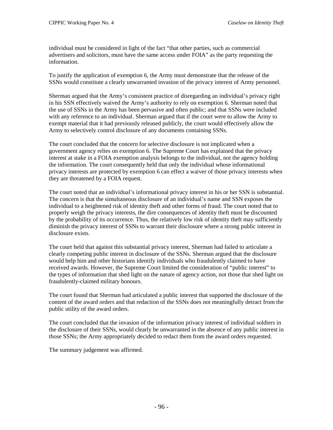individual must be considered in light of the fact "that other parties, such as commercial advertisers and solicitors, must have the same access under FOIA" as the party requesting the information.

To justify the application of exemption 6, the Army must demonstrate that the release of the SSNs would constitute a clearly unwarranted invasion of the privacy interest of Army personnel.

Sherman argued that the Army's consistent practice of disregarding an individual's privacy right in his SSN effectively waived the Army's authority to rely on exemption 6. Sherman noted that the use of SSNs in the Army has been pervasive and often public; and that SSNs were included with any reference to an individual. Sherman argued that if the court were to allow the Army to exempt material that it had previously released publicly, the court would effectively allow the Army to selectively control disclosure of any documents containing SSNs.

The court concluded that the concern for selective disclosure is not implicated when a government agency relies on exemption 6. The Supreme Court has explained that the privacy interest at stake in a FOIA exemption analysis belongs to the individual, not the agency holding the information. The court consequently held that only the individual whose informational privacy interests are protected by exemption 6 can effect a waiver of those privacy interests when they are threatened by a FOIA request.

The court noted that an individual's informational privacy interest in his or her SSN is substantial. The concern is that the simultaneous disclosure of an individual's name and SSN exposes the individual to a heightened risk of identity theft and other forms of fraud. The court noted that to properly weigh the privacy interests, the dire consequences of identity theft must be discounted by the probability of its occurrence. Thus, the relatively low risk of identity theft may sufficiently diminish the privacy interest of SSNs to warrant their disclosure where a strong public interest in disclosure exists.

The court held that against this substantial privacy interest, Sherman had failed to articulate a clearly competing public interest in disclosure of the SSNs. Sherman argued that the disclosure would help him and other historians identify individuals who fraudulently claimed to have received awards. However, the Supreme Court limited the consideration of "public interest" to the types of information that shed light on the nature of agency action, not those that shed light on fraudulently-claimed military honours.

The court found that Sherman had articulated a public interest that supported the disclosure of the content of the award orders and that redaction of the SSNs does not meaningfully detract from the public utility of the award orders.

The court concluded that the invasion of the information privacy interest of individual soldiers in the disclosure of their SSNs, would clearly be unwarranted in the absence of any public interest in those SSNs; the Army appropriately decided to redact them from the award orders requested.

The summary judgement was affirmed.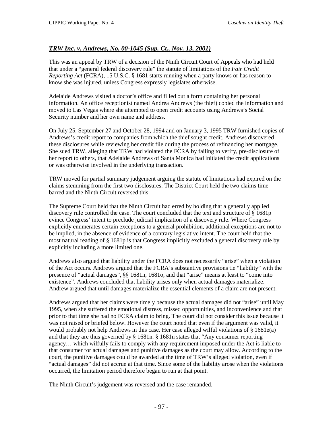## *TRW Inc. v. Andrews, No. 00-1045 (Sup. Ct., Nov. 13, 2001)*

This was an appeal by TRW of a decision of the Ninth Circuit Court of Appeals who had held that under a "general federal discovery rule" the statute of limitations of the *Fair Credit Reporting Act* (FCRA), 15 U.S.C. § 1681 starts running when a party knows or has reason to know she was injured, unless Congress expressly legislates otherwise.

Adelaide Andrews visited a doctor's office and filled out a form containing her personal information. An office receptionist named Andrea Andrews (the thief) copied the information and moved to Las Vegas where she attempted to open credit accounts using Andrews's Social Security number and her own name and address.

On July 25, September 27 and October 28, 1994 and on January 3, 1995 TRW furnished copies of Andrews's credit report to companies from which the thief sought credit. Andrews discovered these disclosures while reviewing her credit file during the process of refinancing her mortgage. She sued TRW, alleging that TRW had violated the FCRA by failing to verify, pre-disclosure of her report to others, that Adelaide Andrews of Santa Monica had initiated the credit applications or was otherwise involved in the underlying transaction.

TRW moved for partial summary judgement arguing the statute of limitations had expired on the claims stemming from the first two disclosures. The District Court held the two claims time barred and the Ninth Circuit reversed this.

The Supreme Court held that the Ninth Circuit had erred by holding that a generally applied discovery rule controlled the case. The court concluded that the text and structure of § 1681p evince Congress' intent to preclude judicial implication of a discovery rule. Where Congress explicitly enumerates certain exceptions to a general prohibition, additional exceptions are not to be implied, in the absence of evidence of a contrary legislative intent. The court held that the most natural reading of § 1681p is that Congress implicitly excluded a general discovery rule by explicitly including a more limited one.

Andrews also argued that liability under the FCRA does not necessarily "arise" when a violation of the Act occurs. Andrews argued that the FCRA's substantive provisions tie "liability" with the presence of "actual damages", §§ 1681n, 1681o, and that "arise" means at least to "come into existence". Andrews concluded that liability arises only when actual damages materialize. Andrew argued that until damages materialize the essential elements of a claim are not present.

Andrews argued that her claims were timely because the actual damages did not "arise" until May 1995, when she suffered the emotional distress, missed opportunities, and inconvenience and that prior to that time she had no FCRA claim to bring. The court did not consider this issue because it was not raised or briefed below. However the court noted that even if the argument was valid, it would probably not help Andrews in this case. Her case alleged wilful violations of § 1681e(a) and that they are thus governed by § 1681n. § 1681n states that "Any consumer reporting agency… which wilfully fails to comply with any requirement imposed under the Act is liable to that consumer for actual damages and punitive damages as the court may allow. According to the court, the punitive damages could be awarded at the time of TRW's alleged violation, even if "actual damages" did not accrue at that time. Since some of the liability arose when the violations occurred, the limitation period therefore began to run at that point.

The Ninth Circuit's judgement was reversed and the case remanded.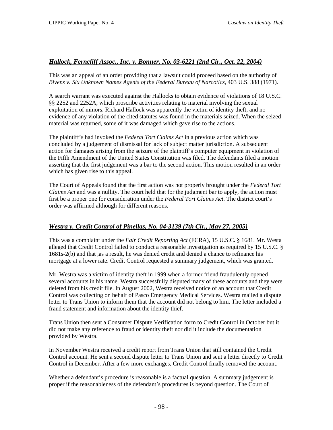### *Hallock, Ferncliff Assoc., Inc. v. Bonner, No. 03-6221 (2nd Cir., Oct. 22, 2004)*

This was an appeal of an order providing that a lawsuit could proceed based on the authority of *Bivens v. Six Unknown Names Agents of the Federal Bureau of Narcotics*, 403 U.S. 388 (1971).

A search warrant was executed against the Hallocks to obtain evidence of violations of 18 U.S.C. §§ 2252 and 2252A, which proscribe activities relating to material involving the sexual exploitation of minors. Richard Hallock was apparently the victim of identity theft, and no evidence of any violation of the cited statutes was found in the materials seized. When the seized material was returned, some of it was damaged which gave rise to the actions.

The plaintiff's had invoked the *Federal Tort Claims Act* in a previous action which was concluded by a judgement of dismissal for lack of subject matter jurisdiction. A subsequent action for damages arising from the seizure of the plaintiff's computer equipment in violation of the Fifth Amendment of the United States Constitution was filed. The defendants filed a motion asserting that the first judgement was a bar to the second action. This motion resulted in an order which has given rise to this appeal.

The Court of Appeals found that the first action was not properly brought under the *Federal Tort Claims Act* and was a nullity. The court held that for the judgment bar to apply, the action must first be a proper one for consideration under the *Federal Tort Claims Act*. The district court's order was affirmed although for different reasons.

### *Westra v. Credit Control of Pinellas, No. 04-3139 (7th Cir., May 27, 2005)*

This was a complaint under the *Fair Credit Reporting Act* (FCRA), 15 U.S.C. § 1681. Mr. Westa alleged that Credit Control failed to conduct a reasonable investigation as required by 15 U.S.C. § 1681s-2(b) and that ,as a result, he was denied credit and denied a chance to refinance his mortgage at a lower rate. Credit Control requested a summary judgement, which was granted.

Mr. Westra was a victim of identity theft in 1999 when a former friend fraudulently opened several accounts in his name. Westra successfully disputed many of these accounts and they were deleted from his credit file. In August 2002, Westra received notice of an account that Credit Control was collecting on behalf of Pasco Emergency Medical Services. Westra mailed a dispute letter to Trans Union to inform them that the account did not belong to him. The letter included a fraud statement and information about the identity thief.

Trans Union then sent a Consumer Dispute Verification form to Credit Control in October but it did not make any reference to fraud or identity theft nor did it include the documentation provided by Westra.

In November Westra received a credit report from Trans Union that still contained the Credit Control account. He sent a second dispute letter to Trans Union and sent a letter directly to Credit Control in December. After a few more exchanges, Credit Control finally removed the account.

Whether a defendant's procedure is reasonable is a factual question. A summary judgement is proper if the reasonableness of the defendant's procedures is beyond question. The Court of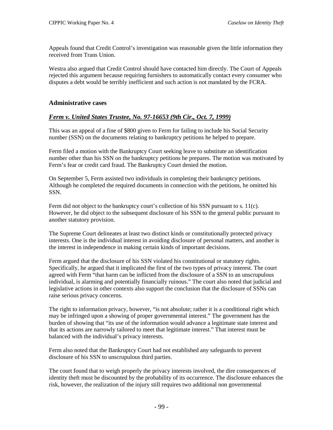Appeals found that Credit Control's investigation was reasonable given the little information they received from Trans Union.

Westra also argued that Credit Control should have contacted him directly. The Court of Appeals rejected this argument because requiring furnishers to automatically contact every consumer who disputes a debt would be terribly inefficient and such action is not mandated by the FCRA.

#### **Administrative cases**

### *Ferm v. United States Trustee, No. 97-16653 (9th Cir., Oct. 7, 1999)*

This was an appeal of a fine of \$800 given to Ferm for failing to include his Social Security number (SSN) on the documents relating to bankruptcy petitions he helped to prepare.

Ferm filed a motion with the Bankruptcy Court seeking leave to substitute an identification number other than his SSN on the bankruptcy petitions he prepares. The motion was motivated by Ferm's fear or credit card fraud. The Bankruptcy Court denied the motion.

On September 5, Ferm assisted two individuals in completing their bankruptcy petitions. Although he completed the required documents in connection with the petitions, he omitted his SSN.

Ferm did not object to the bankruptcy court's collection of his SSN pursuant to s. 11(c). However, he did object to the subsequent disclosure of his SSN to the general public pursuant to another statutory provision.

The Supreme Court delineates at least two distinct kinds or constitutionally protected privacy interests. One is the individual interest in avoiding disclosure of personal matters, and another is the interest in independence in making certain kinds of important decisions.

Ferm argued that the disclosure of his SSN violated his constitutional or statutory rights. Specifically, he argued that it implicated the first of the two types of privacy interest. The court agreed with Ferm "that harm can be inflicted from the disclosure of a SSN to an unscrupulous individual, is alarming and potentially financially ruinous." The court also noted that judicial and legislative actions in other contexts also support the conclusion that the disclosure of SSNs can raise serious privacy concerns.

The right to information privacy, however, "is not absolute; rather it is a conditional right which may be infringed upon a showing of proper governmental interest." The government has the burden of showing that "its use of the information would advance a legitimate state interest and that its actions are narrowly tailored to meet that legitimate interest." That interest must be balanced with the individual's privacy interests.

Ferm also noted that the Bankruptcy Court had not established any safeguards to prevent disclosure of his SSN to unscrupulous third parties.

The court found that to weigh properly the privacy interests involved, the dire consequences of identity theft must be discounted by the probability of its occurrence. The disclosure enhances the risk, however, the realization of the injury still requires two additional non governmental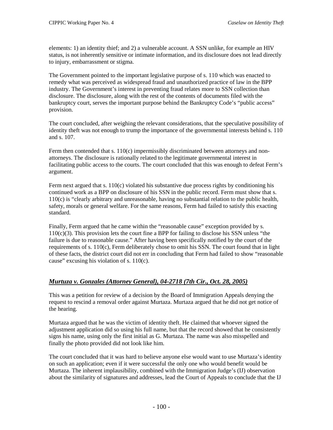elements: 1) an identity thief; and 2) a vulnerable account. A SSN unlike, for example an HIV status, is not inherently sensitive or intimate information, and its disclosure does not lead directly to injury, embarrassment or stigma.

The Government pointed to the important legislative purpose of s. 110 which was enacted to remedy what was perceived as widespread fraud and unauthorized practice of law in the BPP industry. The Government's interest in preventing fraud relates more to SSN collection than disclosure. The disclosure, along with the rest of the contents of documents filed with the bankruptcy court, serves the important purpose behind the Bankruptcy Code's "public access" provision.

The court concluded, after weighing the relevant considerations, that the speculative possibility of identity theft was not enough to trump the importance of the governmental interests behind s. 110 and s. 107.

Ferm then contended that s.  $110(c)$  impermissibly discriminated between attorneys and nonattorneys. The disclosure is rationally related to the legitimate governmental interest in facilitating public access to the courts. The court concluded that this was enough to defeat Ferm's argument.

Ferm next argued that s. 110(c) violated his substantive due process rights by conditioning his continued work as a BPP on disclosure of his SSN in the public record. Ferm must show that s. 110(c) is "clearly arbitrary and unreasonable, having no substantial relation to the public health, safety, morals or general welfare. For the same reasons, Ferm had failed to satisfy this exacting standard.

Finally, Ferm argued that he came within the "reasonable cause" exception provided by s. 110(c)(3). This provision lets the court fine a BPP for failing to disclose his SSN unless "the failure is due to reasonable cause." After having been specifically notified by the court of the requirements of s. 110(c), Ferm deliberately chose to omit his SSN. The court found that in light of these facts, the district court did not err in concluding that Ferm had failed to show "reasonable cause" excusing his violation of s. 110(c).

### *Murtuza v. Gonzales (Attorney General), 04-2718 (7th Cir., Oct. 28, 2005)*

This was a petition for review of a decision by the Board of Immigration Appeals denying the request to rescind a removal order against Murtaza. Murtaza argued that he did not get notice of the hearing.

Murtaza argued that he was the victim of identity theft. He claimed that whoever signed the adjustment application did so using his full name, but that the record showed that he consistently signs his name, using only the first initial as G. Murtaza. The name was also misspelled and finally the photo provided did not look like him.

The court concluded that it was hard to believe anyone else would want to use Murtaza's identity on such an application; even if it were successful the only one who would benefit would be Murtaza. The inherent implausibility, combined with the Immigration Judge's (IJ) observation about the similarity of signatures and addresses, lead the Court of Appeals to conclude that the IJ